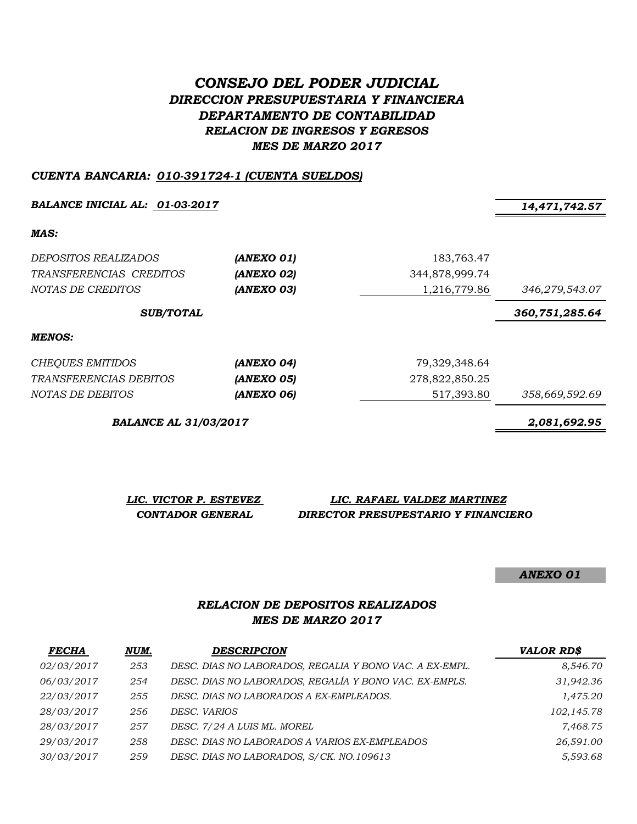# *CONSEJO DEL PODER JUDICIAL DIRECCION PRESUPUESTARIA Y FINANCIERA DEPARTAMENTO DE CONTABILIDAD RELACION DE INGRESOS Y EGRESOS MES DE MARZO 2017*

#### *CUENTA BANCARIA: 010-391724-1 (CUENTA SUELDOS)*

*BALANCE INICIAL AL: 01-03-2017 14,471,742.57*

*MAS:*

| <i>DEPOSITOS REALIZADOS</i>   | (ANEXO 01) | 183,763.47     |                |
|-------------------------------|------------|----------------|----------------|
| TRANSFERENCIAS CREDITOS       | (ANEXO 02) | 344,878,999.74 |                |
| NOTAS DE CREDITOS             | (ANEXO 03) | 1,216,779.86   | 346,279,543.07 |
| <b>SUB/TOTAL</b>              |            |                | 360,751,285.64 |
| <b>MENOS:</b>                 |            |                |                |
| CHEQUES EMITIDOS              | (ANEXO 04) | 79,329,348.64  |                |
| <i>TRANSFERENCIAS DEBITOS</i> | (ANEXO 05) | 278,822,850.25 |                |
| NOTAS DE DEBITOS              | (ANEXO 06) | 517,393.80     | 358,669,592.69 |

*BALANCE AL 31/03/2017 2,081,692.95*

*LIC. VICTOR P. ESTEVEZ LIC. RAFAEL VALDEZ MARTINEZ CONTADOR GENERAL DIRECTOR PRESUPESTARIO Y FINANCIERO*

*ANEXO 01*

## *RELACION DE DEPOSITOS REALIZADOS MES DE MARZO 2017*

| <b>FECHA</b> | NUM. | <b>DESCRIPCION</b>                                      | <b>VALOR RD\$</b> |
|--------------|------|---------------------------------------------------------|-------------------|
| 02/03/2017   | 253  | DESC. DIAS NO LABORADOS, REGALIA Y BONO VAC. A EX-EMPL. | 8,546.70          |
| 06/03/2017   | 254  | DESC. DIAS NO LABORADOS, REGALÍA Y BONO VAC. EX-EMPLS.  | 31,942.36         |
| 22/03/2017   | 255  | DESC. DIAS NO LABORADOS A EX-EMPLEADOS.                 | 1,475.20          |
| 28/03/2017   | 256  | DESC. VARIOS                                            | 102,145.78        |
| 28/03/2017   | 257  | DESC. 7/24 A LUIS ML. MOREL                             | 7,468.75          |
| 29/03/2017   | 258  | DESC. DIAS NO LABORADOS A VARIOS EX-EMPLEADOS           | 26,591.00         |
| 30/03/2017   | 259  | DESC. DIAS NO LABORADOS, S/CK. NO.109613                | 5,593.68          |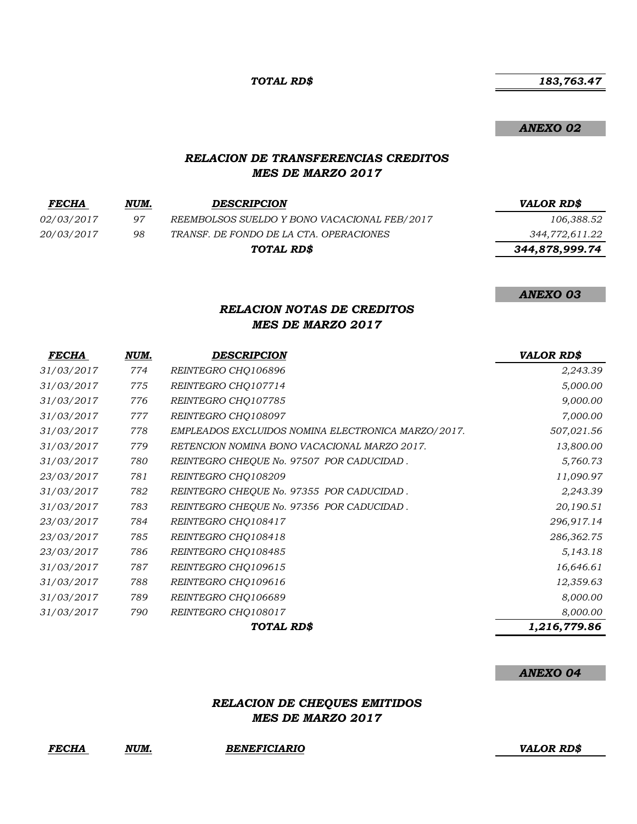*TOTAL RD\$*

*ANEXO 02*

*ANEXO 03*

#### *RELACION DE TRANSFERENCIAS CREDITOS MES DE MARZO 2017*

| <b>FECHA</b>      | NUM. | <b>DESCRIPCION</b>                           | <b>VALOR RDS</b> |
|-------------------|------|----------------------------------------------|------------------|
| <i>02/03/2017</i> | 97   | REEMBOLSOS SUELDO Y BONO VACACIONAL FEB/2017 | 106,388.52       |
| 20/03/2017        | 98   | TRANSF. DE FONDO DE LA CTA. OPERACIONES      | 344,772,611.22   |
|                   |      | TOTAL RD\$                                   | 344,878,999.74   |
|                   |      |                                              |                  |

## *RELACION NOTAS DE CREDITOS MES DE MARZO 2017*

| <i>FECHA</i> | NUM. | <b>DESCRIPCION</b>                                 | <b>VALOR RD\$</b> |
|--------------|------|----------------------------------------------------|-------------------|
| 31/03/2017   | 774  | REINTEGRO CHO106896                                | 2,243.39          |
| 31/03/2017   | 775  | REINTEGRO CHQ107714                                | 5,000.00          |
| 31/03/2017   | 776  | REINTEGRO CHQ107785                                | 9,000.00          |
| 31/03/2017   | 777  | REINTEGRO CHQ108097                                | 7,000.00          |
| 31/03/2017   | 778  | EMPLEADOS EXCLUIDOS NOMINA ELECTRONICA MARZO/2017. | 507,021.56        |
| 31/03/2017   | 779  | RETENCION NOMINA BONO VACACIONAL MARZO 2017.       | 13,800.00         |
| 31/03/2017   | 780  | REINTEGRO CHEQUE No. 97507 POR CADUCIDAD.          | 5,760.73          |
| 23/03/2017   | 781  | REINTEGRO CHQ108209                                | 11,090.97         |
| 31/03/2017   | 782  | REINTEGRO CHEQUE No. 97355 POR CADUCIDAD.          | 2,243.39          |
| 31/03/2017   | 783  | REINTEGRO CHEQUE No. 97356 POR CADUCIDAD.          | 20,190.51         |
| 23/03/2017   | 784  | REINTEGRO CHQ108417                                | 296,917.14        |
| 23/03/2017   | 785  | REINTEGRO CHO108418                                | 286,362.75        |
| 23/03/2017   | 786  | REINTEGRO CHQ108485                                | 5,143.18          |
| 31/03/2017   | 787  | REINTEGRO CHQ109615                                | 16,646.61         |
| 31/03/2017   | 788  | REINTEGRO CHO109616                                | 12,359.63         |
| 31/03/2017   | 789  | REINTEGRO CHQ106689                                | 8,000.00          |
| 31/03/2017   | 790  | REINTEGRO CHQ108017                                | 8,000.00          |
|              |      | TOTAL RD\$                                         | 1,216,779.86      |

#### *ANEXO 04*

## *RELACION DE CHEQUES EMITIDOS MES DE MARZO 2017*

#### *FECHA NUM. BENEFICIARIO VALOR RD\$*

## *183,763.47*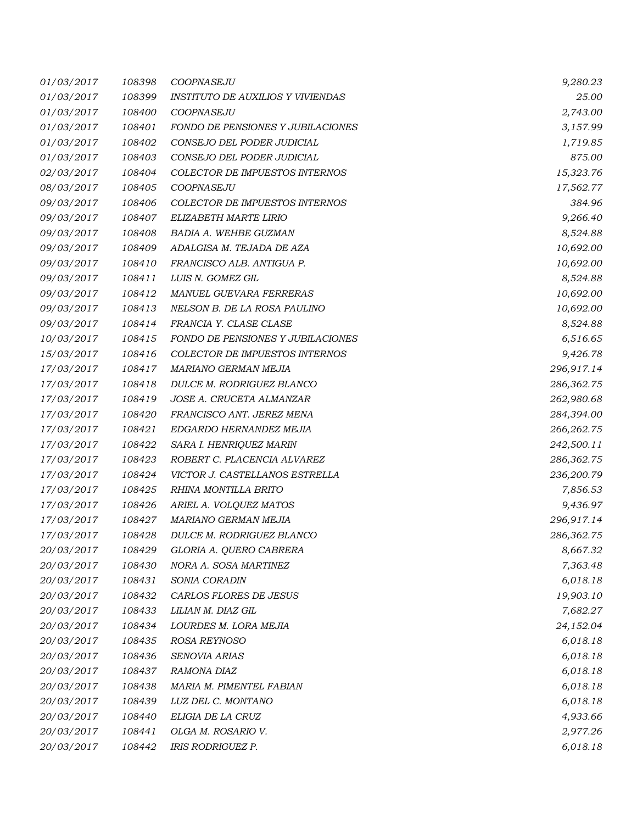| 01/03/2017 | 108398 | COOPNASEJU                               | 9,280.23    |
|------------|--------|------------------------------------------|-------------|
| 01/03/2017 | 108399 | <b>INSTITUTO DE AUXILIOS Y VIVIENDAS</b> | 25.00       |
| 01/03/2017 | 108400 | COOPNASEJU                               | 2,743.00    |
| 01/03/2017 | 108401 | FONDO DE PENSIONES Y JUBILACIONES        | 3,157.99    |
| 01/03/2017 | 108402 | CONSEJO DEL PODER JUDICIAL               | 1,719.85    |
| 01/03/2017 | 108403 | CONSEJO DEL PODER JUDICIAL               | 875.00      |
| 02/03/2017 | 108404 | COLECTOR DE IMPUESTOS INTERNOS           | 15,323.76   |
| 08/03/2017 | 108405 | COOPNASEJU                               | 17,562.77   |
| 09/03/2017 | 108406 | COLECTOR DE IMPUESTOS INTERNOS           | 384.96      |
| 09/03/2017 | 108407 | ELIZABETH MARTE LIRIO                    | 9,266.40    |
| 09/03/2017 | 108408 | <b>BADIA A. WEHBE GUZMAN</b>             | 8,524.88    |
| 09/03/2017 | 108409 | ADALGISA M. TEJADA DE AZA                | 10,692.00   |
| 09/03/2017 | 108410 | FRANCISCO ALB. ANTIGUA P.                | 10,692.00   |
| 09/03/2017 | 108411 | LUIS N. GOMEZ GIL                        | 8,524.88    |
| 09/03/2017 | 108412 | MANUEL GUEVARA FERRERAS                  | 10,692.00   |
| 09/03/2017 | 108413 | NELSON B. DE LA ROSA PAULINO             | 10,692.00   |
| 09/03/2017 | 108414 | FRANCIA Y. CLASE CLASE                   | 8,524.88    |
| 10/03/2017 | 108415 | FONDO DE PENSIONES Y JUBILACIONES        | 6,516.65    |
| 15/03/2017 | 108416 | COLECTOR DE IMPUESTOS INTERNOS           | 9,426.78    |
| 17/03/2017 | 108417 | MARIANO GERMAN MEJIA                     | 296,917.14  |
| 17/03/2017 | 108418 | DULCE M. RODRIGUEZ BLANCO                | 286,362.75  |
| 17/03/2017 | 108419 | JOSE A. CRUCETA ALMANZAR                 | 262,980.68  |
| 17/03/2017 | 108420 | FRANCISCO ANT. JEREZ MENA                | 284,394.00  |
| 17/03/2017 | 108421 | EDGARDO HERNANDEZ MEJIA                  | 266, 262.75 |
| 17/03/2017 | 108422 | SARA I. HENRIQUEZ MARIN                  | 242,500.11  |
| 17/03/2017 | 108423 | ROBERT C. PLACENCIA ALVAREZ              | 286,362.75  |
| 17/03/2017 | 108424 | VICTOR J. CASTELLANOS ESTRELLA           | 236,200.79  |
| 17/03/2017 | 108425 | RHINA MONTILLA BRITO                     | 7,856.53    |
| 17/03/2017 | 108426 | ARIEL A. VOLQUEZ MATOS                   | 9,436.97    |
| 17/03/2017 | 108427 | MARIANO GERMAN MEJIA                     | 296,917.14  |
| 17/03/2017 | 108428 | DULCE M. RODRIGUEZ BLANCO                | 286,362.75  |
| 20/03/2017 | 108429 | GLORIA A. QUERO CABRERA                  | 8,667.32    |
| 20/03/2017 | 108430 | NORA A. SOSA MARTINEZ                    | 7,363.48    |
| 20/03/2017 | 108431 | SONIA CORADIN                            | 6,018.18    |
| 20/03/2017 | 108432 | CARLOS FLORES DE JESUS                   | 19,903.10   |
| 20/03/2017 | 108433 | LILIAN M. DIAZ GIL                       | 7,682.27    |
| 20/03/2017 | 108434 | LOURDES M. LORA MEJIA                    | 24,152.04   |
| 20/03/2017 | 108435 | ROSA REYNOSO                             | 6,018.18    |
| 20/03/2017 | 108436 | SENOVIA ARIAS                            | 6,018.18    |
| 20/03/2017 | 108437 | RAMONA DIAZ                              | 6,018.18    |
| 20/03/2017 | 108438 | MARIA M. PIMENTEL FABIAN                 | 6,018.18    |
| 20/03/2017 | 108439 | LUZ DEL C. MONTANO                       | 6,018.18    |
| 20/03/2017 | 108440 | ELIGIA DE LA CRUZ                        | 4,933.66    |
| 20/03/2017 | 108441 | OLGA M. ROSARIO V.                       | 2,977.26    |
| 20/03/2017 | 108442 | IRIS RODRIGUEZ P.                        | 6,018.18    |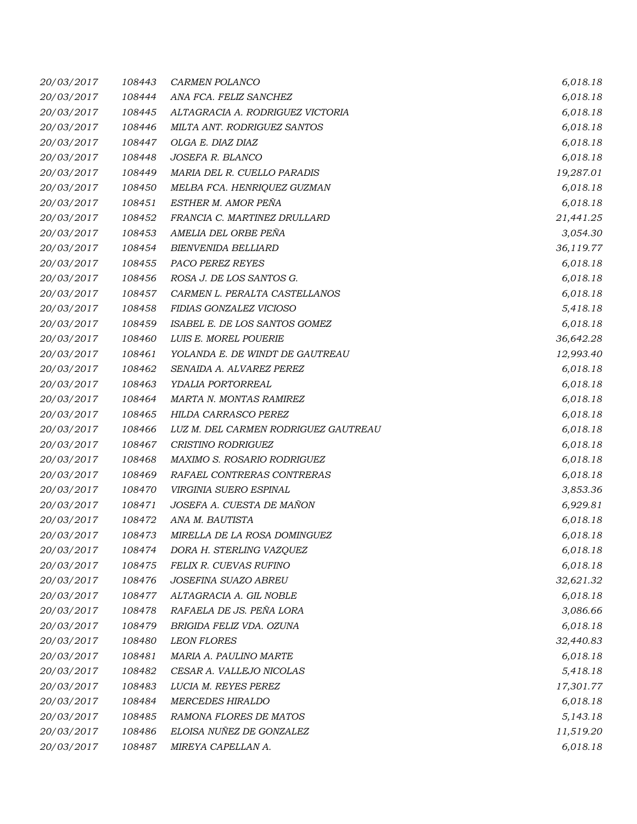| <i>20/03/2017</i> | 108443 | <b>CARMEN POLANCO</b>                | 6,018.18  |
|-------------------|--------|--------------------------------------|-----------|
| 20/03/2017        | 108444 | ANA FCA. FELIZ SANCHEZ               | 6,018.18  |
| 20/03/2017        | 108445 | ALTAGRACIA A. RODRIGUEZ VICTORIA     | 6,018.18  |
| 20/03/2017        | 108446 | MILTA ANT. RODRIGUEZ SANTOS          | 6,018.18  |
| 20/03/2017        | 108447 | OLGA E. DIAZ DIAZ                    | 6,018.18  |
| 20/03/2017        | 108448 | JOSEFA R. BLANCO                     | 6,018.18  |
| 20/03/2017        | 108449 | MARIA DEL R. CUELLO PARADIS          | 19,287.01 |
| 20/03/2017        | 108450 | MELBA FCA. HENRIQUEZ GUZMAN          | 6,018.18  |
| 20/03/2017        | 108451 | ESTHER M. AMOR PEÑA                  | 6,018.18  |
| <i>20/03/2017</i> | 108452 | FRANCIA C. MARTINEZ DRULLARD         | 21,441.25 |
| 20/03/2017        | 108453 | AMELIA DEL ORBE PEÑA                 | 3,054.30  |
| 20/03/2017        | 108454 | <b>BIENVENIDA BELLIARD</b>           | 36,119.77 |
| 20/03/2017        | 108455 | PACO PEREZ REYES                     | 6,018.18  |
| 20/03/2017        | 108456 | ROSA J. DE LOS SANTOS G.             | 6,018.18  |
| 20/03/2017        | 108457 | CARMEN L. PERALTA CASTELLANOS        | 6,018.18  |
| 20/03/2017        | 108458 | FIDIAS GONZALEZ VICIOSO              | 5,418.18  |
| 20/03/2017        | 108459 | ISABEL E. DE LOS SANTOS GOMEZ        | 6,018.18  |
| 20/03/2017        | 108460 | LUIS E. MOREL POUERIE                | 36,642.28 |
| 20/03/2017        | 108461 | YOLANDA E. DE WINDT DE GAUTREAU      | 12,993.40 |
| 20/03/2017        | 108462 | SENAIDA A. ALVAREZ PEREZ             | 6,018.18  |
| 20/03/2017        | 108463 | YDALIA PORTORREAL                    | 6,018.18  |
| 20/03/2017        | 108464 | MARTA N. MONTAS RAMIREZ              | 6,018.18  |
| 20/03/2017        | 108465 | HILDA CARRASCO PEREZ                 | 6,018.18  |
| 20/03/2017        | 108466 | LUZ M. DEL CARMEN RODRIGUEZ GAUTREAU | 6,018.18  |
| 20/03/2017        | 108467 | <b>CRISTINO RODRIGUEZ</b>            | 6,018.18  |
| 20/03/2017        | 108468 | MAXIMO S. ROSARIO RODRIGUEZ          | 6,018.18  |
| 20/03/2017        | 108469 | RAFAEL CONTRERAS CONTRERAS           | 6,018.18  |
| 20/03/2017        | 108470 | <b>VIRGINIA SUERO ESPINAL</b>        | 3,853.36  |
| 20/03/2017        | 108471 | JOSEFA A. CUESTA DE MAÑON            | 6,929.81  |
| 20/03/2017        | 108472 | ANA M. BAUTISTA                      | 6,018.18  |
| 20/03/2017        | 108473 | MIRELLA DE LA ROSA DOMINGUEZ         | 6,018.18  |
| 20/03/2017        | 108474 | DORA H. STERLING VAZQUEZ             | 6,018.18  |
| 20/03/2017        | 108475 | FELIX R. CUEVAS RUFINO               | 6,018.18  |
| 20/03/2017        | 108476 | JOSEFINA SUAZO ABREU                 | 32,621.32 |
| 20/03/2017        | 108477 | ALTAGRACIA A. GIL NOBLE              | 6,018.18  |
| 20/03/2017        | 108478 | RAFAELA DE JS. PEÑA LORA             | 3,086.66  |
| 20/03/2017        | 108479 | BRIGIDA FELIZ VDA. OZUNA             | 6,018.18  |
| 20/03/2017        | 108480 | <b>LEON FLORES</b>                   | 32,440.83 |
| 20/03/2017        | 108481 | MARIA A. PAULINO MARTE               | 6,018.18  |
| 20/03/2017        | 108482 | CESAR A. VALLEJO NICOLAS             | 5,418.18  |
| 20/03/2017        | 108483 | LUCIA M. REYES PEREZ                 | 17,301.77 |
| 20/03/2017        | 108484 | <b>MERCEDES HIRALDO</b>              | 6,018.18  |
| 20/03/2017        | 108485 | RAMONA FLORES DE MATOS               | 5,143.18  |
| 20/03/2017        | 108486 | ELOISA NUÑEZ DE GONZALEZ             | 11,519.20 |
| 20/03/2017        | 108487 | MIREYA CAPELLAN A.                   | 6,018.18  |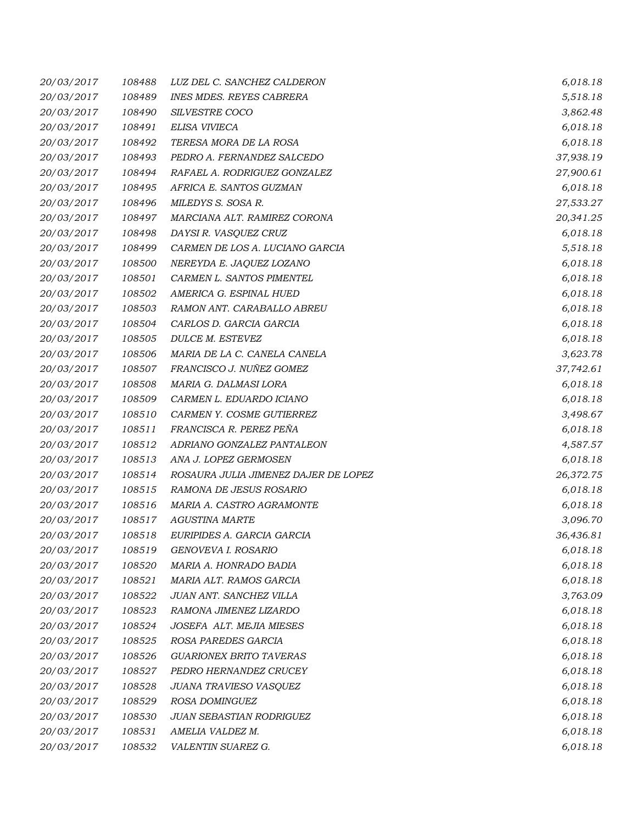| 20/03/2017 | 108488 | LUZ DEL C. SANCHEZ CALDERON          | 6,018.18  |
|------------|--------|--------------------------------------|-----------|
| 20/03/2017 | 108489 | <b>INES MDES. REYES CABRERA</b>      | 5,518.18  |
| 20/03/2017 | 108490 | SILVESTRE COCO                       | 3,862.48  |
| 20/03/2017 | 108491 | ELISA VIVIECA                        | 6,018.18  |
| 20/03/2017 | 108492 | TERESA MORA DE LA ROSA               | 6,018.18  |
| 20/03/2017 | 108493 | PEDRO A. FERNANDEZ SALCEDO           | 37,938.19 |
| 20/03/2017 | 108494 | RAFAEL A. RODRIGUEZ GONZALEZ         | 27,900.61 |
| 20/03/2017 | 108495 | AFRICA E. SANTOS GUZMAN              | 6,018.18  |
| 20/03/2017 | 108496 | MILEDYS S. SOSA R.                   | 27,533.27 |
| 20/03/2017 | 108497 | MARCIANA ALT. RAMIREZ CORONA         | 20,341.25 |
| 20/03/2017 | 108498 | DAYSI R. VASQUEZ CRUZ                | 6,018.18  |
| 20/03/2017 | 108499 | CARMEN DE LOS A. LUCIANO GARCIA      | 5,518.18  |
| 20/03/2017 | 108500 | NEREYDA E. JAQUEZ LOZANO             | 6,018.18  |
| 20/03/2017 | 108501 | CARMEN L. SANTOS PIMENTEL            | 6,018.18  |
| 20/03/2017 | 108502 | AMERICA G. ESPINAL HUED              | 6,018.18  |
| 20/03/2017 | 108503 | RAMON ANT. CARABALLO ABREU           | 6,018.18  |
| 20/03/2017 | 108504 | CARLOS D. GARCIA GARCIA              | 6,018.18  |
| 20/03/2017 | 108505 | DULCE M. ESTEVEZ                     | 6,018.18  |
| 20/03/2017 | 108506 | MARIA DE LA C. CANELA CANELA         | 3,623.78  |
| 20/03/2017 | 108507 | FRANCISCO J. NUÑEZ GOMEZ             | 37,742.61 |
| 20/03/2017 | 108508 | MARIA G. DALMASI LORA                | 6,018.18  |
| 20/03/2017 | 108509 | CARMEN L. EDUARDO ICIANO             | 6,018.18  |
| 20/03/2017 | 108510 | CARMEN Y. COSME GUTIERREZ            | 3,498.67  |
| 20/03/2017 | 108511 | FRANCISCA R. PEREZ PEÑA              | 6,018.18  |
| 20/03/2017 | 108512 | ADRIANO GONZALEZ PANTALEON           | 4,587.57  |
| 20/03/2017 | 108513 | ANA J. LOPEZ GERMOSEN                | 6,018.18  |
| 20/03/2017 | 108514 | ROSAURA JULIA JIMENEZ DAJER DE LOPEZ | 26,372.75 |
| 20/03/2017 | 108515 | RAMONA DE JESUS ROSARIO              | 6,018.18  |
| 20/03/2017 | 108516 | MARIA A. CASTRO AGRAMONTE            | 6,018.18  |
| 20/03/2017 | 108517 | <b>AGUSTINA MARTE</b>                | 3,096.70  |
| 20/03/2017 | 108518 | EURIPIDES A. GARCIA GARCIA           | 36,436.81 |
| 20/03/2017 | 108519 | GENOVEVA I. ROSARIO                  | 6,018.18  |
| 20/03/2017 | 108520 | MARIA A. HONRADO BADIA               | 6,018.18  |
| 20/03/2017 | 108521 | MARIA ALT. RAMOS GARCIA              | 6,018.18  |
| 20/03/2017 | 108522 | JUAN ANT. SANCHEZ VILLA              | 3,763.09  |
| 20/03/2017 | 108523 | RAMONA JIMENEZ LIZARDO               | 6,018.18  |
| 20/03/2017 | 108524 | JOSEFA ALT. MEJIA MIESES             | 6,018.18  |
| 20/03/2017 | 108525 | ROSA PAREDES GARCIA                  | 6,018.18  |
| 20/03/2017 | 108526 | <b>GUARIONEX BRITO TAVERAS</b>       | 6,018.18  |
| 20/03/2017 | 108527 | PEDRO HERNANDEZ CRUCEY               | 6,018.18  |
| 20/03/2017 | 108528 | JUANA TRAVIESO VASQUEZ               | 6,018.18  |
| 20/03/2017 | 108529 | ROSA DOMINGUEZ                       | 6,018.18  |
| 20/03/2017 | 108530 | JUAN SEBASTIAN RODRIGUEZ             | 6,018.18  |
| 20/03/2017 | 108531 | AMELIA VALDEZ M.                     | 6,018.18  |
| 20/03/2017 | 108532 | VALENTIN SUAREZ G.                   | 6,018.18  |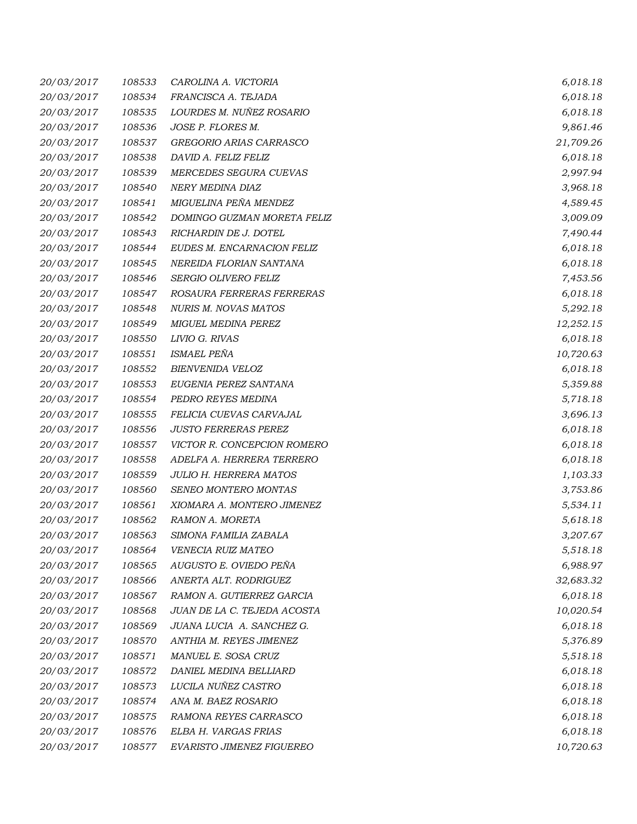| 20/03/2017 | 108533 | CAROLINA A. VICTORIA          | 6,018.18  |
|------------|--------|-------------------------------|-----------|
| 20/03/2017 | 108534 | FRANCISCA A. TEJADA           | 6,018.18  |
| 20/03/2017 | 108535 | LOURDES M. NUÑEZ ROSARIO      | 6,018.18  |
| 20/03/2017 | 108536 | JOSE P. FLORES M.             | 9,861.46  |
| 20/03/2017 | 108537 | GREGORIO ARIAS CARRASCO       | 21,709.26 |
| 20/03/2017 | 108538 | DAVID A. FELIZ FELIZ          | 6,018.18  |
| 20/03/2017 | 108539 | MERCEDES SEGURA CUEVAS        | 2,997.94  |
| 20/03/2017 | 108540 | NERY MEDINA DIAZ              | 3,968.18  |
| 20/03/2017 | 108541 | MIGUELINA PEÑA MENDEZ         | 4,589.45  |
| 20/03/2017 | 108542 | DOMINGO GUZMAN MORETA FELIZ   | 3,009.09  |
| 20/03/2017 | 108543 | RICHARDIN DE J. DOTEL         | 7,490.44  |
| 20/03/2017 | 108544 | EUDES M. ENCARNACION FELIZ    | 6,018.18  |
| 20/03/2017 | 108545 | NEREIDA FLORIAN SANTANA       | 6,018.18  |
| 20/03/2017 | 108546 | <b>SERGIO OLIVERO FELIZ</b>   | 7,453.56  |
| 20/03/2017 | 108547 | ROSAURA FERRERAS FERRERAS     | 6,018.18  |
| 20/03/2017 | 108548 | <b>NURIS M. NOVAS MATOS</b>   | 5,292.18  |
| 20/03/2017 | 108549 | <b>MIGUEL MEDINA PEREZ</b>    | 12,252.15 |
| 20/03/2017 | 108550 | LIVIO G. RIVAS                | 6,018.18  |
| 20/03/2017 | 108551 | ISMAEL PEÑA                   | 10,720.63 |
| 20/03/2017 | 108552 | BIENVENIDA VELOZ              | 6,018.18  |
| 20/03/2017 | 108553 | EUGENIA PEREZ SANTANA         | 5,359.88  |
| 20/03/2017 | 108554 | PEDRO REYES MEDINA            | 5,718.18  |
| 20/03/2017 | 108555 | FELICIA CUEVAS CARVAJAL       | 3,696.13  |
| 20/03/2017 | 108556 | <b>JUSTO FERRERAS PEREZ</b>   | 6,018.18  |
| 20/03/2017 | 108557 | VICTOR R. CONCEPCION ROMERO   | 6,018.18  |
| 20/03/2017 | 108558 | ADELFA A. HERRERA TERRERO     | 6,018.18  |
| 20/03/2017 | 108559 | <b>JULIO H. HERRERA MATOS</b> | 1,103.33  |
| 20/03/2017 | 108560 | SENEO MONTERO MONTAS          | 3,753.86  |
| 20/03/2017 | 108561 | XIOMARA A. MONTERO JIMENEZ    | 5,534.11  |
| 20/03/2017 | 108562 | RAMON A. MORETA               | 5,618.18  |
| 20/03/2017 | 108563 | SIMONA FAMILIA ZABALA         | 3,207.67  |
| 20/03/2017 | 108564 | VENECIA RUIZ MATEO            | 5,518.18  |
| 20/03/2017 | 108565 | AUGUSTO E. OVIEDO PEÑA        | 6,988.97  |
| 20/03/2017 | 108566 | ANERTA ALT. RODRIGUEZ         | 32,683.32 |
| 20/03/2017 | 108567 | RAMON A. GUTIERREZ GARCIA     | 6,018.18  |
| 20/03/2017 | 108568 | JUAN DE LA C. TEJEDA ACOSTA   | 10,020.54 |
| 20/03/2017 | 108569 | JUANA LUCIA A. SANCHEZ G.     | 6,018.18  |
| 20/03/2017 | 108570 | ANTHIA M. REYES JIMENEZ       | 5,376.89  |
| 20/03/2017 | 108571 | MANUEL E. SOSA CRUZ           | 5,518.18  |
| 20/03/2017 | 108572 | DANIEL MEDINA BELLIARD        | 6,018.18  |
| 20/03/2017 | 108573 | LUCILA NUÑEZ CASTRO           | 6,018.18  |
| 20/03/2017 | 108574 | ANA M. BAEZ ROSARIO           | 6,018.18  |
| 20/03/2017 | 108575 | RAMONA REYES CARRASCO         | 6,018.18  |
| 20/03/2017 | 108576 | ELBA H. VARGAS FRIAS          | 6,018.18  |
| 20/03/2017 | 108577 | EVARISTO JIMENEZ FIGUEREO     | 10,720.63 |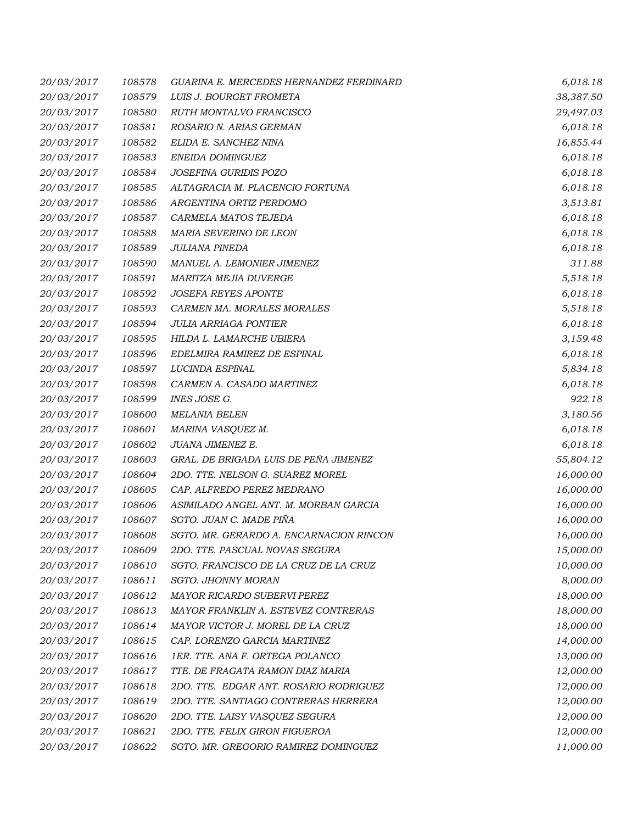| 20/03/2017 | 108578 | GUARINA E. MERCEDES HERNANDEZ FERDINARD | 6,018.18  |
|------------|--------|-----------------------------------------|-----------|
| 20/03/2017 | 108579 | LUIS J. BOURGET FROMETA                 | 38,387.50 |
| 20/03/2017 | 108580 | RUTH MONTALVO FRANCISCO                 | 29,497.03 |
| 20/03/2017 | 108581 | ROSARIO N. ARIAS GERMAN                 | 6,018.18  |
| 20/03/2017 | 108582 | ELIDA E. SANCHEZ NINA                   | 16,855.44 |
| 20/03/2017 | 108583 | ENEIDA DOMINGUEZ                        | 6,018.18  |
| 20/03/2017 | 108584 | JOSEFINA GURIDIS POZO                   | 6,018.18  |
| 20/03/2017 | 108585 | ALTAGRACIA M. PLACENCIO FORTUNA         | 6,018.18  |
| 20/03/2017 | 108586 | ARGENTINA ORTIZ PERDOMO                 | 3,513.81  |
| 20/03/2017 | 108587 | CARMELA MATOS TEJEDA                    | 6,018.18  |
| 20/03/2017 | 108588 | MARIA SEVERINO DE LEON                  | 6,018.18  |
| 20/03/2017 | 108589 | JULIANA PINEDA                          | 6,018.18  |
| 20/03/2017 | 108590 | MANUEL A. LEMONIER JIMENEZ              | 311.88    |
| 20/03/2017 | 108591 | MARITZA MEJIA DUVERGE                   | 5,518.18  |
| 20/03/2017 | 108592 | <b>JOSEFA REYES APONTE</b>              | 6,018.18  |
| 20/03/2017 | 108593 | CARMEN MA. MORALES MORALES              | 5,518.18  |
| 20/03/2017 | 108594 | <b>JULIA ARRIAGA PONTIER</b>            | 6,018.18  |
| 20/03/2017 | 108595 | HILDA L. LAMARCHE UBIERA                | 3,159.48  |
| 20/03/2017 | 108596 | EDELMIRA RAMIREZ DE ESPINAL             | 6,018.18  |
| 20/03/2017 | 108597 | LUCINDA ESPINAL                         | 5,834.18  |
| 20/03/2017 | 108598 | CARMEN A. CASADO MARTINEZ               | 6,018.18  |
| 20/03/2017 | 108599 | INES JOSE G.                            | 922.18    |
| 20/03/2017 | 108600 | MELANIA BELEN                           | 3,180.56  |
| 20/03/2017 | 108601 | MARINA VASQUEZ M.                       | 6,018.18  |
| 20/03/2017 | 108602 | JUANA JIMENEZ E.                        | 6,018.18  |
| 20/03/2017 | 108603 | GRAL. DE BRIGADA LUIS DE PEÑA JIMENEZ   | 55,804.12 |
| 20/03/2017 | 108604 | 2DO. TTE. NELSON G. SUAREZ MOREL        | 16,000.00 |
| 20/03/2017 | 108605 | CAP. ALFREDO PEREZ MEDRANO              | 16,000.00 |
| 20/03/2017 | 108606 | ASIMILADO ANGEL ANT. M. MORBAN GARCIA   | 16,000.00 |
| 20/03/2017 | 108607 | SGTO. JUAN C. MADE PIÑA                 | 16,000.00 |
| 20/03/2017 | 108608 | SGTO. MR. GERARDO A. ENCARNACION RINCON | 16,000.00 |
| 20/03/2017 | 108609 | 2DO. TTE. PASCUAL NOVAS SEGURA          | 15,000.00 |
| 20/03/2017 | 108610 | SGTO. FRANCISCO DE LA CRUZ DE LA CRUZ   | 10,000.00 |
| 20/03/2017 | 108611 | SGTO. JHONNY MORAN                      | 8,000.00  |
| 20/03/2017 | 108612 | MAYOR RICARDO SUBERVI PEREZ             | 18,000.00 |
| 20/03/2017 | 108613 | MAYOR FRANKLIN A. ESTEVEZ CONTRERAS     | 18,000.00 |
| 20/03/2017 | 108614 | MAYOR VICTOR J. MOREL DE LA CRUZ        | 18,000.00 |
| 20/03/2017 | 108615 | CAP. LORENZO GARCIA MARTINEZ            | 14,000.00 |
| 20/03/2017 | 108616 | 1ER. TTE. ANA F. ORTEGA POLANCO         | 13,000.00 |
| 20/03/2017 | 108617 | TTE. DE FRAGATA RAMON DIAZ MARIA        | 12,000.00 |
| 20/03/2017 | 108618 | 2DO. TTE. EDGAR ANT. ROSARIO RODRIGUEZ  | 12,000.00 |
| 20/03/2017 | 108619 | 2DO. TTE. SANTIAGO CONTRERAS HERRERA    | 12,000.00 |
| 20/03/2017 | 108620 | 2DO. TTE. LAISY VASQUEZ SEGURA          | 12,000.00 |
| 20/03/2017 | 108621 | 2DO. TTE. FELIX GIRON FIGUEROA          | 12,000.00 |
| 20/03/2017 | 108622 | SGTO. MR. GREGORIO RAMIREZ DOMINGUEZ    | 11,000.00 |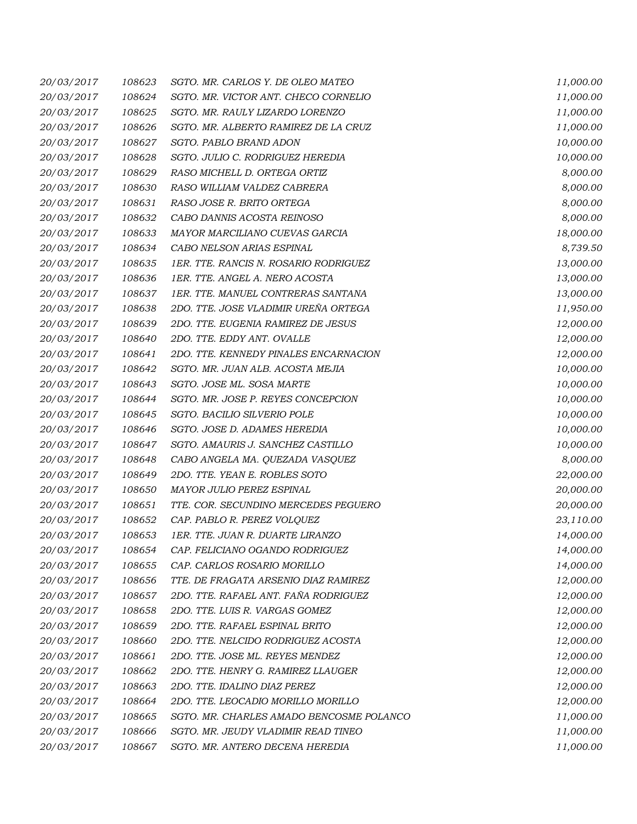| 20/03/2017 | 108623 | SGTO. MR. CARLOS Y. DE OLEO MATEO        | 11,000.00 |
|------------|--------|------------------------------------------|-----------|
| 20/03/2017 | 108624 | SGTO. MR. VICTOR ANT. CHECO CORNELIO     | 11,000.00 |
| 20/03/2017 | 108625 | SGTO. MR. RAULY LIZARDO LORENZO          | 11,000.00 |
| 20/03/2017 | 108626 | SGTO. MR. ALBERTO RAMIREZ DE LA CRUZ     | 11,000.00 |
| 20/03/2017 | 108627 | SGTO. PABLO BRAND ADON                   | 10,000.00 |
| 20/03/2017 | 108628 | SGTO. JULIO C. RODRIGUEZ HEREDIA         | 10,000.00 |
| 20/03/2017 | 108629 | RASO MICHELL D. ORTEGA ORTIZ             | 8,000.00  |
| 20/03/2017 | 108630 | RASO WILLIAM VALDEZ CABRERA              | 8,000.00  |
| 20/03/2017 | 108631 | RASO JOSE R. BRITO ORTEGA                | 8,000.00  |
| 20/03/2017 | 108632 | CABO DANNIS ACOSTA REINOSO               | 8,000.00  |
| 20/03/2017 | 108633 | MAYOR MARCILIANO CUEVAS GARCIA           | 18,000.00 |
| 20/03/2017 | 108634 | CABO NELSON ARIAS ESPINAL                | 8,739.50  |
| 20/03/2017 | 108635 | 1ER. TTE. RANCIS N. ROSARIO RODRIGUEZ    | 13,000.00 |
| 20/03/2017 | 108636 | 1ER. TTE. ANGEL A. NERO ACOSTA           | 13,000.00 |
| 20/03/2017 | 108637 | 1ER. TTE. MANUEL CONTRERAS SANTANA       | 13,000.00 |
| 20/03/2017 | 108638 | 2DO. TTE. JOSE VLADIMIR UREÑA ORTEGA     | 11,950.00 |
| 20/03/2017 | 108639 | 2DO. TTE. EUGENIA RAMIREZ DE JESUS       | 12,000.00 |
| 20/03/2017 | 108640 | 2DO. TTE. EDDY ANT. OVALLE               | 12,000.00 |
| 20/03/2017 | 108641 | 2DO. TTE. KENNEDY PINALES ENCARNACION    | 12,000.00 |
| 20/03/2017 | 108642 | SGTO. MR. JUAN ALB. ACOSTA MEJIA         | 10,000.00 |
| 20/03/2017 | 108643 | SGTO. JOSE ML. SOSA MARTE                | 10,000.00 |
| 20/03/2017 | 108644 | SGTO. MR. JOSE P. REYES CONCEPCION       | 10,000.00 |
| 20/03/2017 | 108645 | SGTO. BACILIO SILVERIO POLE              | 10,000.00 |
| 20/03/2017 | 108646 | SGTO. JOSE D. ADAMES HEREDIA             | 10,000.00 |
| 20/03/2017 | 108647 | SGTO. AMAURIS J. SANCHEZ CASTILLO        | 10,000.00 |
| 20/03/2017 | 108648 | CABO ANGELA MA. QUEZADA VASQUEZ          | 8,000.00  |
| 20/03/2017 | 108649 | 2DO. TTE. YEAN E. ROBLES SOTO            | 22,000.00 |
| 20/03/2017 | 108650 | MAYOR JULIO PEREZ ESPINAL                | 20,000.00 |
| 20/03/2017 | 108651 | TTE. COR. SECUNDINO MERCEDES PEGUERO     | 20,000.00 |
| 20/03/2017 | 108652 | CAP. PABLO R. PEREZ VOLQUEZ              | 23,110.00 |
| 20/03/2017 | 108653 | 1ER. TTE. JUAN R. DUARTE LIRANZO         | 14,000.00 |
| 20/03/2017 | 108654 | CAP. FELICIANO OGANDO RODRIGUEZ          | 14,000.00 |
| 20/03/2017 | 108655 | CAP. CARLOS ROSARIO MORILLO              | 14,000.00 |
| 20/03/2017 | 108656 | TTE. DE FRAGATA ARSENIO DIAZ RAMIREZ     | 12,000.00 |
| 20/03/2017 | 108657 | 2DO. TTE. RAFAEL ANT. FAÑA RODRIGUEZ     | 12,000.00 |
| 20/03/2017 | 108658 | 2DO. TTE. LUIS R. VARGAS GOMEZ           | 12,000.00 |
| 20/03/2017 | 108659 | 2DO. TTE. RAFAEL ESPINAL BRITO           | 12,000.00 |
| 20/03/2017 | 108660 | 2DO. TTE. NELCIDO RODRIGUEZ ACOSTA       | 12,000.00 |
| 20/03/2017 | 108661 | 2DO. TTE. JOSE ML. REYES MENDEZ          | 12,000.00 |
| 20/03/2017 | 108662 | 2DO. TTE. HENRY G. RAMIREZ LLAUGER       | 12,000.00 |
| 20/03/2017 | 108663 | 2DO. TTE. IDALINO DIAZ PEREZ             | 12,000.00 |
| 20/03/2017 | 108664 | 2DO. TTE. LEOCADIO MORILLO MORILLO       | 12,000.00 |
| 20/03/2017 | 108665 | SGTO. MR. CHARLES AMADO BENCOSME POLANCO | 11,000.00 |
| 20/03/2017 | 108666 | SGTO. MR. JEUDY VLADIMIR READ TINEO      | 11,000.00 |
| 20/03/2017 | 108667 | SGTO. MR. ANTERO DECENA HEREDIA          | 11,000.00 |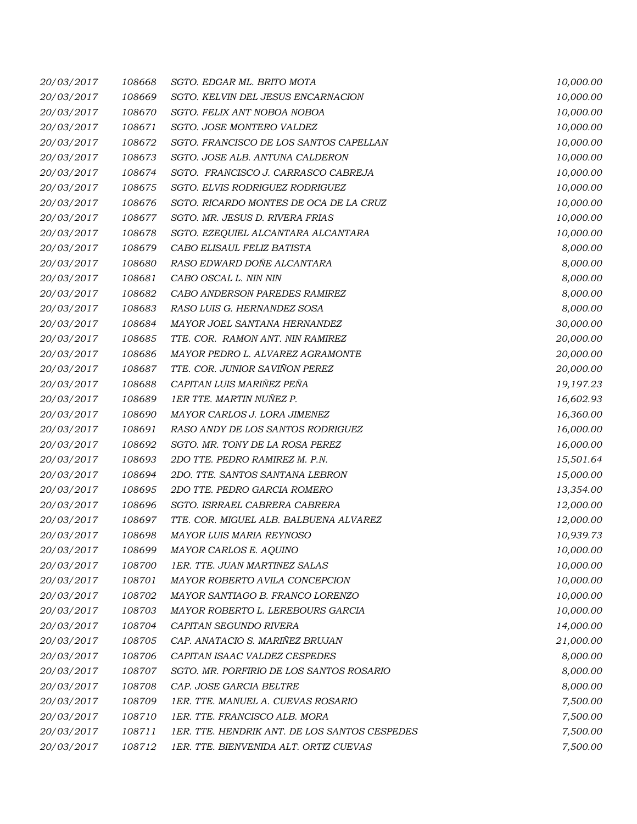| 20/03/2017 | 108668 | SGTO. EDGAR ML. BRITO MOTA                    | 10,000.00 |
|------------|--------|-----------------------------------------------|-----------|
| 20/03/2017 | 108669 | SGTO. KELVIN DEL JESUS ENCARNACION            | 10,000.00 |
| 20/03/2017 | 108670 | SGTO. FELIX ANT NOBOA NOBOA                   | 10,000.00 |
| 20/03/2017 | 108671 | SGTO. JOSE MONTERO VALDEZ                     | 10,000.00 |
| 20/03/2017 | 108672 | SGTO. FRANCISCO DE LOS SANTOS CAPELLAN        | 10,000.00 |
| 20/03/2017 | 108673 | SGTO. JOSE ALB. ANTUNA CALDERON               | 10,000.00 |
| 20/03/2017 | 108674 | SGTO. FRANCISCO J. CARRASCO CABREJA           | 10,000.00 |
| 20/03/2017 | 108675 | SGTO. ELVIS RODRIGUEZ RODRIGUEZ               | 10,000.00 |
| 20/03/2017 | 108676 | SGTO. RICARDO MONTES DE OCA DE LA CRUZ        | 10,000.00 |
| 20/03/2017 | 108677 | SGTO. MR. JESUS D. RIVERA FRIAS               | 10,000.00 |
| 20/03/2017 | 108678 | SGTO. EZEQUIEL ALCANTARA ALCANTARA            | 10,000.00 |
| 20/03/2017 | 108679 | CABO ELISAUL FELIZ BATISTA                    | 8,000.00  |
| 20/03/2017 | 108680 | RASO EDWARD DOÑE ALCANTARA                    | 8,000.00  |
| 20/03/2017 | 108681 | CABO OSCAL L. NIN NIN                         | 8,000.00  |
| 20/03/2017 | 108682 | CABO ANDERSON PAREDES RAMIREZ                 | 8,000.00  |
| 20/03/2017 | 108683 | RASO LUIS G. HERNANDEZ SOSA                   | 8,000.00  |
| 20/03/2017 | 108684 | MAYOR JOEL SANTANA HERNANDEZ                  | 30,000.00 |
| 20/03/2017 | 108685 | TTE. COR. RAMON ANT. NIN RAMIREZ              | 20,000.00 |
| 20/03/2017 | 108686 | MAYOR PEDRO L. ALVAREZ AGRAMONTE              | 20,000.00 |
| 20/03/2017 | 108687 | TTE. COR. JUNIOR SAVIÑON PEREZ                | 20,000.00 |
| 20/03/2017 | 108688 | CAPITAN LUIS MARIÑEZ PEÑA                     | 19,197.23 |
| 20/03/2017 | 108689 | 1ER TTE. MARTIN NUÑEZ P.                      | 16,602.93 |
| 20/03/2017 | 108690 | MAYOR CARLOS J. LORA JIMENEZ                  | 16,360.00 |
| 20/03/2017 | 108691 | RASO ANDY DE LOS SANTOS RODRIGUEZ             | 16,000.00 |
| 20/03/2017 | 108692 | SGTO. MR. TONY DE LA ROSA PEREZ               | 16,000.00 |
| 20/03/2017 | 108693 | 2DO TTE. PEDRO RAMIREZ M. P.N.                | 15,501.64 |
| 20/03/2017 | 108694 | 2DO. TTE. SANTOS SANTANA LEBRON               | 15,000.00 |
| 20/03/2017 | 108695 | 2DO TTE. PEDRO GARCIA ROMERO                  | 13,354.00 |
| 20/03/2017 | 108696 | SGTO. ISRRAEL CABRERA CABRERA                 | 12,000.00 |
| 20/03/2017 | 108697 | TTE. COR. MIGUEL ALB. BALBUENA ALVAREZ        | 12,000.00 |
| 20/03/2017 | 108698 | MAYOR LUIS MARIA REYNOSO                      | 10,939.73 |
| 20/03/2017 | 108699 | MAYOR CARLOS E. AQUINO                        | 10,000.00 |
| 20/03/2017 | 108700 | 1ER. TTE. JUAN MARTINEZ SALAS                 | 10,000.00 |
| 20/03/2017 | 108701 | MAYOR ROBERTO AVILA CONCEPCION                | 10,000.00 |
| 20/03/2017 | 108702 | MAYOR SANTIAGO B. FRANCO LORENZO              | 10,000.00 |
| 20/03/2017 | 108703 | MAYOR ROBERTO L. LEREBOURS GARCIA             | 10,000.00 |
| 20/03/2017 | 108704 | CAPITAN SEGUNDO RIVERA                        | 14,000.00 |
| 20/03/2017 | 108705 | CAP. ANATACIO S. MARIÑEZ BRUJAN               | 21,000.00 |
| 20/03/2017 | 108706 | CAPITAN ISAAC VALDEZ CESPEDES                 | 8,000.00  |
| 20/03/2017 | 108707 | SGTO. MR. PORFIRIO DE LOS SANTOS ROSARIO      | 8,000.00  |
| 20/03/2017 | 108708 | CAP. JOSE GARCIA BELTRE                       | 8,000.00  |
| 20/03/2017 | 108709 | 1ER. TTE. MANUEL A. CUEVAS ROSARIO            | 7,500.00  |
| 20/03/2017 | 108710 | 1ER. TTE. FRANCISCO ALB. MORA                 | 7,500.00  |
| 20/03/2017 | 108711 | 1ER. TTE. HENDRIK ANT. DE LOS SANTOS CESPEDES | 7,500.00  |
| 20/03/2017 | 108712 | 1ER. TTE. BIENVENIDA ALT. ORTIZ CUEVAS        | 7,500.00  |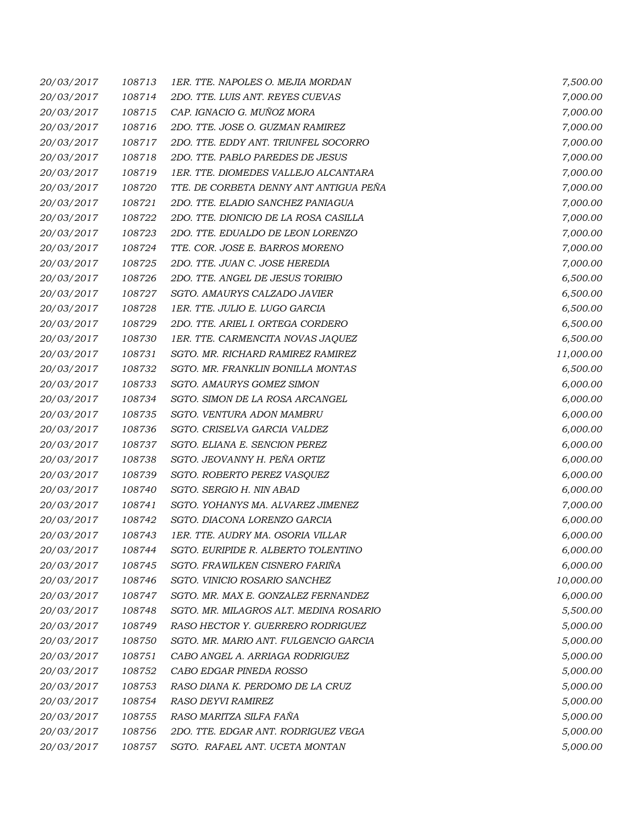| 20/03/2017 | 108713 | 1ER. TTE. NAPOLES O. MEJIA MORDAN      | 7,500.00  |
|------------|--------|----------------------------------------|-----------|
| 20/03/2017 | 108714 | 2DO. TTE. LUIS ANT. REYES CUEVAS       | 7,000.00  |
| 20/03/2017 | 108715 | CAP. IGNACIO G. MUÑOZ MORA             | 7,000.00  |
| 20/03/2017 | 108716 | 2DO. TTE. JOSE O. GUZMAN RAMIREZ       | 7,000.00  |
| 20/03/2017 | 108717 | 2DO. TTE. EDDY ANT. TRIUNFEL SOCORRO   | 7,000.00  |
| 20/03/2017 | 108718 | 2DO. TTE. PABLO PAREDES DE JESUS       | 7,000.00  |
| 20/03/2017 | 108719 | 1ER. TTE. DIOMEDES VALLEJO ALCANTARA   | 7,000.00  |
| 20/03/2017 | 108720 | TTE. DE CORBETA DENNY ANT ANTIGUA PEÑA | 7,000.00  |
| 20/03/2017 | 108721 | 2DO. TTE. ELADIO SANCHEZ PANIAGUA      | 7,000.00  |
| 20/03/2017 | 108722 | 2DO. TTE. DIONICIO DE LA ROSA CASILLA  | 7,000.00  |
| 20/03/2017 | 108723 | 2DO. TTE. EDUALDO DE LEON LORENZO      | 7,000.00  |
| 20/03/2017 | 108724 | TTE. COR. JOSE E. BARROS MORENO        | 7,000.00  |
| 20/03/2017 | 108725 | 2DO. TTE. JUAN C. JOSE HEREDIA         | 7,000.00  |
| 20/03/2017 | 108726 | 2DO. TTE. ANGEL DE JESUS TORIBIO       | 6,500.00  |
| 20/03/2017 | 108727 | SGTO. AMAURYS CALZADO JAVIER           | 6,500.00  |
| 20/03/2017 | 108728 | 1ER. TTE. JULIO E. LUGO GARCIA         | 6,500.00  |
| 20/03/2017 | 108729 | 2DO. TTE. ARIEL I. ORTEGA CORDERO      | 6,500.00  |
| 20/03/2017 | 108730 | 1ER. TTE. CARMENCITA NOVAS JAQUEZ      | 6,500.00  |
| 20/03/2017 | 108731 | SGTO. MR. RICHARD RAMIREZ RAMIREZ      | 11,000.00 |
| 20/03/2017 | 108732 | SGTO. MR. FRANKLIN BONILLA MONTAS      | 6,500.00  |
| 20/03/2017 | 108733 | SGTO. AMAURYS GOMEZ SIMON              | 6,000.00  |
| 20/03/2017 | 108734 | SGTO. SIMON DE LA ROSA ARCANGEL        | 6,000.00  |
| 20/03/2017 | 108735 | SGTO. VENTURA ADON MAMBRU              | 6,000.00  |
| 20/03/2017 | 108736 | SGTO. CRISELVA GARCIA VALDEZ           | 6,000.00  |
| 20/03/2017 | 108737 | SGTO. ELIANA E. SENCION PEREZ          | 6,000.00  |
| 20/03/2017 | 108738 | SGTO. JEOVANNY H. PEÑA ORTIZ           | 6,000.00  |
| 20/03/2017 | 108739 | SGTO. ROBERTO PEREZ VASQUEZ            | 6,000.00  |
| 20/03/2017 | 108740 | SGTO. SERGIO H. NIN ABAD               | 6,000.00  |
| 20/03/2017 | 108741 | SGTO. YOHANYS MA. ALVAREZ JIMENEZ      | 7,000.00  |
| 20/03/2017 | 108742 | SGTO. DIACONA LORENZO GARCIA           | 6,000.00  |
| 20/03/2017 | 108743 | 1ER. TTE. AUDRY MA. OSORIA VILLAR      | 6,000.00  |
| 20/03/2017 | 108744 | SGTO. EURIPIDE R. ALBERTO TOLENTINO    | 6,000.00  |
| 20/03/2017 | 108745 | SGTO. FRAWILKEN CISNERO FARIÑA         | 6,000.00  |
| 20/03/2017 | 108746 | SGTO. VINICIO ROSARIO SANCHEZ          | 10,000.00 |
| 20/03/2017 | 108747 | SGTO. MR. MAX E. GONZALEZ FERNANDEZ    | 6,000.00  |
| 20/03/2017 | 108748 | SGTO. MR. MILAGROS ALT. MEDINA ROSARIO | 5,500.00  |
| 20/03/2017 | 108749 | RASO HECTOR Y. GUERRERO RODRIGUEZ      | 5,000.00  |
| 20/03/2017 | 108750 | SGTO. MR. MARIO ANT. FULGENCIO GARCIA  | 5,000.00  |
| 20/03/2017 | 108751 | CABO ANGEL A. ARRIAGA RODRIGUEZ        | 5,000.00  |
| 20/03/2017 | 108752 | CABO EDGAR PINEDA ROSSO                | 5,000.00  |
| 20/03/2017 | 108753 | RASO DIANA K. PERDOMO DE LA CRUZ       | 5,000.00  |
| 20/03/2017 | 108754 | RASO DEYVI RAMIREZ                     | 5,000.00  |
| 20/03/2017 | 108755 | RASO MARITZA SILFA FAÑA                | 5,000.00  |
| 20/03/2017 | 108756 | 2DO. TTE. EDGAR ANT. RODRIGUEZ VEGA    | 5,000.00  |
| 20/03/2017 | 108757 | SGTO. RAFAEL ANT. UCETA MONTAN         | 5,000.00  |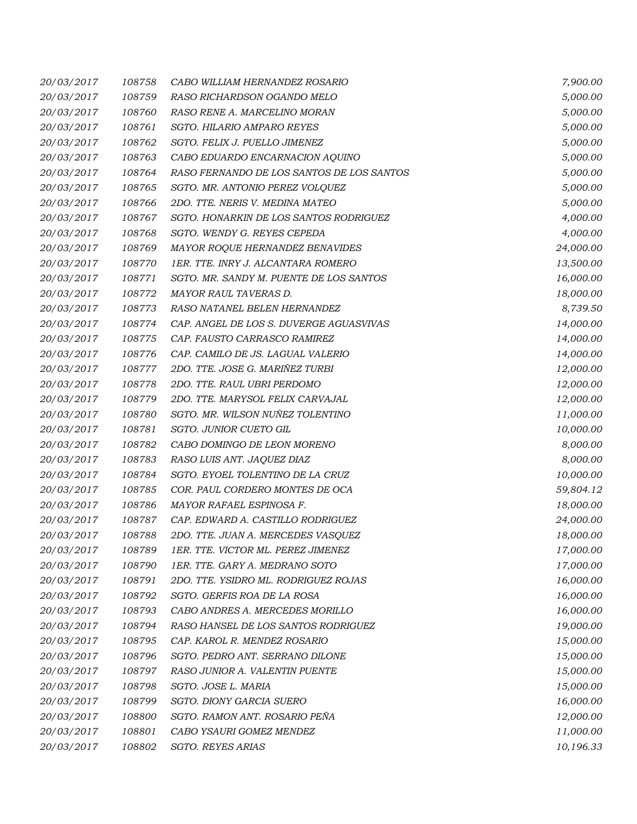| 20/03/2017 | 108758 | CABO WILLIAM HERNANDEZ ROSARIO            | 7,900.00  |
|------------|--------|-------------------------------------------|-----------|
| 20/03/2017 | 108759 | RASO RICHARDSON OGANDO MELO               | 5,000.00  |
| 20/03/2017 | 108760 | RASO RENE A. MARCELINO MORAN              | 5,000.00  |
| 20/03/2017 | 108761 | SGTO. HILARIO AMPARO REYES                | 5,000.00  |
| 20/03/2017 | 108762 | SGTO. FELIX J. PUELLO JIMENEZ             | 5,000.00  |
| 20/03/2017 | 108763 | CABO EDUARDO ENCARNACION AQUINO           | 5,000.00  |
| 20/03/2017 | 108764 | RASO FERNANDO DE LOS SANTOS DE LOS SANTOS | 5,000.00  |
| 20/03/2017 | 108765 | SGTO. MR. ANTONIO PEREZ VOLQUEZ           | 5,000.00  |
| 20/03/2017 | 108766 | 2DO. TTE. NERIS V. MEDINA MATEO           | 5,000.00  |
| 20/03/2017 | 108767 | SGTO. HONARKIN DE LOS SANTOS RODRIGUEZ    | 4,000.00  |
| 20/03/2017 | 108768 | SGTO. WENDY G. REYES CEPEDA               | 4,000.00  |
| 20/03/2017 | 108769 | MAYOR ROQUE HERNANDEZ BENAVIDES           | 24,000.00 |
| 20/03/2017 | 108770 | 1ER. TTE. INRY J. ALCANTARA ROMERO        | 13,500.00 |
| 20/03/2017 | 108771 | SGTO. MR. SANDY M. PUENTE DE LOS SANTOS   | 16,000.00 |
| 20/03/2017 | 108772 | MAYOR RAUL TAVERAS D.                     | 18,000.00 |
| 20/03/2017 | 108773 | RASO NATANEL BELEN HERNANDEZ              | 8,739.50  |
| 20/03/2017 | 108774 | CAP. ANGEL DE LOS S. DUVERGE AGUASVIVAS   | 14,000.00 |
| 20/03/2017 | 108775 | CAP. FAUSTO CARRASCO RAMIREZ              | 14,000.00 |
| 20/03/2017 | 108776 | CAP. CAMILO DE JS. LAGUAL VALERIO         | 14,000.00 |
| 20/03/2017 | 108777 | 2DO. TTE. JOSE G. MARIÑEZ TURBI           | 12,000.00 |
| 20/03/2017 | 108778 | 2DO. TTE. RAUL UBRI PERDOMO               | 12,000.00 |
| 20/03/2017 | 108779 | 2DO. TTE. MARYSOL FELIX CARVAJAL          | 12,000.00 |
| 20/03/2017 | 108780 | SGTO. MR. WILSON NUÑEZ TOLENTINO          | 11,000.00 |
| 20/03/2017 | 108781 | SGTO. JUNIOR CUETO GIL                    | 10,000.00 |
| 20/03/2017 | 108782 | CABO DOMINGO DE LEON MORENO               | 8,000.00  |
| 20/03/2017 | 108783 | RASO LUIS ANT. JAQUEZ DIAZ                | 8,000.00  |
| 20/03/2017 | 108784 | SGTO. EYOEL TOLENTINO DE LA CRUZ          | 10,000.00 |
| 20/03/2017 | 108785 | COR. PAUL CORDERO MONTES DE OCA           | 59,804.12 |
| 20/03/2017 | 108786 | MAYOR RAFAEL ESPINOSA F.                  | 18,000.00 |
| 20/03/2017 | 108787 | CAP. EDWARD A. CASTILLO RODRIGUEZ         | 24,000.00 |
| 20/03/2017 | 108788 | 2DO. TTE. JUAN A. MERCEDES VASQUEZ        | 18,000.00 |
| 20/03/2017 | 108789 | 1ER. TTE. VICTOR ML. PEREZ JIMENEZ        | 17,000.00 |
| 20/03/2017 | 108790 | 1ER. TTE. GARY A. MEDRANO SOTO            | 17,000.00 |
| 20/03/2017 | 108791 | 2DO. TTE. YSIDRO ML. RODRIGUEZ ROJAS      | 16,000.00 |
| 20/03/2017 | 108792 | SGTO. GERFIS ROA DE LA ROSA               | 16,000.00 |
| 20/03/2017 | 108793 | CABO ANDRES A. MERCEDES MORILLO           | 16,000.00 |
| 20/03/2017 | 108794 | RASO HANSEL DE LOS SANTOS RODRIGUEZ       | 19,000.00 |
| 20/03/2017 | 108795 | CAP. KAROL R. MENDEZ ROSARIO              | 15,000.00 |
| 20/03/2017 | 108796 | SGTO. PEDRO ANT. SERRANO DILONE           | 15,000.00 |
| 20/03/2017 | 108797 | RASO JUNIOR A. VALENTIN PUENTE            | 15,000.00 |
| 20/03/2017 | 108798 | SGTO. JOSE L. MARIA                       | 15,000.00 |
| 20/03/2017 | 108799 | SGTO. DIONY GARCIA SUERO                  | 16,000.00 |
| 20/03/2017 | 108800 | SGTO. RAMON ANT. ROSARIO PEÑA             | 12,000.00 |
| 20/03/2017 | 108801 | CABO YSAURI GOMEZ MENDEZ                  | 11,000.00 |
| 20/03/2017 | 108802 | <b>SGTO. REYES ARIAS</b>                  | 10,196.33 |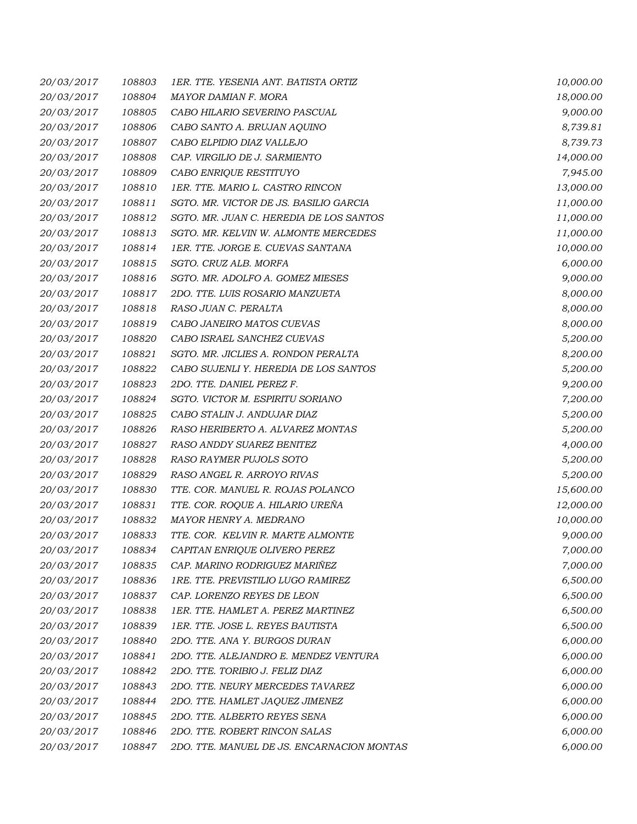| 20/03/2017 | 108803 | 1ER. TTE. YESENIA ANT. BATISTA ORTIZ       | 10,000.00 |
|------------|--------|--------------------------------------------|-----------|
| 20/03/2017 | 108804 | MAYOR DAMIAN F. MORA                       | 18,000.00 |
| 20/03/2017 | 108805 | CABO HILARIO SEVERINO PASCUAL              | 9,000.00  |
| 20/03/2017 | 108806 | CABO SANTO A. BRUJAN AQUINO                | 8,739.81  |
| 20/03/2017 | 108807 | CABO ELPIDIO DIAZ VALLEJO                  | 8,739.73  |
| 20/03/2017 | 108808 | CAP. VIRGILIO DE J. SARMIENTO              | 14,000.00 |
| 20/03/2017 | 108809 | CABO ENRIQUE RESTITUYO                     | 7,945.00  |
| 20/03/2017 | 108810 | 1ER. TTE. MARIO L. CASTRO RINCON           | 13,000.00 |
| 20/03/2017 | 108811 | SGTO. MR. VICTOR DE JS. BASILIO GARCIA     | 11,000.00 |
| 20/03/2017 | 108812 | SGTO. MR. JUAN C. HEREDIA DE LOS SANTOS    | 11,000.00 |
| 20/03/2017 | 108813 | SGTO. MR. KELVIN W. ALMONTE MERCEDES       | 11,000.00 |
| 20/03/2017 | 108814 | 1ER. TTE. JORGE E. CUEVAS SANTANA          | 10,000.00 |
| 20/03/2017 | 108815 | SGTO. CRUZ ALB. MORFA                      | 6,000.00  |
| 20/03/2017 | 108816 | SGTO. MR. ADOLFO A. GOMEZ MIESES           | 9,000.00  |
| 20/03/2017 | 108817 | 2DO. TTE. LUIS ROSARIO MANZUETA            | 8,000.00  |
| 20/03/2017 | 108818 | RASO JUAN C. PERALTA                       | 8,000.00  |
| 20/03/2017 | 108819 | CABO JANEIRO MATOS CUEVAS                  | 8,000.00  |
| 20/03/2017 | 108820 | CABO ISRAEL SANCHEZ CUEVAS                 | 5,200.00  |
| 20/03/2017 | 108821 | SGTO. MR. JICLIES A. RONDON PERALTA        | 8,200.00  |
| 20/03/2017 | 108822 | CABO SUJENLI Y. HEREDIA DE LOS SANTOS      | 5,200.00  |
| 20/03/2017 | 108823 | 2DO. TTE. DANIEL PEREZ F.                  | 9,200.00  |
| 20/03/2017 | 108824 | SGTO. VICTOR M. ESPIRITU SORIANO           | 7,200.00  |
| 20/03/2017 | 108825 | CABO STALIN J. ANDUJAR DIAZ                | 5,200.00  |
| 20/03/2017 | 108826 | RASO HERIBERTO A. ALVAREZ MONTAS           | 5,200.00  |
| 20/03/2017 | 108827 | RASO ANDDY SUAREZ BENITEZ                  | 4,000.00  |
| 20/03/2017 | 108828 | RASO RAYMER PUJOLS SOTO                    | 5,200.00  |
| 20/03/2017 | 108829 | RASO ANGEL R. ARROYO RIVAS                 | 5,200.00  |
| 20/03/2017 | 108830 | TTE. COR. MANUEL R. ROJAS POLANCO          | 15,600.00 |
| 20/03/2017 | 108831 | TTE. COR. ROQUE A. HILARIO UREÑA           | 12,000.00 |
| 20/03/2017 | 108832 | MAYOR HENRY A. MEDRANO                     | 10,000.00 |
| 20/03/2017 | 108833 | TTE. COR. KELVIN R. MARTE ALMONTE          | 9,000.00  |
| 20/03/2017 | 108834 | CAPITAN ENRIQUE OLIVERO PEREZ              | 7,000.00  |
| 20/03/2017 | 108835 | CAP. MARINO RODRIGUEZ MARIÑEZ              | 7,000.00  |
| 20/03/2017 | 108836 | 1RE. TTE. PREVISTILIO LUGO RAMIREZ         | 6,500.00  |
| 20/03/2017 | 108837 | CAP. LORENZO REYES DE LEON                 | 6,500.00  |
| 20/03/2017 | 108838 | 1ER. TTE. HAMLET A. PEREZ MARTINEZ         | 6,500.00  |
| 20/03/2017 | 108839 | 1ER. TTE. JOSE L. REYES BAUTISTA           | 6,500.00  |
| 20/03/2017 | 108840 | 2DO. TTE. ANA Y. BURGOS DURAN              | 6,000.00  |
| 20/03/2017 | 108841 | 2DO. TTE. ALEJANDRO E. MENDEZ VENTURA      | 6,000.00  |
| 20/03/2017 | 108842 | 2DO. TTE. TORIBIO J. FELIZ DIAZ            | 6,000.00  |
| 20/03/2017 | 108843 | 2DO. TTE. NEURY MERCEDES TAVAREZ           | 6,000.00  |
| 20/03/2017 | 108844 | 2DO. TTE. HAMLET JAQUEZ JIMENEZ            | 6,000.00  |
| 20/03/2017 | 108845 | 2DO. TTE. ALBERTO REYES SENA               | 6,000.00  |
| 20/03/2017 | 108846 | 2DO. TTE. ROBERT RINCON SALAS              | 6,000.00  |
| 20/03/2017 | 108847 | 2DO. TTE. MANUEL DE JS. ENCARNACION MONTAS | 6,000.00  |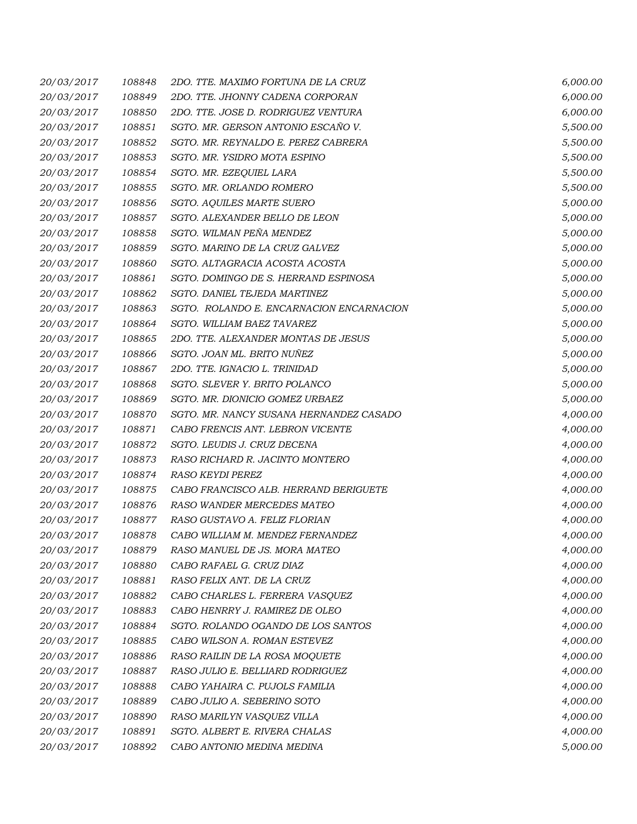| 20/03/2017 | 108848 | 2DO. TTE. MAXIMO FORTUNA DE LA CRUZ      | 6,000.00 |
|------------|--------|------------------------------------------|----------|
| 20/03/2017 | 108849 | 2DO. TTE. JHONNY CADENA CORPORAN         | 6,000.00 |
| 20/03/2017 | 108850 | 2DO. TTE. JOSE D. RODRIGUEZ VENTURA      | 6,000.00 |
| 20/03/2017 | 108851 | SGTO. MR. GERSON ANTONIO ESCAÑO V.       | 5,500.00 |
| 20/03/2017 | 108852 | SGTO. MR. REYNALDO E. PEREZ CABRERA      | 5,500.00 |
| 20/03/2017 | 108853 | SGTO. MR. YSIDRO MOTA ESPINO             | 5,500.00 |
| 20/03/2017 | 108854 | SGTO. MR. EZEQUIEL LARA                  | 5,500.00 |
| 20/03/2017 | 108855 | SGTO. MR. ORLANDO ROMERO                 | 5,500.00 |
| 20/03/2017 | 108856 | SGTO. AQUILES MARTE SUERO                | 5,000.00 |
| 20/03/2017 | 108857 | SGTO. ALEXANDER BELLO DE LEON            | 5,000.00 |
| 20/03/2017 | 108858 | SGTO. WILMAN PEÑA MENDEZ                 | 5,000.00 |
| 20/03/2017 | 108859 | SGTO. MARINO DE LA CRUZ GALVEZ           | 5,000.00 |
| 20/03/2017 | 108860 | SGTO. ALTAGRACIA ACOSTA ACOSTA           | 5,000.00 |
| 20/03/2017 | 108861 | SGTO. DOMINGO DE S. HERRAND ESPINOSA     | 5,000.00 |
| 20/03/2017 | 108862 | SGTO. DANIEL TEJEDA MARTINEZ             | 5,000.00 |
| 20/03/2017 | 108863 | SGTO. ROLANDO E. ENCARNACION ENCARNACION | 5,000.00 |
| 20/03/2017 | 108864 | SGTO. WILLIAM BAEZ TAVAREZ               | 5,000.00 |
| 20/03/2017 | 108865 | 2DO. TTE. ALEXANDER MONTAS DE JESUS      | 5,000.00 |
| 20/03/2017 | 108866 | SGTO. JOAN ML. BRITO NUÑEZ               | 5,000.00 |
| 20/03/2017 | 108867 | 2DO. TTE. IGNACIO L. TRINIDAD            | 5,000.00 |
| 20/03/2017 | 108868 | SGTO. SLEVER Y. BRITO POLANCO            | 5,000.00 |
| 20/03/2017 | 108869 | SGTO. MR. DIONICIO GOMEZ URBAEZ          | 5,000.00 |
| 20/03/2017 | 108870 | SGTO. MR. NANCY SUSANA HERNANDEZ CASADO  | 4,000.00 |
| 20/03/2017 | 108871 | CABO FRENCIS ANT. LEBRON VICENTE         | 4,000.00 |
| 20/03/2017 | 108872 | SGTO. LEUDIS J. CRUZ DECENA              | 4,000.00 |
| 20/03/2017 | 108873 | RASO RICHARD R. JACINTO MONTERO          | 4,000.00 |
| 20/03/2017 | 108874 | RASO KEYDI PEREZ                         | 4,000.00 |
| 20/03/2017 | 108875 | CABO FRANCISCO ALB. HERRAND BERIGUETE    | 4,000.00 |
| 20/03/2017 | 108876 | RASO WANDER MERCEDES MATEO               | 4,000.00 |
| 20/03/2017 | 108877 | RASO GUSTAVO A. FELIZ FLORIAN            | 4,000.00 |
| 20/03/2017 | 108878 | CABO WILLIAM M. MENDEZ FERNANDEZ         | 4,000.00 |
| 20/03/2017 | 108879 | RASO MANUEL DE JS. MORA MATEO            | 4,000.00 |
| 20/03/2017 | 108880 | CABO RAFAEL G. CRUZ DIAZ                 | 4,000.00 |
| 20/03/2017 | 108881 | RASO FELIX ANT. DE LA CRUZ               | 4,000.00 |
| 20/03/2017 | 108882 | CABO CHARLES L. FERRERA VASQUEZ          | 4,000.00 |
| 20/03/2017 | 108883 | CABO HENRRY J. RAMIREZ DE OLEO           | 4,000.00 |
| 20/03/2017 | 108884 | SGTO. ROLANDO OGANDO DE LOS SANTOS       | 4,000.00 |
| 20/03/2017 | 108885 | CABO WILSON A. ROMAN ESTEVEZ             | 4,000.00 |
| 20/03/2017 | 108886 | RASO RAILIN DE LA ROSA MOQUETE           | 4,000.00 |
| 20/03/2017 | 108887 | RASO JULIO E. BELLIARD RODRIGUEZ         | 4,000.00 |
| 20/03/2017 | 108888 | CABO YAHAIRA C. PUJOLS FAMILIA           | 4,000.00 |
| 20/03/2017 | 108889 | CABO JULIO A. SEBERINO SOTO              | 4,000.00 |
| 20/03/2017 | 108890 | RASO MARILYN VASQUEZ VILLA               | 4,000.00 |
| 20/03/2017 | 108891 | SGTO. ALBERT E. RIVERA CHALAS            | 4,000.00 |
| 20/03/2017 | 108892 | CABO ANTONIO MEDINA MEDINA               | 5,000.00 |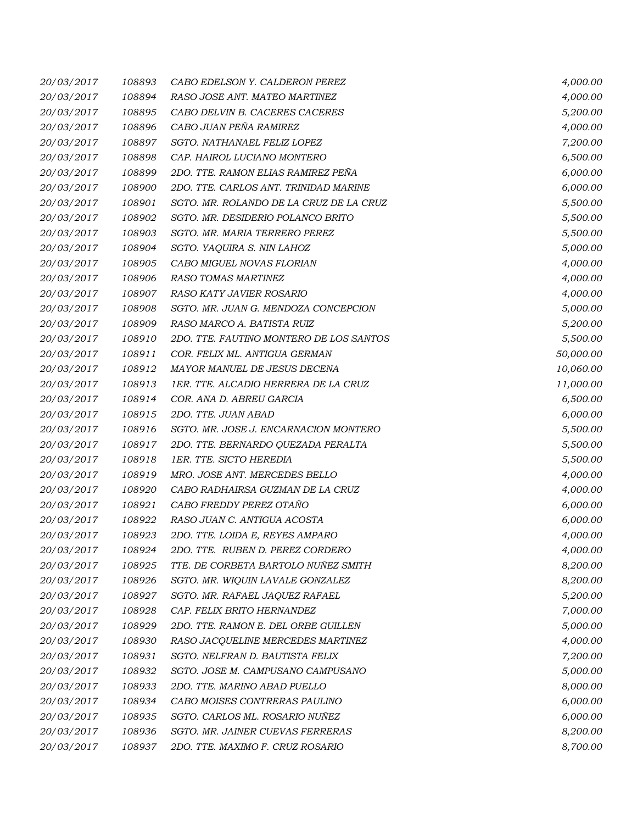| 20/03/2017 | 108893 | CABO EDELSON Y. CALDERON PEREZ          | 4,000.00  |
|------------|--------|-----------------------------------------|-----------|
| 20/03/2017 | 108894 | RASO JOSE ANT. MATEO MARTINEZ           | 4,000.00  |
| 20/03/2017 | 108895 | CABO DELVIN B. CACERES CACERES          | 5,200.00  |
| 20/03/2017 | 108896 | CABO JUAN PEÑA RAMIREZ                  | 4,000.00  |
| 20/03/2017 | 108897 | SGTO. NATHANAEL FELIZ LOPEZ             | 7,200.00  |
| 20/03/2017 | 108898 | CAP. HAIROL LUCIANO MONTERO             | 6,500.00  |
| 20/03/2017 | 108899 | 2DO. TTE. RAMON ELIAS RAMIREZ PEÑA      | 6,000.00  |
| 20/03/2017 | 108900 | 2DO. TTE. CARLOS ANT. TRINIDAD MARINE   | 6,000.00  |
| 20/03/2017 | 108901 | SGTO. MR. ROLANDO DE LA CRUZ DE LA CRUZ | 5,500.00  |
| 20/03/2017 | 108902 | SGTO. MR. DESIDERIO POLANCO BRITO       | 5,500.00  |
| 20/03/2017 | 108903 | SGTO. MR. MARIA TERRERO PEREZ           | 5,500.00  |
| 20/03/2017 | 108904 | SGTO. YAQUIRA S. NIN LAHOZ              | 5,000.00  |
| 20/03/2017 | 108905 | CABO MIGUEL NOVAS FLORIAN               | 4,000.00  |
| 20/03/2017 | 108906 | <b>RASO TOMAS MARTINEZ</b>              | 4,000.00  |
| 20/03/2017 | 108907 | RASO KATY JAVIER ROSARIO                | 4,000.00  |
| 20/03/2017 | 108908 | SGTO. MR. JUAN G. MENDOZA CONCEPCION    | 5,000.00  |
| 20/03/2017 | 108909 | RASO MARCO A. BATISTA RUIZ              | 5,200.00  |
| 20/03/2017 | 108910 | 2DO. TTE. FAUTINO MONTERO DE LOS SANTOS | 5,500.00  |
| 20/03/2017 | 108911 | COR. FELIX ML. ANTIGUA GERMAN           | 50,000.00 |
| 20/03/2017 | 108912 | MAYOR MANUEL DE JESUS DECENA            | 10,060.00 |
| 20/03/2017 | 108913 | 1ER. TTE. ALCADIO HERRERA DE LA CRUZ    | 11,000.00 |
| 20/03/2017 | 108914 | COR. ANA D. ABREU GARCIA                | 6,500.00  |
| 20/03/2017 | 108915 | 2DO. TTE. JUAN ABAD                     | 6,000.00  |
| 20/03/2017 | 108916 | SGTO. MR. JOSE J. ENCARNACION MONTERO   | 5,500.00  |
| 20/03/2017 | 108917 | 2DO. TTE. BERNARDO QUEZADA PERALTA      | 5,500.00  |
| 20/03/2017 | 108918 | 1ER. TTE. SICTO HEREDIA                 | 5,500.00  |
| 20/03/2017 | 108919 | MRO. JOSE ANT. MERCEDES BELLO           | 4,000.00  |
| 20/03/2017 | 108920 | CABO RADHAIRSA GUZMAN DE LA CRUZ        | 4,000.00  |
| 20/03/2017 | 108921 | CABO FREDDY PEREZ OTAÑO                 | 6,000.00  |
| 20/03/2017 | 108922 | RASO JUAN C. ANTIGUA ACOSTA             | 6,000.00  |
| 20/03/2017 | 108923 | 2DO. TTE. LOIDA E, REYES AMPARO         | 4,000.00  |
| 20/03/2017 | 108924 | 2DO. TTE. RUBEN D. PEREZ CORDERO        | 4,000.00  |
| 20/03/2017 | 108925 | TTE. DE CORBETA BARTOLO NUÑEZ SMITH     | 8,200.00  |
| 20/03/2017 | 108926 | SGTO. MR. WIQUIN LAVALE GONZALEZ        | 8,200.00  |
| 20/03/2017 | 108927 | SGTO. MR. RAFAEL JAQUEZ RAFAEL          | 5,200.00  |
| 20/03/2017 | 108928 | CAP. FELIX BRITO HERNANDEZ              | 7,000.00  |
| 20/03/2017 | 108929 | 2DO. TTE. RAMON E. DEL ORBE GUILLEN     | 5,000.00  |
| 20/03/2017 | 108930 | RASO JACQUELINE MERCEDES MARTINEZ       | 4,000.00  |
| 20/03/2017 | 108931 | SGTO. NELFRAN D. BAUTISTA FELIX         | 7,200.00  |
| 20/03/2017 | 108932 | SGTO. JOSE M. CAMPUSANO CAMPUSANO       | 5,000.00  |
| 20/03/2017 | 108933 | 2DO. TTE. MARINO ABAD PUELLO            | 8,000.00  |
| 20/03/2017 | 108934 | CABO MOISES CONTRERAS PAULINO           | 6,000.00  |
| 20/03/2017 | 108935 | SGTO. CARLOS ML. ROSARIO NUÑEZ          | 6,000.00  |
| 20/03/2017 | 108936 | SGTO. MR. JAINER CUEVAS FERRERAS        | 8,200.00  |
| 20/03/2017 | 108937 | 2DO. TTE. MAXIMO F. CRUZ ROSARIO        | 8,700.00  |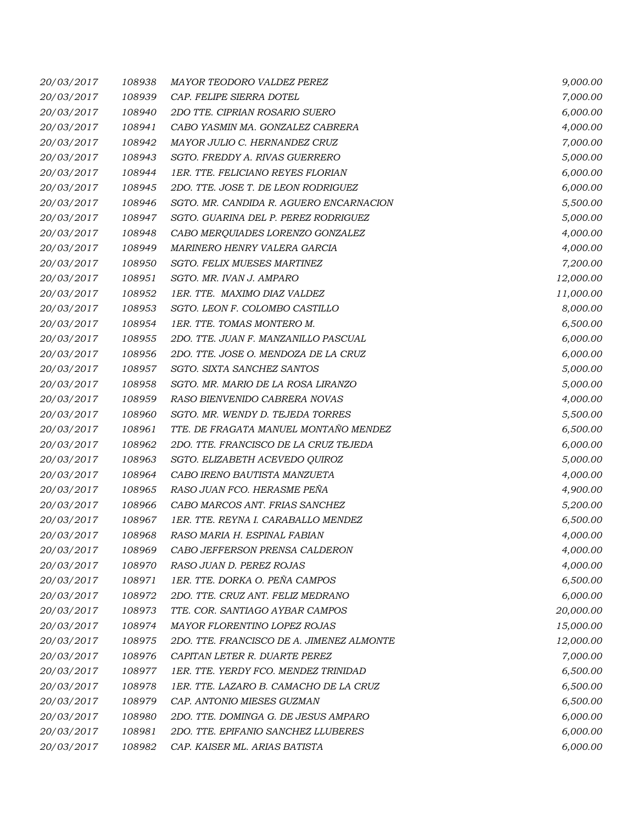| 20/03/2017 | 108938 | MAYOR TEODORO VALDEZ PEREZ                | 9,000.00  |
|------------|--------|-------------------------------------------|-----------|
| 20/03/2017 | 108939 | CAP. FELIPE SIERRA DOTEL                  | 7,000.00  |
| 20/03/2017 | 108940 | 2DO TTE. CIPRIAN ROSARIO SUERO            | 6,000.00  |
| 20/03/2017 | 108941 | CABO YASMIN MA. GONZALEZ CABRERA          | 4,000.00  |
| 20/03/2017 | 108942 | MAYOR JULIO C. HERNANDEZ CRUZ             | 7,000.00  |
| 20/03/2017 | 108943 | SGTO. FREDDY A. RIVAS GUERRERO            | 5,000.00  |
| 20/03/2017 | 108944 | 1ER. TTE. FELICIANO REYES FLORIAN         | 6,000.00  |
| 20/03/2017 | 108945 | 2DO. TTE. JOSE T. DE LEON RODRIGUEZ       | 6,000.00  |
| 20/03/2017 | 108946 | SGTO. MR. CANDIDA R. AGUERO ENCARNACION   | 5,500.00  |
| 20/03/2017 | 108947 | SGTO. GUARINA DEL P. PEREZ RODRIGUEZ      | 5,000.00  |
| 20/03/2017 | 108948 | CABO MERQUIADES LORENZO GONZALEZ          | 4,000.00  |
| 20/03/2017 | 108949 | MARINERO HENRY VALERA GARCIA              | 4,000.00  |
| 20/03/2017 | 108950 | SGTO. FELIX MUESES MARTINEZ               | 7,200.00  |
| 20/03/2017 | 108951 | SGTO. MR. IVAN J. AMPARO                  | 12,000.00 |
| 20/03/2017 | 108952 | 1ER. TTE. MAXIMO DIAZ VALDEZ              | 11,000.00 |
| 20/03/2017 | 108953 | SGTO. LEON F. COLOMBO CASTILLO            | 8,000.00  |
| 20/03/2017 | 108954 | 1ER. TTE. TOMAS MONTERO M.                | 6,500.00  |
| 20/03/2017 | 108955 | 2DO. TTE. JUAN F. MANZANILLO PASCUAL      | 6,000.00  |
| 20/03/2017 | 108956 | 2DO. TTE. JOSE O. MENDOZA DE LA CRUZ      | 6,000.00  |
| 20/03/2017 | 108957 | SGTO. SIXTA SANCHEZ SANTOS                | 5,000.00  |
| 20/03/2017 | 108958 | SGTO. MR. MARIO DE LA ROSA LIRANZO        | 5,000.00  |
| 20/03/2017 | 108959 | RASO BIENVENIDO CABRERA NOVAS             | 4,000.00  |
| 20/03/2017 | 108960 | SGTO. MR. WENDY D. TEJEDA TORRES          | 5,500.00  |
| 20/03/2017 | 108961 | TTE. DE FRAGATA MANUEL MONTAÑO MENDEZ     | 6,500.00  |
| 20/03/2017 | 108962 | 2DO. TTE. FRANCISCO DE LA CRUZ TEJEDA     | 6,000.00  |
| 20/03/2017 | 108963 | SGTO. ELIZABETH ACEVEDO QUIROZ            | 5,000.00  |
| 20/03/2017 | 108964 | CABO IRENO BAUTISTA MANZUETA              | 4,000.00  |
| 20/03/2017 | 108965 | RASO JUAN FCO. HERASME PEÑA               | 4,900.00  |
| 20/03/2017 | 108966 | CABO MARCOS ANT. FRIAS SANCHEZ            | 5,200.00  |
| 20/03/2017 | 108967 | 1ER. TTE. REYNA I. CARABALLO MENDEZ       | 6,500.00  |
| 20/03/2017 | 108968 | RASO MARIA H. ESPINAL FABIAN              | 4,000.00  |
| 20/03/2017 | 108969 | CABO JEFFERSON PRENSA CALDERON            | 4,000.00  |
| 20/03/2017 | 108970 | RASO JUAN D. PEREZ ROJAS                  | 4,000.00  |
| 20/03/2017 | 108971 | 1ER. TTE. DORKA O. PEÑA CAMPOS            | 6,500.00  |
| 20/03/2017 | 108972 | 2DO. TTE. CRUZ ANT. FELIZ MEDRANO         | 6,000.00  |
| 20/03/2017 | 108973 | TTE. COR. SANTIAGO AYBAR CAMPOS           | 20,000.00 |
| 20/03/2017 | 108974 | <b>MAYOR FLORENTINO LOPEZ ROJAS</b>       | 15,000.00 |
| 20/03/2017 | 108975 | 2DO. TTE. FRANCISCO DE A. JIMENEZ ALMONTE | 12,000.00 |
| 20/03/2017 | 108976 | CAPITAN LETER R. DUARTE PEREZ             | 7,000.00  |
| 20/03/2017 | 108977 | 1ER. TTE. YERDY FCO. MENDEZ TRINIDAD      | 6,500.00  |
| 20/03/2017 | 108978 | 1ER. TTE. LAZARO B. CAMACHO DE LA CRUZ    | 6,500.00  |
| 20/03/2017 | 108979 | CAP. ANTONIO MIESES GUZMAN                | 6,500.00  |
| 20/03/2017 | 108980 | 2DO. TTE. DOMINGA G. DE JESUS AMPARO      | 6,000.00  |
| 20/03/2017 | 108981 | 2DO. TTE. EPIFANIO SANCHEZ LLUBERES       | 6,000.00  |
| 20/03/2017 | 108982 | CAP. KAISER ML. ARIAS BATISTA             | 6,000.00  |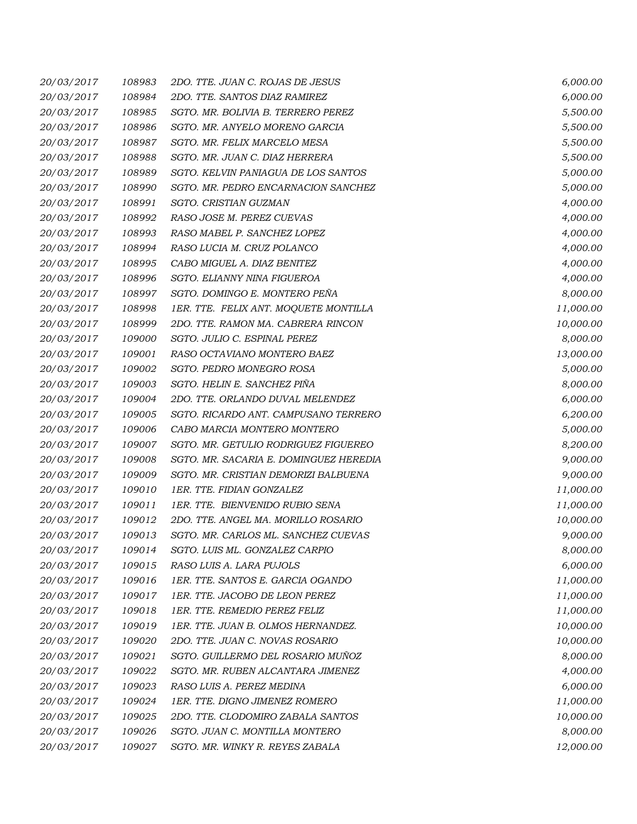| 20/03/2017 | 108983 | 2DO. TTE. JUAN C. ROJAS DE JESUS       | 6,000.00  |
|------------|--------|----------------------------------------|-----------|
| 20/03/2017 | 108984 | 2DO. TTE. SANTOS DIAZ RAMIREZ          | 6,000.00  |
| 20/03/2017 | 108985 | SGTO. MR. BOLIVIA B. TERRERO PEREZ     | 5,500.00  |
| 20/03/2017 | 108986 | SGTO. MR. ANYELO MORENO GARCIA         | 5,500.00  |
| 20/03/2017 | 108987 | SGTO. MR. FELIX MARCELO MESA           | 5,500.00  |
| 20/03/2017 | 108988 | SGTO. MR. JUAN C. DIAZ HERRERA         | 5,500.00  |
| 20/03/2017 | 108989 | SGTO. KELVIN PANIAGUA DE LOS SANTOS    | 5,000.00  |
| 20/03/2017 | 108990 | SGTO. MR. PEDRO ENCARNACION SANCHEZ    | 5,000.00  |
| 20/03/2017 | 108991 | SGTO. CRISTIAN GUZMAN                  | 4,000.00  |
| 20/03/2017 | 108992 | RASO JOSE M. PEREZ CUEVAS              | 4,000.00  |
| 20/03/2017 | 108993 | RASO MABEL P. SANCHEZ LOPEZ            | 4,000.00  |
| 20/03/2017 | 108994 | RASO LUCIA M. CRUZ POLANCO             | 4,000.00  |
| 20/03/2017 | 108995 | CABO MIGUEL A. DIAZ BENITEZ            | 4,000.00  |
| 20/03/2017 | 108996 | SGTO. ELIANNY NINA FIGUEROA            | 4,000.00  |
| 20/03/2017 | 108997 | SGTO. DOMINGO E. MONTERO PEÑA          | 8,000.00  |
| 20/03/2017 | 108998 | 1ER. TTE. FELIX ANT. MOQUETE MONTILLA  | 11,000.00 |
| 20/03/2017 | 108999 | 2DO. TTE. RAMON MA. CABRERA RINCON     | 10,000.00 |
| 20/03/2017 | 109000 | SGTO. JULIO C. ESPINAL PEREZ           | 8,000.00  |
| 20/03/2017 | 109001 | RASO OCTAVIANO MONTERO BAEZ            | 13,000.00 |
| 20/03/2017 | 109002 | SGTO. PEDRO MONEGRO ROSA               | 5,000.00  |
| 20/03/2017 | 109003 | SGTO. HELIN E. SANCHEZ PIÑA            | 8,000.00  |
| 20/03/2017 | 109004 | 2DO. TTE. ORLANDO DUVAL MELENDEZ       | 6,000.00  |
| 20/03/2017 | 109005 | SGTO. RICARDO ANT. CAMPUSANO TERRERO   | 6,200.00  |
| 20/03/2017 | 109006 | CABO MARCIA MONTERO MONTERO            | 5,000.00  |
| 20/03/2017 | 109007 | SGTO. MR. GETULIO RODRIGUEZ FIGUEREO   | 8,200.00  |
| 20/03/2017 | 109008 | SGTO. MR. SACARIA E. DOMINGUEZ HEREDIA | 9,000.00  |
| 20/03/2017 | 109009 | SGTO. MR. CRISTIAN DEMORIZI BALBUENA   | 9,000.00  |
| 20/03/2017 | 109010 | 1ER. TTE. FIDIAN GONZALEZ              | 11,000.00 |
| 20/03/2017 | 109011 | 1ER. TTE. BIENVENIDO RUBIO SENA        | 11,000.00 |
| 20/03/2017 | 109012 | 2DO. TTE. ANGEL MA. MORILLO ROSARIO    | 10,000.00 |
| 20/03/2017 | 109013 | SGTO. MR. CARLOS ML. SANCHEZ CUEVAS    | 9,000.00  |
| 20/03/2017 | 109014 | SGTO. LUIS ML. GONZALEZ CARPIO         | 8,000.00  |
| 20/03/2017 | 109015 | RASO LUIS A. LARA PUJOLS               | 6,000.00  |
| 20/03/2017 | 109016 | 1ER. TTE. SANTOS E. GARCIA OGANDO      | 11,000.00 |
| 20/03/2017 | 109017 | 1ER. TTE. JACOBO DE LEON PEREZ         | 11,000.00 |
| 20/03/2017 | 109018 | 1ER. TTE. REMEDIO PEREZ FELIZ          | 11,000.00 |
| 20/03/2017 | 109019 | 1ER. TTE. JUAN B. OLMOS HERNANDEZ.     | 10,000.00 |
| 20/03/2017 | 109020 | 2DO. TTE. JUAN C. NOVAS ROSARIO        | 10,000.00 |
| 20/03/2017 | 109021 | SGTO. GUILLERMO DEL ROSARIO MUÑOZ      | 8,000.00  |
| 20/03/2017 | 109022 | SGTO. MR. RUBEN ALCANTARA JIMENEZ      | 4,000.00  |
| 20/03/2017 | 109023 | RASO LUIS A. PEREZ MEDINA              | 6,000.00  |
| 20/03/2017 | 109024 | 1ER. TTE. DIGNO JIMENEZ ROMERO         | 11,000.00 |
| 20/03/2017 | 109025 | 2DO. TTE. CLODOMIRO ZABALA SANTOS      | 10,000.00 |
| 20/03/2017 | 109026 | SGTO. JUAN C. MONTILLA MONTERO         | 8,000.00  |
| 20/03/2017 | 109027 | SGTO. MR. WINKY R. REYES ZABALA        | 12,000.00 |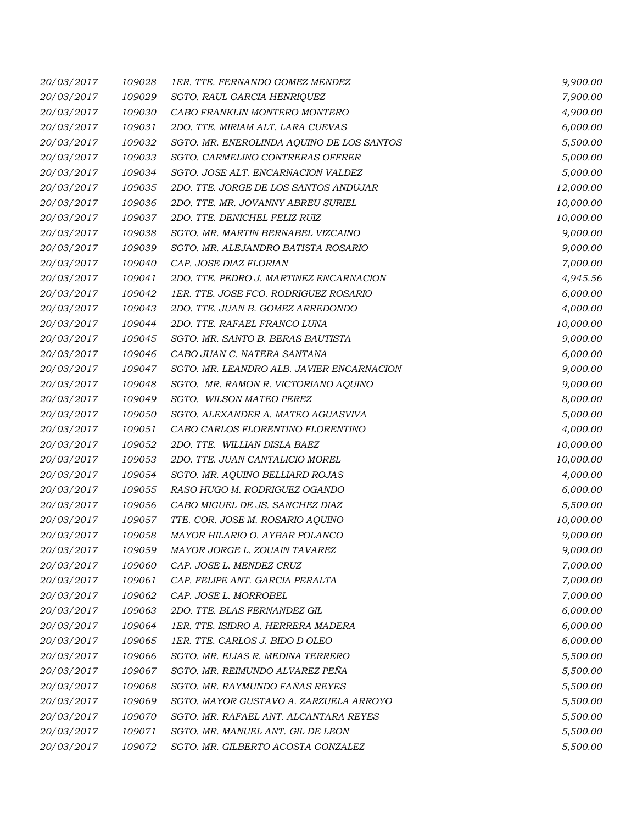| 20/03/2017 | 109028 | 1ER. TTE. FERNANDO GOMEZ MENDEZ           | 9,900.00  |
|------------|--------|-------------------------------------------|-----------|
| 20/03/2017 | 109029 | SGTO. RAUL GARCIA HENRIQUEZ               | 7,900.00  |
| 20/03/2017 | 109030 | CABO FRANKLIN MONTERO MONTERO             | 4,900.00  |
| 20/03/2017 | 109031 | 2DO. TTE. MIRIAM ALT. LARA CUEVAS         | 6,000.00  |
| 20/03/2017 | 109032 | SGTO. MR. ENEROLINDA AQUINO DE LOS SANTOS | 5,500.00  |
| 20/03/2017 | 109033 | SGTO. CARMELINO CONTRERAS OFFRER          | 5,000.00  |
| 20/03/2017 | 109034 | SGTO. JOSE ALT. ENCARNACION VALDEZ        | 5,000.00  |
| 20/03/2017 | 109035 | 2DO. TTE. JORGE DE LOS SANTOS ANDUJAR     | 12,000.00 |
| 20/03/2017 | 109036 | 2DO. TTE. MR. JOVANNY ABREU SURIEL        | 10,000.00 |
| 20/03/2017 | 109037 | 2DO. TTE. DENICHEL FELIZ RUIZ             | 10,000.00 |
| 20/03/2017 | 109038 | SGTO. MR. MARTIN BERNABEL VIZCAINO        | 9,000.00  |
| 20/03/2017 | 109039 | SGTO. MR. ALEJANDRO BATISTA ROSARIO       | 9,000.00  |
| 20/03/2017 | 109040 | CAP. JOSE DIAZ FLORIAN                    | 7,000.00  |
| 20/03/2017 | 109041 | 2DO. TTE. PEDRO J. MARTINEZ ENCARNACION   | 4,945.56  |
| 20/03/2017 | 109042 | 1ER. TTE. JOSE FCO. RODRIGUEZ ROSARIO     | 6,000.00  |
| 20/03/2017 | 109043 | 2DO. TTE. JUAN B. GOMEZ ARREDONDO         | 4,000.00  |
| 20/03/2017 | 109044 | 2DO. TTE. RAFAEL FRANCO LUNA              | 10,000.00 |
| 20/03/2017 | 109045 | SGTO. MR. SANTO B. BERAS BAUTISTA         | 9,000.00  |
| 20/03/2017 | 109046 | CABO JUAN C. NATERA SANTANA               | 6,000.00  |
| 20/03/2017 | 109047 | SGTO. MR. LEANDRO ALB. JAVIER ENCARNACION | 9,000.00  |
| 20/03/2017 | 109048 | SGTO. MR. RAMON R. VICTORIANO AQUINO      | 9,000.00  |
| 20/03/2017 | 109049 | SGTO. WILSON MATEO PEREZ                  | 8,000.00  |
| 20/03/2017 | 109050 | SGTO. ALEXANDER A. MATEO AGUASVIVA        | 5,000.00  |
| 20/03/2017 | 109051 | CABO CARLOS FLORENTINO FLORENTINO         | 4,000.00  |
| 20/03/2017 | 109052 | 2DO. TTE. WILLIAN DISLA BAEZ              | 10,000.00 |
| 20/03/2017 | 109053 | 2DO. TTE. JUAN CANTALICIO MOREL           | 10,000.00 |
| 20/03/2017 | 109054 | SGTO. MR. AQUINO BELLIARD ROJAS           | 4,000.00  |
| 20/03/2017 | 109055 | RASO HUGO M. RODRIGUEZ OGANDO             | 6,000.00  |
| 20/03/2017 | 109056 | CABO MIGUEL DE JS. SANCHEZ DIAZ           | 5,500.00  |
| 20/03/2017 | 109057 | TTE. COR. JOSE M. ROSARIO AQUINO          | 10,000.00 |
| 20/03/2017 | 109058 | MAYOR HILARIO O. AYBAR POLANCO            | 9,000.00  |
| 20/03/2017 | 109059 | MAYOR JORGE L. ZOUAIN TAVAREZ             | 9,000.00  |
| 20/03/2017 | 109060 | CAP. JOSE L. MENDEZ CRUZ                  | 7,000.00  |
| 20/03/2017 | 109061 | CAP. FELIPE ANT. GARCIA PERALTA           | 7,000.00  |
| 20/03/2017 | 109062 | CAP. JOSE L. MORROBEL                     | 7,000.00  |
| 20/03/2017 | 109063 | 2DO. TTE. BLAS FERNANDEZ GIL              | 6,000.00  |
| 20/03/2017 | 109064 | 1ER. TTE. ISIDRO A. HERRERA MADERA        | 6,000.00  |
| 20/03/2017 | 109065 | 1ER. TTE. CARLOS J. BIDO D OLEO           | 6,000.00  |
| 20/03/2017 | 109066 | SGTO. MR. ELIAS R. MEDINA TERRERO         | 5,500.00  |
| 20/03/2017 | 109067 | SGTO. MR. REIMUNDO ALVAREZ PEÑA           | 5,500.00  |
| 20/03/2017 | 109068 | SGTO. MR. RAYMUNDO FAÑAS REYES            | 5,500.00  |
| 20/03/2017 | 109069 | SGTO. MAYOR GUSTAVO A. ZARZUELA ARROYO    | 5,500.00  |
| 20/03/2017 | 109070 | SGTO. MR. RAFAEL ANT. ALCANTARA REYES     | 5,500.00  |
| 20/03/2017 | 109071 | SGTO. MR. MANUEL ANT. GIL DE LEON         | 5,500.00  |
| 20/03/2017 | 109072 | SGTO. MR. GILBERTO ACOSTA GONZALEZ        | 5,500.00  |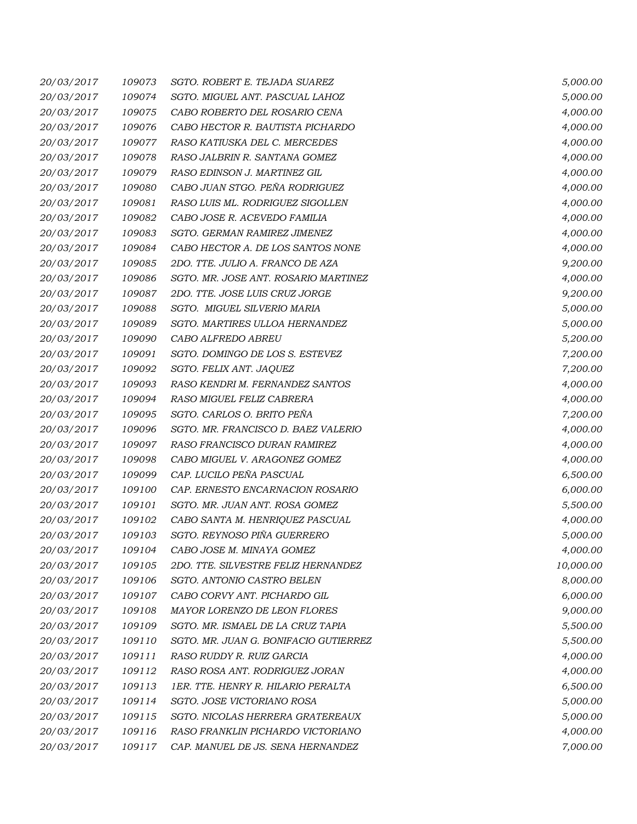| 20/03/2017 | 109073 | SGTO. ROBERT E. TEJADA SUAREZ         | 5,000.00  |
|------------|--------|---------------------------------------|-----------|
| 20/03/2017 | 109074 | SGTO. MIGUEL ANT. PASCUAL LAHOZ       | 5,000.00  |
| 20/03/2017 | 109075 | CABO ROBERTO DEL ROSARIO CENA         | 4,000.00  |
| 20/03/2017 | 109076 | CABO HECTOR R. BAUTISTA PICHARDO      | 4,000.00  |
| 20/03/2017 | 109077 | RASO KATIUSKA DEL C. MERCEDES         | 4,000.00  |
| 20/03/2017 | 109078 | RASO JALBRIN R. SANTANA GOMEZ         | 4,000.00  |
| 20/03/2017 | 109079 | RASO EDINSON J. MARTINEZ GIL          | 4,000.00  |
| 20/03/2017 | 109080 | CABO JUAN STGO. PEÑA RODRIGUEZ        | 4,000.00  |
| 20/03/2017 | 109081 | RASO LUIS ML. RODRIGUEZ SIGOLLEN      | 4,000.00  |
| 20/03/2017 | 109082 | CABO JOSE R. ACEVEDO FAMILIA          | 4,000.00  |
| 20/03/2017 | 109083 | SGTO. GERMAN RAMIREZ JIMENEZ          | 4,000.00  |
| 20/03/2017 | 109084 | CABO HECTOR A. DE LOS SANTOS NONE     | 4,000.00  |
| 20/03/2017 | 109085 | 2DO. TTE. JULIO A. FRANCO DE AZA      | 9,200.00  |
| 20/03/2017 | 109086 | SGTO. MR. JOSE ANT. ROSARIO MARTINEZ  | 4,000.00  |
| 20/03/2017 | 109087 | 2DO. TTE. JOSE LUIS CRUZ JORGE        | 9,200.00  |
| 20/03/2017 | 109088 | SGTO. MIGUEL SILVERIO MARIA           | 5,000.00  |
| 20/03/2017 | 109089 | SGTO. MARTIRES ULLOA HERNANDEZ        | 5,000.00  |
| 20/03/2017 | 109090 | CABO ALFREDO ABREU                    | 5,200.00  |
| 20/03/2017 | 109091 | SGTO. DOMINGO DE LOS S. ESTEVEZ       | 7,200.00  |
| 20/03/2017 | 109092 | SGTO. FELIX ANT. JAQUEZ               | 7,200.00  |
| 20/03/2017 | 109093 | RASO KENDRI M. FERNANDEZ SANTOS       | 4,000.00  |
| 20/03/2017 | 109094 | RASO MIGUEL FELIZ CABRERA             | 4,000.00  |
| 20/03/2017 | 109095 | SGTO. CARLOS O. BRITO PEÑA            | 7,200.00  |
| 20/03/2017 | 109096 | SGTO. MR. FRANCISCO D. BAEZ VALERIO   | 4,000.00  |
| 20/03/2017 | 109097 | RASO FRANCISCO DURAN RAMIREZ          | 4,000.00  |
| 20/03/2017 | 109098 | CABO MIGUEL V. ARAGONEZ GOMEZ         | 4,000.00  |
| 20/03/2017 | 109099 | CAP. LUCILO PEÑA PASCUAL              | 6,500.00  |
| 20/03/2017 | 109100 | CAP. ERNESTO ENCARNACION ROSARIO      | 6,000.00  |
| 20/03/2017 | 109101 | SGTO. MR. JUAN ANT. ROSA GOMEZ        | 5,500.00  |
| 20/03/2017 | 109102 | CABO SANTA M. HENRIQUEZ PASCUAL       | 4,000.00  |
| 20/03/2017 | 109103 | SGTO. REYNOSO PIÑA GUERRERO           | 5,000.00  |
| 20/03/2017 | 109104 | CABO JOSE M. MINAYA GOMEZ             | 4,000.00  |
| 20/03/2017 | 109105 | 2DO. TTE. SILVESTRE FELIZ HERNANDEZ   | 10,000.00 |
| 20/03/2017 | 109106 | SGTO. ANTONIO CASTRO BELEN            | 8,000.00  |
| 20/03/2017 | 109107 | CABO CORVY ANT. PICHARDO GIL          | 6,000.00  |
| 20/03/2017 | 109108 | MAYOR LORENZO DE LEON FLORES          | 9,000.00  |
| 20/03/2017 | 109109 | SGTO. MR. ISMAEL DE LA CRUZ TAPIA     | 5,500.00  |
| 20/03/2017 | 109110 | SGTO. MR. JUAN G. BONIFACIO GUTIERREZ | 5,500.00  |
| 20/03/2017 | 109111 | RASO RUDDY R. RUIZ GARCIA             | 4,000.00  |
| 20/03/2017 | 109112 | RASO ROSA ANT. RODRIGUEZ JORAN        | 4,000.00  |
| 20/03/2017 | 109113 | 1ER. TTE. HENRY R. HILARIO PERALTA    | 6,500.00  |
| 20/03/2017 | 109114 | SGTO. JOSE VICTORIANO ROSA            | 5,000.00  |
| 20/03/2017 | 109115 | SGTO. NICOLAS HERRERA GRATEREAUX      | 5,000.00  |
| 20/03/2017 | 109116 | RASO FRANKLIN PICHARDO VICTORIANO     | 4,000.00  |
| 20/03/2017 | 109117 | CAP. MANUEL DE JS. SENA HERNANDEZ     | 7,000.00  |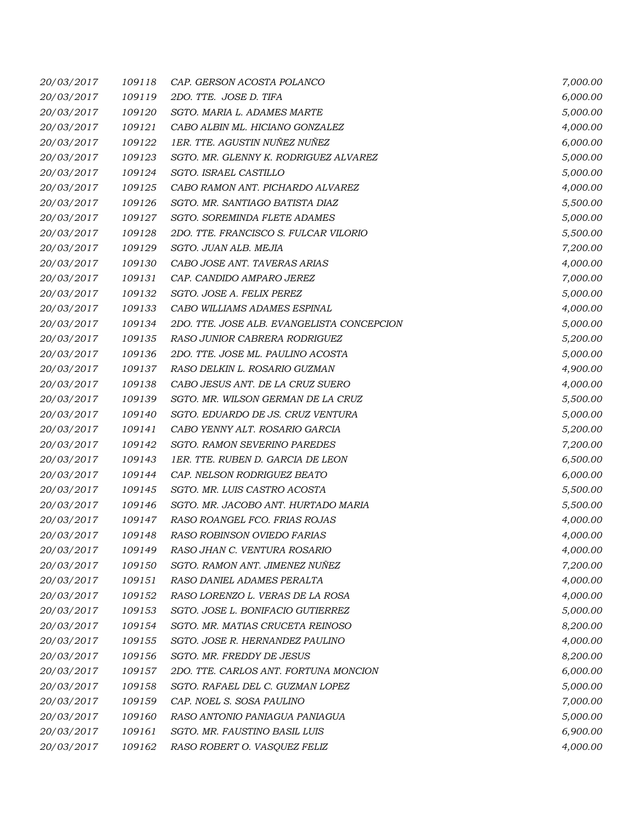| 20/03/2017 | 109118 | CAP. GERSON ACOSTA POLANCO                 | 7,000.00 |
|------------|--------|--------------------------------------------|----------|
| 20/03/2017 | 109119 | 2DO. TTE. JOSE D. TIFA                     | 6,000.00 |
| 20/03/2017 | 109120 | SGTO. MARIA L. ADAMES MARTE                | 5,000.00 |
| 20/03/2017 | 109121 | CABO ALBIN ML. HICIANO GONZALEZ            | 4,000.00 |
| 20/03/2017 | 109122 | 1ER. TTE. AGUSTIN NUÑEZ NUÑEZ              | 6,000.00 |
| 20/03/2017 | 109123 | SGTO. MR. GLENNY K. RODRIGUEZ ALVAREZ      | 5,000.00 |
| 20/03/2017 | 109124 | SGTO. ISRAEL CASTILLO                      | 5,000.00 |
| 20/03/2017 | 109125 | CABO RAMON ANT. PICHARDO ALVAREZ           | 4,000.00 |
| 20/03/2017 | 109126 | SGTO. MR. SANTIAGO BATISTA DIAZ            | 5,500.00 |
| 20/03/2017 | 109127 | SGTO. SOREMINDA FLETE ADAMES               | 5,000.00 |
| 20/03/2017 | 109128 | 2DO. TTE. FRANCISCO S. FULCAR VILORIO      | 5,500.00 |
| 20/03/2017 | 109129 | SGTO. JUAN ALB. MEJIA                      | 7,200.00 |
| 20/03/2017 | 109130 | CABO JOSE ANT. TAVERAS ARIAS               | 4,000.00 |
| 20/03/2017 | 109131 | CAP. CANDIDO AMPARO JEREZ                  | 7,000.00 |
| 20/03/2017 | 109132 | SGTO. JOSE A. FELIX PEREZ                  | 5,000.00 |
| 20/03/2017 | 109133 | CABO WILLIAMS ADAMES ESPINAL               | 4,000.00 |
| 20/03/2017 | 109134 | 2DO. TTE. JOSE ALB. EVANGELISTA CONCEPCION | 5,000.00 |
| 20/03/2017 | 109135 | RASO JUNIOR CABRERA RODRIGUEZ              | 5,200.00 |
| 20/03/2017 | 109136 | 2DO. TTE. JOSE ML. PAULINO ACOSTA          | 5,000.00 |
| 20/03/2017 | 109137 | RASO DELKIN L. ROSARIO GUZMAN              | 4,900.00 |
| 20/03/2017 | 109138 | CABO JESUS ANT. DE LA CRUZ SUERO           | 4,000.00 |
| 20/03/2017 | 109139 | SGTO. MR. WILSON GERMAN DE LA CRUZ         | 5,500.00 |
| 20/03/2017 | 109140 | SGTO. EDUARDO DE JS. CRUZ VENTURA          | 5,000.00 |
| 20/03/2017 | 109141 | CABO YENNY ALT. ROSARIO GARCIA             | 5,200.00 |
| 20/03/2017 | 109142 | SGTO. RAMON SEVERINO PAREDES               | 7,200.00 |
| 20/03/2017 | 109143 | 1ER. TTE. RUBEN D. GARCIA DE LEON          | 6,500.00 |
| 20/03/2017 | 109144 | CAP. NELSON RODRIGUEZ BEATO                | 6,000.00 |
| 20/03/2017 | 109145 | SGTO. MR. LUIS CASTRO ACOSTA               | 5,500.00 |
| 20/03/2017 | 109146 | SGTO. MR. JACOBO ANT. HURTADO MARIA        | 5,500.00 |
| 20/03/2017 | 109147 | RASO ROANGEL FCO. FRIAS ROJAS              | 4,000.00 |
| 20/03/2017 | 109148 | <b>RASO ROBINSON OVIEDO FARIAS</b>         | 4,000.00 |
| 20/03/2017 | 109149 | RASO JHAN C. VENTURA ROSARIO               | 4,000.00 |
| 20/03/2017 | 109150 | SGTO. RAMON ANT. JIMENEZ NUÑEZ             | 7,200.00 |
| 20/03/2017 | 109151 | RASO DANIEL ADAMES PERALTA                 | 4,000.00 |
| 20/03/2017 | 109152 | RASO LORENZO L. VERAS DE LA ROSA           | 4,000.00 |
| 20/03/2017 | 109153 | SGTO. JOSE L. BONIFACIO GUTIERREZ          | 5,000.00 |
| 20/03/2017 | 109154 | SGTO. MR. MATIAS CRUCETA REINOSO           | 8,200.00 |
| 20/03/2017 | 109155 | SGTO. JOSE R. HERNANDEZ PAULINO            | 4,000.00 |
| 20/03/2017 | 109156 | SGTO. MR. FREDDY DE JESUS                  | 8,200.00 |
| 20/03/2017 | 109157 | 2DO. TTE. CARLOS ANT. FORTUNA MONCION      | 6,000.00 |
| 20/03/2017 | 109158 | SGTO. RAFAEL DEL C. GUZMAN LOPEZ           | 5,000.00 |
| 20/03/2017 | 109159 | CAP. NOEL S. SOSA PAULINO                  | 7,000.00 |
| 20/03/2017 | 109160 | RASO ANTONIO PANIAGUA PANIAGUA             | 5,000.00 |
| 20/03/2017 | 109161 | SGTO. MR. FAUSTINO BASIL LUIS              | 6,900.00 |
| 20/03/2017 | 109162 | RASO ROBERT O. VASQUEZ FELIZ               | 4,000.00 |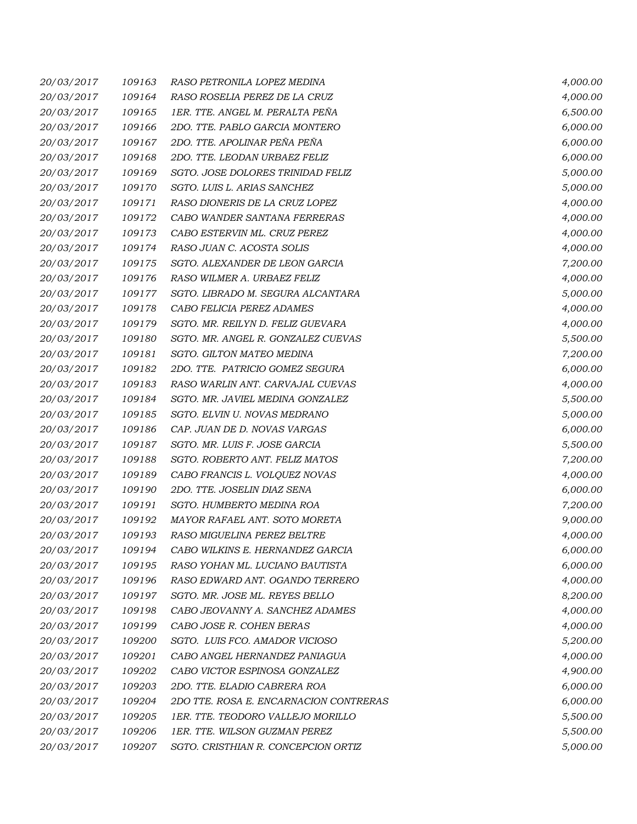| 20/03/2017 | 109163 | RASO PETRONILA LOPEZ MEDINA            | 4,000.00 |
|------------|--------|----------------------------------------|----------|
| 20/03/2017 | 109164 | RASO ROSELIA PEREZ DE LA CRUZ          | 4,000.00 |
| 20/03/2017 | 109165 | 1ER. TTE. ANGEL M. PERALTA PEÑA        | 6,500.00 |
| 20/03/2017 | 109166 | 2DO. TTE. PABLO GARCIA MONTERO         | 6,000.00 |
| 20/03/2017 | 109167 | 2DO. TTE. APOLINAR PEÑA PEÑA           | 6,000.00 |
| 20/03/2017 | 109168 | 2DO. TTE. LEODAN URBAEZ FELIZ          | 6,000.00 |
| 20/03/2017 | 109169 | SGTO. JOSE DOLORES TRINIDAD FELIZ      | 5,000.00 |
| 20/03/2017 | 109170 | SGTO. LUIS L. ARIAS SANCHEZ            | 5,000.00 |
| 20/03/2017 | 109171 | RASO DIONERIS DE LA CRUZ LOPEZ         | 4,000.00 |
| 20/03/2017 | 109172 | CABO WANDER SANTANA FERRERAS           | 4,000.00 |
| 20/03/2017 | 109173 | CABO ESTERVIN ML. CRUZ PEREZ           | 4,000.00 |
| 20/03/2017 | 109174 | RASO JUAN C. ACOSTA SOLIS              | 4,000.00 |
| 20/03/2017 | 109175 | SGTO. ALEXANDER DE LEON GARCIA         | 7,200.00 |
| 20/03/2017 | 109176 | RASO WILMER A. URBAEZ FELIZ            | 4,000.00 |
| 20/03/2017 | 109177 | SGTO. LIBRADO M. SEGURA ALCANTARA      | 5,000.00 |
| 20/03/2017 | 109178 | CABO FELICIA PEREZ ADAMES              | 4,000.00 |
| 20/03/2017 | 109179 | SGTO. MR. REILYN D. FELIZ GUEVARA      | 4,000.00 |
| 20/03/2017 | 109180 | SGTO. MR. ANGEL R. GONZALEZ CUEVAS     | 5,500.00 |
| 20/03/2017 | 109181 | SGTO. GILTON MATEO MEDINA              | 7,200.00 |
| 20/03/2017 | 109182 | 2DO. TTE. PATRICIO GOMEZ SEGURA        | 6,000.00 |
| 20/03/2017 | 109183 | RASO WARLIN ANT. CARVAJAL CUEVAS       | 4,000.00 |
| 20/03/2017 | 109184 | SGTO. MR. JAVIEL MEDINA GONZALEZ       | 5,500.00 |
| 20/03/2017 | 109185 | SGTO. ELVIN U. NOVAS MEDRANO           | 5,000.00 |
| 20/03/2017 | 109186 | CAP. JUAN DE D. NOVAS VARGAS           | 6,000.00 |
| 20/03/2017 | 109187 | SGTO. MR. LUIS F. JOSE GARCIA          | 5,500.00 |
| 20/03/2017 | 109188 | SGTO. ROBERTO ANT. FELIZ MATOS         | 7,200.00 |
| 20/03/2017 | 109189 | CABO FRANCIS L. VOLQUEZ NOVAS          | 4,000.00 |
| 20/03/2017 | 109190 | 2DO. TTE. JOSELIN DIAZ SENA            | 6,000.00 |
| 20/03/2017 | 109191 | SGTO. HUMBERTO MEDINA ROA              | 7,200.00 |
| 20/03/2017 | 109192 | MAYOR RAFAEL ANT. SOTO MORETA          | 9,000.00 |
| 20/03/2017 | 109193 | RASO MIGUELINA PEREZ BELTRE            | 4,000.00 |
| 20/03/2017 | 109194 | CABO WILKINS E. HERNANDEZ GARCIA       | 6,000.00 |
| 20/03/2017 | 109195 | RASO YOHAN ML. LUCIANO BAUTISTA        | 6,000.00 |
| 20/03/2017 | 109196 | RASO EDWARD ANT. OGANDO TERRERO        | 4,000.00 |
| 20/03/2017 | 109197 | SGTO. MR. JOSE ML. REYES BELLO         | 8,200.00 |
| 20/03/2017 | 109198 | CABO JEOVANNY A. SANCHEZ ADAMES        | 4,000.00 |
| 20/03/2017 | 109199 | CABO JOSE R. COHEN BERAS               | 4,000.00 |
| 20/03/2017 | 109200 | SGTO. LUIS FCO. AMADOR VICIOSO         | 5,200.00 |
| 20/03/2017 | 109201 | CABO ANGEL HERNANDEZ PANIAGUA          | 4,000.00 |
| 20/03/2017 | 109202 | CABO VICTOR ESPINOSA GONZALEZ          | 4,900.00 |
| 20/03/2017 | 109203 | 2DO. TTE. ELADIO CABRERA ROA           | 6,000.00 |
| 20/03/2017 | 109204 | 2DO TTE. ROSA E. ENCARNACION CONTRERAS | 6,000.00 |
| 20/03/2017 | 109205 | 1ER. TTE. TEODORO VALLEJO MORILLO      | 5,500.00 |
| 20/03/2017 | 109206 | 1ER. TTE. WILSON GUZMAN PEREZ          | 5,500.00 |
| 20/03/2017 | 109207 | SGTO. CRISTHIAN R. CONCEPCION ORTIZ    | 5,000.00 |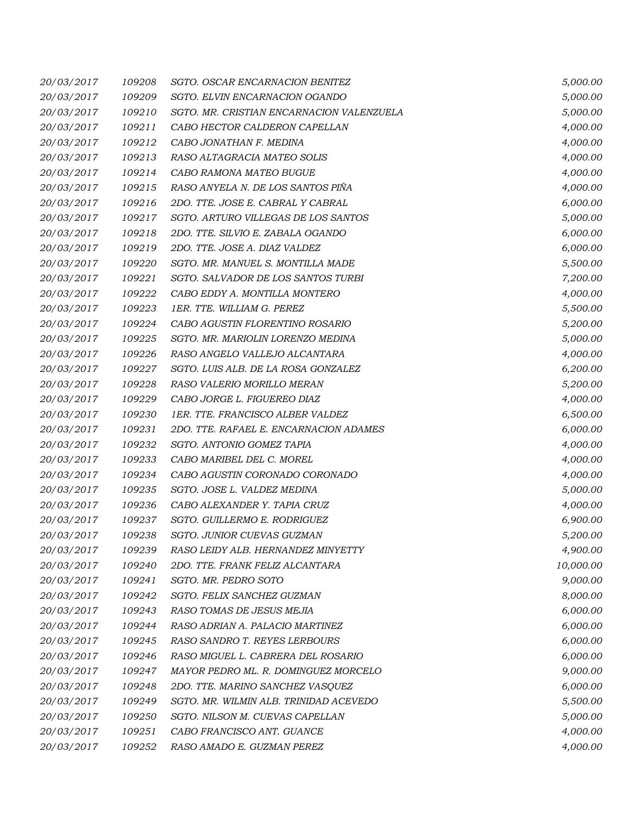| 20/03/2017 | 109208 | SGTO. OSCAR ENCARNACION BENITEZ           | 5,000.00  |
|------------|--------|-------------------------------------------|-----------|
| 20/03/2017 | 109209 | SGTO. ELVIN ENCARNACION OGANDO            | 5,000.00  |
| 20/03/2017 | 109210 | SGTO. MR. CRISTIAN ENCARNACION VALENZUELA | 5,000.00  |
| 20/03/2017 | 109211 | CABO HECTOR CALDERON CAPELLAN             | 4,000.00  |
| 20/03/2017 | 109212 | CABO JONATHAN F. MEDINA                   | 4,000.00  |
| 20/03/2017 | 109213 | RASO ALTAGRACIA MATEO SOLIS               | 4,000.00  |
| 20/03/2017 | 109214 | CABO RAMONA MATEO BUGUE                   | 4,000.00  |
| 20/03/2017 | 109215 | RASO ANYELA N. DE LOS SANTOS PIÑA         | 4,000.00  |
| 20/03/2017 | 109216 | 2DO. TTE. JOSE E. CABRAL Y CABRAL         | 6,000.00  |
| 20/03/2017 | 109217 | SGTO. ARTURO VILLEGAS DE LOS SANTOS       | 5,000.00  |
| 20/03/2017 | 109218 | 2DO. TTE. SILVIO E. ZABALA OGANDO         | 6,000.00  |
| 20/03/2017 | 109219 | 2DO. TTE. JOSE A. DIAZ VALDEZ             | 6,000.00  |
| 20/03/2017 | 109220 | SGTO. MR. MANUEL S. MONTILLA MADE         | 5,500.00  |
| 20/03/2017 | 109221 | SGTO. SALVADOR DE LOS SANTOS TURBI        | 7,200.00  |
| 20/03/2017 | 109222 | CABO EDDY A. MONTILLA MONTERO             | 4,000.00  |
| 20/03/2017 | 109223 | 1ER. TTE. WILLIAM G. PEREZ                | 5,500.00  |
| 20/03/2017 | 109224 | CABO AGUSTIN FLORENTINO ROSARIO           | 5,200.00  |
| 20/03/2017 | 109225 | SGTO. MR. MARIOLIN LORENZO MEDINA         | 5,000.00  |
| 20/03/2017 | 109226 | RASO ANGELO VALLEJO ALCANTARA             | 4,000.00  |
| 20/03/2017 | 109227 | SGTO. LUIS ALB. DE LA ROSA GONZALEZ       | 6,200.00  |
| 20/03/2017 | 109228 | RASO VALERIO MORILLO MERAN                | 5,200.00  |
| 20/03/2017 | 109229 | CABO JORGE L. FIGUEREO DIAZ               | 4,000.00  |
| 20/03/2017 | 109230 | 1ER. TTE. FRANCISCO ALBER VALDEZ          | 6,500.00  |
| 20/03/2017 | 109231 | 2DO. TTE. RAFAEL E. ENCARNACION ADAMES    | 6,000.00  |
| 20/03/2017 | 109232 | SGTO. ANTONIO GOMEZ TAPIA                 | 4,000.00  |
| 20/03/2017 | 109233 | CABO MARIBEL DEL C. MOREL                 | 4,000.00  |
| 20/03/2017 | 109234 | CABO AGUSTIN CORONADO CORONADO            | 4,000.00  |
| 20/03/2017 | 109235 | SGTO. JOSE L. VALDEZ MEDINA               | 5,000.00  |
| 20/03/2017 | 109236 | CABO ALEXANDER Y. TAPIA CRUZ              | 4,000.00  |
| 20/03/2017 | 109237 | SGTO. GUILLERMO E. RODRIGUEZ              | 6,900.00  |
| 20/03/2017 | 109238 | SGTO. JUNIOR CUEVAS GUZMAN                | 5,200.00  |
| 20/03/2017 | 109239 | RASO LEIDY ALB. HERNANDEZ MINYETTY        | 4,900.00  |
| 20/03/2017 | 109240 | 2DO. TTE. FRANK FELIZ ALCANTARA           | 10,000.00 |
| 20/03/2017 | 109241 | SGTO. MR. PEDRO SOTO                      | 9,000.00  |
| 20/03/2017 | 109242 | SGTO. FELIX SANCHEZ GUZMAN                | 8,000.00  |
| 20/03/2017 | 109243 | RASO TOMAS DE JESUS MEJIA                 | 6,000.00  |
| 20/03/2017 | 109244 | RASO ADRIAN A. PALACIO MARTINEZ           | 6,000.00  |
| 20/03/2017 | 109245 | RASO SANDRO T. REYES LERBOURS             | 6,000.00  |
| 20/03/2017 | 109246 | RASO MIGUEL L. CABRERA DEL ROSARIO        | 6,000.00  |
| 20/03/2017 | 109247 | MAYOR PEDRO ML. R. DOMINGUEZ MORCELO      | 9,000.00  |
| 20/03/2017 | 109248 | 2DO. TTE. MARINO SANCHEZ VASQUEZ          | 6,000.00  |
| 20/03/2017 | 109249 | SGTO. MR. WILMIN ALB. TRINIDAD ACEVEDO    | 5,500.00  |
| 20/03/2017 | 109250 | SGTO. NILSON M. CUEVAS CAPELLAN           | 5,000.00  |
| 20/03/2017 | 109251 | CABO FRANCISCO ANT. GUANCE                | 4,000.00  |
| 20/03/2017 | 109252 | RASO AMADO E. GUZMAN PEREZ                | 4,000.00  |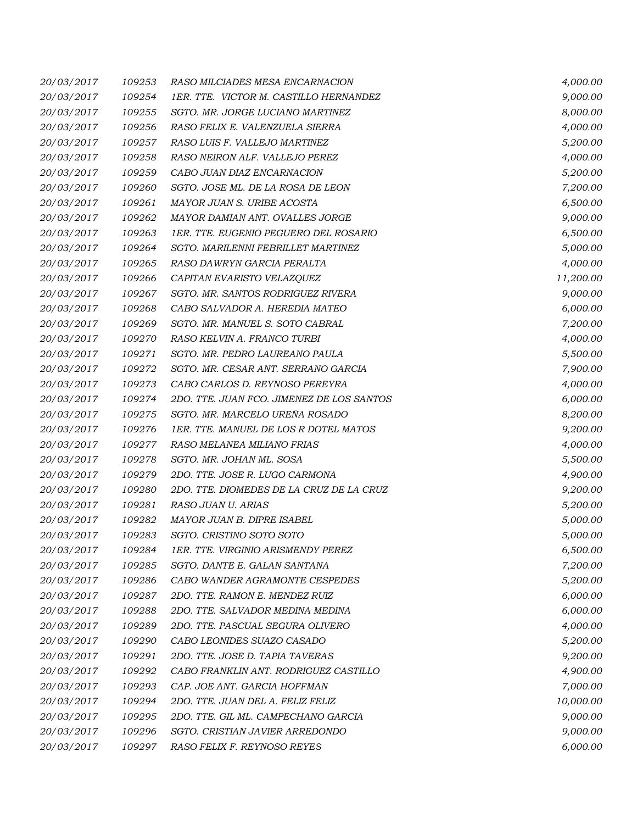| 20/03/2017 | 109253 | RASO MILCIADES MESA ENCARNACION           | 4,000.00  |
|------------|--------|-------------------------------------------|-----------|
| 20/03/2017 | 109254 | 1ER. TTE. VICTOR M. CASTILLO HERNANDEZ    | 9,000.00  |
| 20/03/2017 | 109255 | SGTO. MR. JORGE LUCIANO MARTINEZ          | 8,000.00  |
| 20/03/2017 | 109256 | RASO FELIX E. VALENZUELA SIERRA           | 4,000.00  |
| 20/03/2017 | 109257 | RASO LUIS F. VALLEJO MARTINEZ             | 5,200.00  |
| 20/03/2017 | 109258 | RASO NEIRON ALF. VALLEJO PEREZ            | 4,000.00  |
| 20/03/2017 | 109259 | CABO JUAN DIAZ ENCARNACION                | 5,200.00  |
| 20/03/2017 | 109260 | SGTO. JOSE ML. DE LA ROSA DE LEON         | 7,200.00  |
| 20/03/2017 | 109261 | MAYOR JUAN S. URIBE ACOSTA                | 6,500.00  |
| 20/03/2017 | 109262 | MAYOR DAMIAN ANT. OVALLES JORGE           | 9,000.00  |
| 20/03/2017 | 109263 | 1ER. TTE. EUGENIO PEGUERO DEL ROSARIO     | 6,500.00  |
| 20/03/2017 | 109264 | SGTO. MARILENNI FEBRILLET MARTINEZ        | 5,000.00  |
| 20/03/2017 | 109265 | RASO DAWRYN GARCIA PERALTA                | 4,000.00  |
| 20/03/2017 | 109266 | CAPITAN EVARISTO VELAZQUEZ                | 11,200.00 |
| 20/03/2017 | 109267 | SGTO. MR. SANTOS RODRIGUEZ RIVERA         | 9,000.00  |
| 20/03/2017 | 109268 | CABO SALVADOR A. HEREDIA MATEO            | 6,000.00  |
| 20/03/2017 | 109269 | SGTO. MR. MANUEL S. SOTO CABRAL           | 7,200.00  |
| 20/03/2017 | 109270 | RASO KELVIN A. FRANCO TURBI               | 4,000.00  |
| 20/03/2017 | 109271 | SGTO. MR. PEDRO LAUREANO PAULA            | 5,500.00  |
| 20/03/2017 | 109272 | SGTO. MR. CESAR ANT. SERRANO GARCIA       | 7,900.00  |
| 20/03/2017 | 109273 | CABO CARLOS D. REYNOSO PEREYRA            | 4,000.00  |
| 20/03/2017 | 109274 | 2DO. TTE. JUAN FCO. JIMENEZ DE LOS SANTOS | 6,000.00  |
| 20/03/2017 | 109275 | SGTO. MR. MARCELO UREÑA ROSADO            | 8,200.00  |
| 20/03/2017 | 109276 | 1ER. TTE. MANUEL DE LOS R DOTEL MATOS     | 9,200.00  |
| 20/03/2017 | 109277 | RASO MELANEA MILIANO FRIAS                | 4,000.00  |
| 20/03/2017 | 109278 | SGTO. MR. JOHAN ML. SOSA                  | 5,500.00  |
| 20/03/2017 | 109279 | 2DO. TTE. JOSE R. LUGO CARMONA            | 4,900.00  |
| 20/03/2017 | 109280 | 2DO. TTE. DIOMEDES DE LA CRUZ DE LA CRUZ  | 9,200.00  |
| 20/03/2017 | 109281 | RASO JUAN U. ARIAS                        | 5,200.00  |
| 20/03/2017 | 109282 | MAYOR JUAN B. DIPRE ISABEL                | 5,000.00  |
| 20/03/2017 | 109283 | SGTO. CRISTINO SOTO SOTO                  | 5,000.00  |
| 20/03/2017 | 109284 | 1ER. TTE. VIRGINIO ARISMENDY PEREZ        | 6,500.00  |
| 20/03/2017 | 109285 | SGTO, DANTE E. GALAN SANTANA              | 7,200.00  |
| 20/03/2017 | 109286 | CABO WANDER AGRAMONTE CESPEDES            | 5,200.00  |
| 20/03/2017 | 109287 | 2DO. TTE. RAMON E. MENDEZ RUIZ            | 6,000.00  |
| 20/03/2017 | 109288 | 2DO. TTE. SALVADOR MEDINA MEDINA          | 6,000.00  |
| 20/03/2017 | 109289 | 2DO. TTE. PASCUAL SEGURA OLIVERO          | 4,000.00  |
| 20/03/2017 | 109290 | CABO LEONIDES SUAZO CASADO                | 5,200.00  |
| 20/03/2017 | 109291 | 2DO. TTE. JOSE D. TAPIA TAVERAS           | 9,200.00  |
| 20/03/2017 | 109292 | CABO FRANKLIN ANT. RODRIGUEZ CASTILLO     | 4,900.00  |
| 20/03/2017 | 109293 | CAP. JOE ANT. GARCIA HOFFMAN              | 7,000.00  |
| 20/03/2017 | 109294 | 2DO. TTE. JUAN DEL A. FELIZ FELIZ         | 10,000.00 |
| 20/03/2017 | 109295 | 2DO. TTE. GIL ML. CAMPECHANO GARCIA       | 9,000.00  |
| 20/03/2017 | 109296 | SGTO. CRISTIAN JAVIER ARREDONDO           | 9,000.00  |
| 20/03/2017 | 109297 | RASO FELIX F. REYNOSO REYES               | 6,000.00  |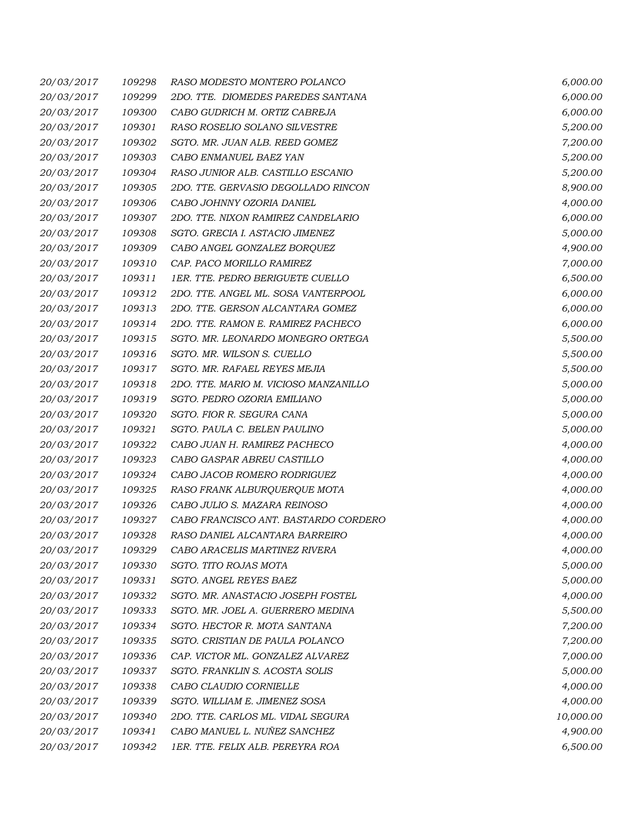| 20/03/2017 | 109298 | RASO MODESTO MONTERO POLANCO          | 6,000.00  |
|------------|--------|---------------------------------------|-----------|
| 20/03/2017 | 109299 | 2DO. TTE. DIOMEDES PAREDES SANTANA    | 6,000.00  |
| 20/03/2017 | 109300 | CABO GUDRICH M. ORTIZ CABREJA         | 6,000.00  |
| 20/03/2017 | 109301 | RASO ROSELIO SOLANO SILVESTRE         | 5,200.00  |
| 20/03/2017 | 109302 | SGTO. MR. JUAN ALB. REED GOMEZ        | 7,200.00  |
| 20/03/2017 | 109303 | CABO ENMANUEL BAEZ YAN                | 5,200.00  |
| 20/03/2017 | 109304 | RASO JUNIOR ALB. CASTILLO ESCANIO     | 5,200.00  |
| 20/03/2017 | 109305 | 2DO. TTE. GERVASIO DEGOLLADO RINCON   | 8,900.00  |
| 20/03/2017 | 109306 | CABO JOHNNY OZORIA DANIEL             | 4,000.00  |
| 20/03/2017 | 109307 | 2DO. TTE. NIXON RAMIREZ CANDELARIO    | 6,000.00  |
| 20/03/2017 | 109308 | SGTO. GRECIA I. ASTACIO JIMENEZ       | 5,000.00  |
| 20/03/2017 | 109309 | CABO ANGEL GONZALEZ BORQUEZ           | 4,900.00  |
| 20/03/2017 | 109310 | CAP. PACO MORILLO RAMIREZ             | 7,000.00  |
| 20/03/2017 | 109311 | 1ER. TTE. PEDRO BERIGUETE CUELLO      | 6,500.00  |
| 20/03/2017 | 109312 | 2DO. TTE. ANGEL ML. SOSA VANTERPOOL   | 6,000.00  |
| 20/03/2017 | 109313 | 2DO. TTE. GERSON ALCANTARA GOMEZ      | 6,000.00  |
| 20/03/2017 | 109314 | 2DO. TTE. RAMON E. RAMIREZ PACHECO    | 6,000.00  |
| 20/03/2017 | 109315 | SGTO. MR. LEONARDO MONEGRO ORTEGA     | 5,500.00  |
| 20/03/2017 | 109316 | SGTO. MR. WILSON S. CUELLO            | 5,500.00  |
| 20/03/2017 | 109317 | SGTO. MR. RAFAEL REYES MEJIA          | 5,500.00  |
| 20/03/2017 | 109318 | 2DO. TTE. MARIO M. VICIOSO MANZANILLO | 5,000.00  |
| 20/03/2017 | 109319 | SGTO. PEDRO OZORIA EMILIANO           | 5,000.00  |
| 20/03/2017 | 109320 | SGTO. FIOR R. SEGURA CANA             | 5,000.00  |
| 20/03/2017 | 109321 | SGTO. PAULA C. BELEN PAULINO          | 5,000.00  |
| 20/03/2017 | 109322 | CABO JUAN H. RAMIREZ PACHECO          | 4,000.00  |
| 20/03/2017 | 109323 | CABO GASPAR ABREU CASTILLO            | 4,000.00  |
| 20/03/2017 | 109324 | CABO JACOB ROMERO RODRIGUEZ           | 4,000.00  |
| 20/03/2017 | 109325 | RASO FRANK ALBURQUERQUE MOTA          | 4,000.00  |
| 20/03/2017 | 109326 | CABO JULIO S. MAZARA REINOSO          | 4,000.00  |
| 20/03/2017 | 109327 | CABO FRANCISCO ANT. BASTARDO CORDERO  | 4,000.00  |
| 20/03/2017 | 109328 | RASO DANIEL ALCANTARA BARREIRO        | 4,000.00  |
| 20/03/2017 | 109329 | CABO ARACELIS MARTINEZ RIVERA         | 4,000.00  |
| 20/03/2017 | 109330 | SGTO. TITO ROJAS MOTA                 | 5,000.00  |
| 20/03/2017 | 109331 | SGTO. ANGEL REYES BAEZ                | 5,000.00  |
| 20/03/2017 | 109332 | SGTO. MR. ANASTACIO JOSEPH FOSTEL     | 4,000.00  |
| 20/03/2017 | 109333 | SGTO. MR. JOEL A. GUERRERO MEDINA     | 5,500.00  |
| 20/03/2017 | 109334 | SGTO. HECTOR R. MOTA SANTANA          | 7,200.00  |
| 20/03/2017 | 109335 | SGTO. CRISTIAN DE PAULA POLANCO       | 7,200.00  |
| 20/03/2017 | 109336 | CAP. VICTOR ML. GONZALEZ ALVAREZ      | 7,000.00  |
| 20/03/2017 | 109337 | SGTO. FRANKLIN S. ACOSTA SOLIS        | 5,000.00  |
| 20/03/2017 | 109338 | CABO CLAUDIO CORNIELLE                | 4,000.00  |
| 20/03/2017 | 109339 | SGTO. WILLIAM E. JIMENEZ SOSA         | 4,000.00  |
| 20/03/2017 | 109340 | 2DO. TTE. CARLOS ML. VIDAL SEGURA     | 10,000.00 |
| 20/03/2017 | 109341 | CABO MANUEL L. NUÑEZ SANCHEZ          | 4,900.00  |
| 20/03/2017 | 109342 | 1ER. TTE. FELIX ALB. PEREYRA ROA      | 6,500.00  |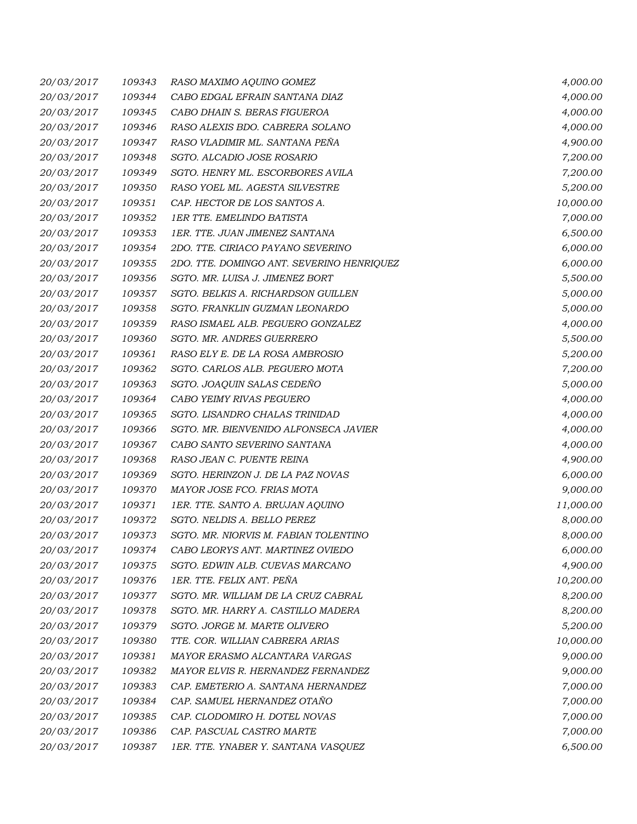| 20/03/2017 | 109343 | RASO MAXIMO AQUINO GOMEZ                  | 4,000.00  |
|------------|--------|-------------------------------------------|-----------|
| 20/03/2017 | 109344 | CABO EDGAL EFRAIN SANTANA DIAZ            | 4,000.00  |
| 20/03/2017 | 109345 | CABO DHAIN S. BERAS FIGUEROA              | 4,000.00  |
| 20/03/2017 | 109346 | RASO ALEXIS BDO. CABRERA SOLANO           | 4,000.00  |
| 20/03/2017 | 109347 | RASO VLADIMIR ML. SANTANA PEÑA            | 4,900.00  |
| 20/03/2017 | 109348 | SGTO. ALCADIO JOSE ROSARIO                | 7,200.00  |
| 20/03/2017 | 109349 | SGTO. HENRY ML. ESCORBORES AVILA          | 7,200.00  |
| 20/03/2017 | 109350 | RASO YOEL ML. AGESTA SILVESTRE            | 5,200.00  |
| 20/03/2017 | 109351 | CAP. HECTOR DE LOS SANTOS A.              | 10,000.00 |
| 20/03/2017 | 109352 | <b>1ER TTE. EMELINDO BATISTA</b>          | 7,000.00  |
| 20/03/2017 | 109353 | 1ER. TTE. JUAN JIMENEZ SANTANA            | 6,500.00  |
| 20/03/2017 | 109354 | 2DO. TTE. CIRIACO PAYANO SEVERINO         | 6,000.00  |
| 20/03/2017 | 109355 | 2DO. TTE. DOMINGO ANT. SEVERINO HENRIQUEZ | 6,000.00  |
| 20/03/2017 | 109356 | SGTO. MR. LUISA J. JIMENEZ BORT           | 5,500.00  |
| 20/03/2017 | 109357 | SGTO. BELKIS A. RICHARDSON GUILLEN        | 5,000.00  |
| 20/03/2017 | 109358 | SGTO. FRANKLIN GUZMAN LEONARDO            | 5,000.00  |
| 20/03/2017 | 109359 | RASO ISMAEL ALB. PEGUERO GONZALEZ         | 4,000.00  |
| 20/03/2017 | 109360 | SGTO. MR. ANDRES GUERRERO                 | 5,500.00  |
| 20/03/2017 | 109361 | RASO ELY E. DE LA ROSA AMBROSIO           | 5,200.00  |
| 20/03/2017 | 109362 | SGTO. CARLOS ALB. PEGUERO MOTA            | 7,200.00  |
| 20/03/2017 | 109363 | SGTO. JOAQUIN SALAS CEDEÑO                | 5,000.00  |
| 20/03/2017 | 109364 | CABO YEIMY RIVAS PEGUERO                  | 4,000.00  |
| 20/03/2017 | 109365 | SGTO. LISANDRO CHALAS TRINIDAD            | 4,000.00  |
| 20/03/2017 | 109366 | SGTO. MR. BIENVENIDO ALFONSECA JAVIER     | 4,000.00  |
| 20/03/2017 | 109367 | CABO SANTO SEVERINO SANTANA               | 4,000.00  |
| 20/03/2017 | 109368 | RASO JEAN C. PUENTE REINA                 | 4,900.00  |
| 20/03/2017 | 109369 | SGTO. HERINZON J. DE LA PAZ NOVAS         | 6,000.00  |
| 20/03/2017 | 109370 | MAYOR JOSE FCO. FRIAS MOTA                | 9,000.00  |
| 20/03/2017 | 109371 | 1ER. TTE. SANTO A. BRUJAN AQUINO          | 11,000.00 |
| 20/03/2017 | 109372 | SGTO. NELDIS A. BELLO PEREZ               | 8,000.00  |
| 20/03/2017 | 109373 | SGTO. MR. NIORVIS M. FABIAN TOLENTINO     | 8,000.00  |
| 20/03/2017 | 109374 | CABO LEORYS ANT. MARTINEZ OVIEDO          | 6,000.00  |
| 20/03/2017 | 109375 | SGTO. EDWIN ALB. CUEVAS MARCANO           | 4,900.00  |
| 20/03/2017 | 109376 | 1ER. TTE. FELIX ANT. PEÑA                 | 10,200.00 |
| 20/03/2017 | 109377 | SGTO. MR. WILLIAM DE LA CRUZ CABRAL       | 8,200.00  |
| 20/03/2017 | 109378 | SGTO. MR. HARRY A. CASTILLO MADERA        | 8,200.00  |
| 20/03/2017 | 109379 | SGTO. JORGE M. MARTE OLIVERO              | 5,200.00  |
| 20/03/2017 | 109380 | TTE. COR. WILLIAN CABRERA ARIAS           | 10,000.00 |
| 20/03/2017 | 109381 | MAYOR ERASMO ALCANTARA VARGAS             | 9,000.00  |
| 20/03/2017 | 109382 | MAYOR ELVIS R. HERNANDEZ FERNANDEZ        | 9,000.00  |
| 20/03/2017 | 109383 | CAP. EMETERIO A. SANTANA HERNANDEZ        | 7,000.00  |
| 20/03/2017 | 109384 | CAP. SAMUEL HERNANDEZ OTAÑO               | 7,000.00  |
| 20/03/2017 | 109385 | CAP. CLODOMIRO H. DOTEL NOVAS             | 7,000.00  |
| 20/03/2017 | 109386 | CAP. PASCUAL CASTRO MARTE                 | 7,000.00  |
| 20/03/2017 | 109387 | 1ER. TTE. YNABER Y. SANTANA VASQUEZ       | 6,500.00  |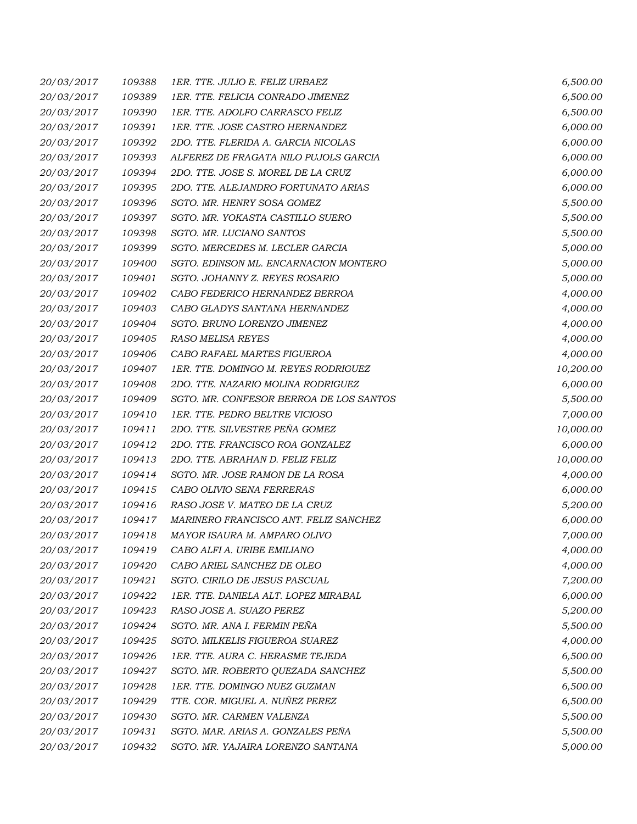| 20/03/2017 | 109388 | 1ER. TTE. JULIO E. FELIZ URBAEZ         | 6,500.00  |
|------------|--------|-----------------------------------------|-----------|
| 20/03/2017 | 109389 | 1ER. TTE. FELICIA CONRADO JIMENEZ       | 6,500.00  |
| 20/03/2017 | 109390 | 1ER. TTE. ADOLFO CARRASCO FELIZ         | 6,500.00  |
| 20/03/2017 | 109391 | 1ER. TTE. JOSE CASTRO HERNANDEZ         | 6,000.00  |
| 20/03/2017 | 109392 | 2DO. TTE. FLERIDA A. GARCIA NICOLAS     | 6,000.00  |
| 20/03/2017 | 109393 | ALFEREZ DE FRAGATA NILO PUJOLS GARCIA   | 6,000.00  |
| 20/03/2017 | 109394 | 2DO. TTE. JOSE S. MOREL DE LA CRUZ      | 6,000.00  |
| 20/03/2017 | 109395 | 2DO. TTE. ALEJANDRO FORTUNATO ARIAS     | 6,000.00  |
| 20/03/2017 | 109396 | SGTO. MR. HENRY SOSA GOMEZ              | 5,500.00  |
| 20/03/2017 | 109397 | SGTO. MR. YOKASTA CASTILLO SUERO        | 5,500.00  |
| 20/03/2017 | 109398 | SGTO. MR. LUCIANO SANTOS                | 5,500.00  |
| 20/03/2017 | 109399 | SGTO. MERCEDES M. LECLER GARCIA         | 5,000.00  |
| 20/03/2017 | 109400 | SGTO. EDINSON ML. ENCARNACION MONTERO   | 5,000.00  |
| 20/03/2017 | 109401 | SGTO. JOHANNY Z. REYES ROSARIO          | 5,000.00  |
| 20/03/2017 | 109402 | CABO FEDERICO HERNANDEZ BERROA          | 4,000.00  |
| 20/03/2017 | 109403 | CABO GLADYS SANTANA HERNANDEZ           | 4,000.00  |
| 20/03/2017 | 109404 | SGTO. BRUNO LORENZO JIMENEZ             | 4,000.00  |
| 20/03/2017 | 109405 | RASO MELISA REYES                       | 4,000.00  |
| 20/03/2017 | 109406 | CABO RAFAEL MARTES FIGUEROA             | 4,000.00  |
| 20/03/2017 | 109407 | 1ER. TTE. DOMINGO M. REYES RODRIGUEZ    | 10,200.00 |
| 20/03/2017 | 109408 | 2DO. TTE. NAZARIO MOLINA RODRIGUEZ      | 6,000.00  |
| 20/03/2017 | 109409 | SGTO. MR. CONFESOR BERROA DE LOS SANTOS | 5,500.00  |
| 20/03/2017 | 109410 | 1ER. TTE. PEDRO BELTRE VICIOSO          | 7,000.00  |
| 20/03/2017 | 109411 | 2DO. TTE. SILVESTRE PEÑA GOMEZ          | 10,000.00 |
| 20/03/2017 | 109412 | 2DO. TTE. FRANCISCO ROA GONZALEZ        | 6,000.00  |
| 20/03/2017 | 109413 | 2DO. TTE. ABRAHAN D. FELIZ FELIZ        | 10,000.00 |
| 20/03/2017 | 109414 | SGTO. MR. JOSE RAMON DE LA ROSA         | 4,000.00  |
| 20/03/2017 | 109415 | CABO OLIVIO SENA FERRERAS               | 6,000.00  |
| 20/03/2017 | 109416 | RASO JOSE V. MATEO DE LA CRUZ           | 5,200.00  |
| 20/03/2017 | 109417 | MARINERO FRANCISCO ANT. FELIZ SANCHEZ   | 6,000.00  |
| 20/03/2017 | 109418 | MAYOR ISAURA M. AMPARO OLIVO            | 7,000.00  |
| 20/03/2017 | 109419 | CABO ALFI A. URIBE EMILIANO             | 4,000.00  |
| 20/03/2017 | 109420 | CABO ARIEL SANCHEZ DE OLEO              | 4,000.00  |
| 20/03/2017 | 109421 | SGTO. CIRILO DE JESUS PASCUAL           | 7,200.00  |
| 20/03/2017 | 109422 | 1ER. TTE. DANIELA ALT. LOPEZ MIRABAL    | 6,000.00  |
| 20/03/2017 | 109423 | RASO JOSE A. SUAZO PEREZ                | 5,200.00  |
| 20/03/2017 | 109424 | SGTO. MR. ANA I. FERMIN PEÑA            | 5,500.00  |
| 20/03/2017 | 109425 | SGTO. MILKELIS FIGUEROA SUAREZ          | 4,000.00  |
| 20/03/2017 | 109426 | 1ER. TTE. AURA C. HERASME TEJEDA        | 6,500.00  |
| 20/03/2017 | 109427 | SGTO. MR. ROBERTO QUEZADA SANCHEZ       | 5,500.00  |
| 20/03/2017 | 109428 | 1ER. TTE. DOMINGO NUEZ GUZMAN           | 6,500.00  |
| 20/03/2017 | 109429 | TTE. COR. MIGUEL A. NUÑEZ PEREZ         | 6,500.00  |
| 20/03/2017 | 109430 | SGTO. MR. CARMEN VALENZA                | 5,500.00  |
| 20/03/2017 | 109431 | SGTO. MAR. ARIAS A. GONZALES PEÑA       | 5,500.00  |
| 20/03/2017 | 109432 | SGTO. MR. YAJAIRA LORENZO SANTANA       | 5,000.00  |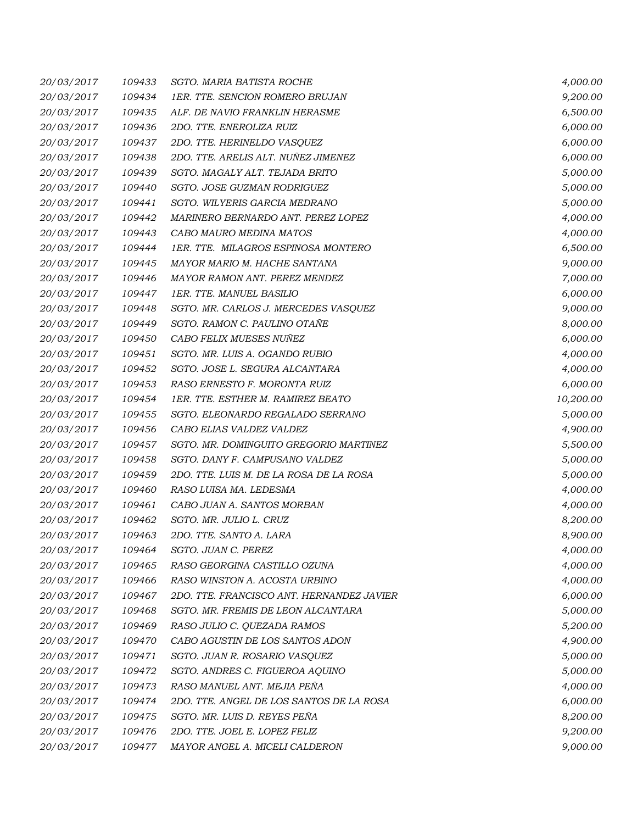| 20/03/2017 | 109433 | SGTO. MARIA BATISTA ROCHE                 | 4,000.00  |
|------------|--------|-------------------------------------------|-----------|
| 20/03/2017 | 109434 | 1ER. TTE. SENCION ROMERO BRUJAN           | 9,200.00  |
| 20/03/2017 | 109435 | ALF. DE NAVIO FRANKLIN HERASME            | 6,500.00  |
| 20/03/2017 | 109436 | 2DO. TTE. ENEROLIZA RUIZ                  | 6,000.00  |
| 20/03/2017 | 109437 | 2DO. TTE. HERINELDO VASQUEZ               | 6,000.00  |
| 20/03/2017 | 109438 | 2DO. TTE. ARELIS ALT. NUÑEZ JIMENEZ       | 6,000.00  |
| 20/03/2017 | 109439 | SGTO. MAGALY ALT. TEJADA BRITO            | 5,000.00  |
| 20/03/2017 | 109440 | SGTO. JOSE GUZMAN RODRIGUEZ               | 5,000.00  |
| 20/03/2017 | 109441 | SGTO. WILYERIS GARCIA MEDRANO             | 5,000.00  |
| 20/03/2017 | 109442 | MARINERO BERNARDO ANT. PEREZ LOPEZ        | 4,000.00  |
| 20/03/2017 | 109443 | CABO MAURO MEDINA MATOS                   | 4,000.00  |
| 20/03/2017 | 109444 | 1ER. TTE. MILAGROS ESPINOSA MONTERO       | 6,500.00  |
| 20/03/2017 | 109445 | MAYOR MARIO M. HACHE SANTANA              | 9,000.00  |
| 20/03/2017 | 109446 | MAYOR RAMON ANT. PEREZ MENDEZ             | 7,000.00  |
| 20/03/2017 | 109447 | 1ER. TTE. MANUEL BASILIO                  | 6,000.00  |
| 20/03/2017 | 109448 | SGTO. MR. CARLOS J. MERCEDES VASQUEZ      | 9,000.00  |
| 20/03/2017 | 109449 | SGTO. RAMON C. PAULINO OTAÑE              | 8,000.00  |
| 20/03/2017 | 109450 | CABO FELIX MUESES NUÑEZ                   | 6,000.00  |
| 20/03/2017 | 109451 | SGTO. MR. LUIS A. OGANDO RUBIO            | 4,000.00  |
| 20/03/2017 | 109452 | SGTO. JOSE L. SEGURA ALCANTARA            | 4,000.00  |
| 20/03/2017 | 109453 | RASO ERNESTO F. MORONTA RUIZ              | 6,000.00  |
| 20/03/2017 | 109454 | 1ER. TTE. ESTHER M. RAMIREZ BEATO         | 10,200.00 |
| 20/03/2017 | 109455 | SGTO. ELEONARDO REGALADO SERRANO          | 5,000.00  |
| 20/03/2017 | 109456 | CABO ELIAS VALDEZ VALDEZ                  | 4,900.00  |
| 20/03/2017 | 109457 | SGTO. MR. DOMINGUITO GREGORIO MARTINEZ    | 5,500.00  |
| 20/03/2017 | 109458 | SGTO. DANY F. CAMPUSANO VALDEZ            | 5,000.00  |
| 20/03/2017 | 109459 | 2DO. TTE. LUIS M. DE LA ROSA DE LA ROSA   | 5,000.00  |
| 20/03/2017 | 109460 | RASO LUISA MA. LEDESMA                    | 4,000.00  |
| 20/03/2017 | 109461 | CABO JUAN A. SANTOS MORBAN                | 4,000.00  |
| 20/03/2017 | 109462 | SGTO. MR. JULIO L. CRUZ                   | 8,200.00  |
| 20/03/2017 | 109463 | 2DO. TTE. SANTO A. LARA                   | 8,900.00  |
| 20/03/2017 | 109464 | SGTO. JUAN C. PEREZ                       | 4,000.00  |
| 20/03/2017 | 109465 | RASO GEORGINA CASTILLO OZUNA              | 4,000.00  |
| 20/03/2017 | 109466 | RASO WINSTON A. ACOSTA URBINO             | 4,000.00  |
| 20/03/2017 | 109467 | 2DO. TTE. FRANCISCO ANT. HERNANDEZ JAVIER | 6,000.00  |
| 20/03/2017 | 109468 | SGTO. MR. FREMIS DE LEON ALCANTARA        | 5,000.00  |
| 20/03/2017 | 109469 | RASO JULIO C. QUEZADA RAMOS               | 5,200.00  |
| 20/03/2017 | 109470 | CABO AGUSTIN DE LOS SANTOS ADON           | 4,900.00  |
| 20/03/2017 | 109471 | SGTO. JUAN R. ROSARIO VASQUEZ             | 5,000.00  |
| 20/03/2017 | 109472 | SGTO. ANDRES C. FIGUEROA AQUINO           | 5,000.00  |
| 20/03/2017 | 109473 | RASO MANUEL ANT. MEJIA PEÑA               | 4,000.00  |
| 20/03/2017 | 109474 | 2DO. TTE. ANGEL DE LOS SANTOS DE LA ROSA  | 6,000.00  |
| 20/03/2017 | 109475 | SGTO. MR. LUIS D. REYES PEÑA              | 8,200.00  |
| 20/03/2017 | 109476 | 2DO. TTE. JOEL E. LOPEZ FELIZ             | 9,200.00  |
| 20/03/2017 | 109477 | MAYOR ANGEL A. MICELI CALDERON            | 9,000.00  |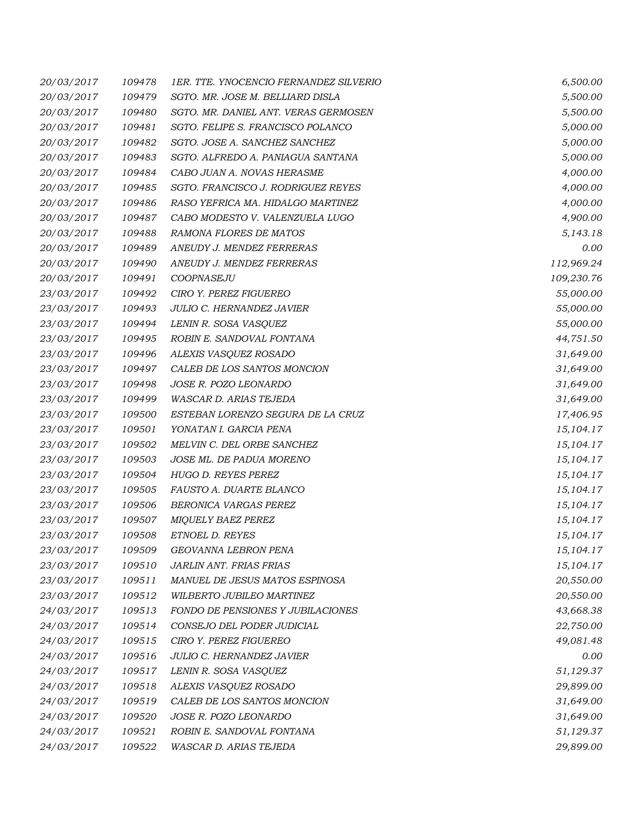| 20/03/2017 | 109478 | 1ER. TTE. YNOCENCIO FERNANDEZ SILVERIO | 6,500.00   |
|------------|--------|----------------------------------------|------------|
| 20/03/2017 | 109479 | SGTO. MR. JOSE M. BELLIARD DISLA       | 5,500.00   |
| 20/03/2017 | 109480 | SGTO. MR. DANIEL ANT. VERAS GERMOSEN   | 5,500.00   |
| 20/03/2017 | 109481 | SGTO. FELIPE S. FRANCISCO POLANCO      | 5,000.00   |
| 20/03/2017 | 109482 | SGTO. JOSE A. SANCHEZ SANCHEZ          | 5,000.00   |
| 20/03/2017 | 109483 | SGTO. ALFREDO A. PANIAGUA SANTANA      | 5,000.00   |
| 20/03/2017 | 109484 | CABO JUAN A. NOVAS HERASME             | 4,000.00   |
| 20/03/2017 | 109485 | SGTO. FRANCISCO J. RODRIGUEZ REYES     | 4,000.00   |
| 20/03/2017 | 109486 | RASO YEFRICA MA. HIDALGO MARTINEZ      | 4,000.00   |
| 20/03/2017 | 109487 | CABO MODESTO V. VALENZUELA LUGO        | 4,900.00   |
| 20/03/2017 | 109488 | RAMONA FLORES DE MATOS                 | 5,143.18   |
| 20/03/2017 | 109489 | ANEUDY J. MENDEZ FERRERAS              | 0.00       |
| 20/03/2017 | 109490 | ANEUDY J. MENDEZ FERRERAS              | 112,969.24 |
| 20/03/2017 | 109491 | COOPNASEJU                             | 109,230.76 |
| 23/03/2017 | 109492 | CIRO Y. PEREZ FIGUEREO                 | 55,000.00  |
| 23/03/2017 | 109493 | JULIO C. HERNANDEZ JAVIER              | 55,000.00  |
| 23/03/2017 | 109494 | LENIN R. SOSA VASQUEZ                  | 55,000.00  |
| 23/03/2017 | 109495 | ROBIN E. SANDOVAL FONTANA              | 44,751.50  |
| 23/03/2017 | 109496 | ALEXIS VASQUEZ ROSADO                  | 31,649.00  |
| 23/03/2017 | 109497 | CALEB DE LOS SANTOS MONCION            | 31,649.00  |
| 23/03/2017 | 109498 | JOSE R. POZO LEONARDO                  | 31,649.00  |
| 23/03/2017 | 109499 | WASCAR D. ARIAS TEJEDA                 | 31,649.00  |
| 23/03/2017 | 109500 | ESTEBAN LORENZO SEGURA DE LA CRUZ      | 17,406.95  |
| 23/03/2017 | 109501 | YONATAN I. GARCIA PENA                 | 15,104.17  |
| 23/03/2017 | 109502 | MELVIN C. DEL ORBE SANCHEZ             | 15,104.17  |
| 23/03/2017 | 109503 | JOSE ML. DE PADUA MORENO               | 15,104.17  |
| 23/03/2017 | 109504 | HUGO D. REYES PEREZ                    | 15,104.17  |
| 23/03/2017 | 109505 | FAUSTO A. DUARTE BLANCO                | 15,104.17  |
| 23/03/2017 | 109506 | BERONICA VARGAS PEREZ                  | 15,104.17  |
| 23/03/2017 | 109507 | <b>MIQUELY BAEZ PEREZ</b>              | 15,104.17  |
| 23/03/2017 | 109508 | ETNOEL D. REYES                        | 15,104.17  |
| 23/03/2017 | 109509 | <b>GEOVANNA LEBRON PENA</b>            | 15,104.17  |
| 23/03/2017 | 109510 | JARLIN ANT. FRIAS FRIAS                | 15,104.17  |
| 23/03/2017 | 109511 | MANUEL DE JESUS MATOS ESPINOSA         | 20,550.00  |
| 23/03/2017 | 109512 | WILBERTO JUBILEO MARTINEZ              | 20,550.00  |
| 24/03/2017 | 109513 | FONDO DE PENSIONES Y JUBILACIONES      | 43,668.38  |
| 24/03/2017 | 109514 | CONSEJO DEL PODER JUDICIAL             | 22,750.00  |
| 24/03/2017 | 109515 | CIRO Y. PEREZ FIGUEREO                 | 49,081.48  |
| 24/03/2017 | 109516 | JULIO C. HERNANDEZ JAVIER              | 0.00       |
| 24/03/2017 | 109517 | LENIN R. SOSA VASQUEZ                  | 51,129.37  |
| 24/03/2017 | 109518 | ALEXIS VASQUEZ ROSADO                  | 29,899.00  |
| 24/03/2017 | 109519 | CALEB DE LOS SANTOS MONCION            | 31,649.00  |
| 24/03/2017 | 109520 | JOSE R. POZO LEONARDO                  | 31,649.00  |
| 24/03/2017 | 109521 | ROBIN E. SANDOVAL FONTANA              | 51,129.37  |
| 24/03/2017 | 109522 | WASCAR D. ARIAS TEJEDA                 | 29,899.00  |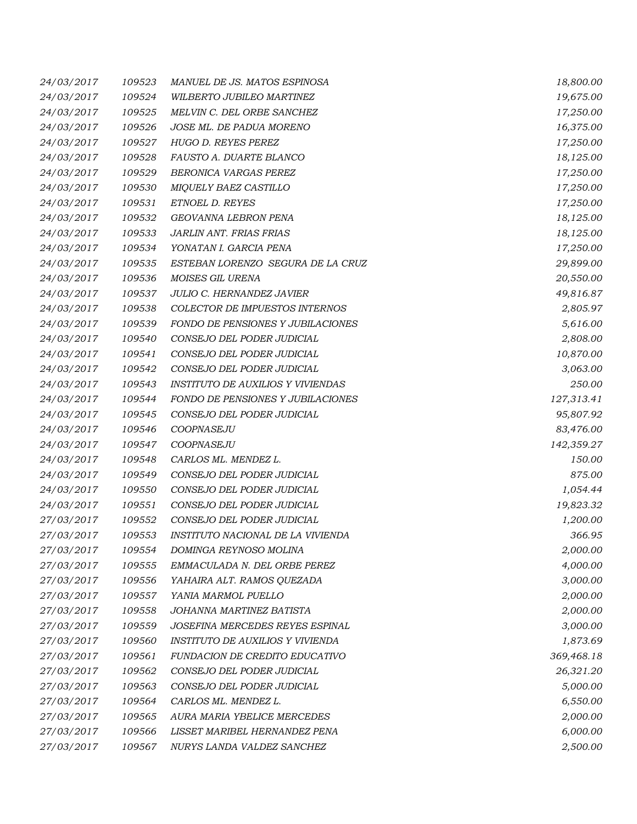| 24/03/2017 | 109523 | MANUEL DE JS. MATOS ESPINOSA             | 18,800.00  |
|------------|--------|------------------------------------------|------------|
| 24/03/2017 | 109524 | WILBERTO JUBILEO MARTINEZ                | 19,675.00  |
| 24/03/2017 | 109525 | MELVIN C. DEL ORBE SANCHEZ               | 17,250.00  |
| 24/03/2017 | 109526 | JOSE ML. DE PADUA MORENO                 | 16,375.00  |
| 24/03/2017 | 109527 | HUGO D. REYES PEREZ                      | 17,250.00  |
| 24/03/2017 | 109528 | FAUSTO A. DUARTE BLANCO                  | 18,125.00  |
| 24/03/2017 | 109529 | BERONICA VARGAS PEREZ                    | 17,250.00  |
| 24/03/2017 | 109530 | MIQUELY BAEZ CASTILLO                    | 17,250.00  |
| 24/03/2017 | 109531 | ETNOEL D. REYES                          | 17,250.00  |
| 24/03/2017 | 109532 | <b>GEOVANNA LEBRON PENA</b>              | 18,125.00  |
| 24/03/2017 | 109533 | JARLIN ANT. FRIAS FRIAS                  | 18,125.00  |
| 24/03/2017 | 109534 | YONATAN I. GARCIA PENA                   | 17,250.00  |
| 24/03/2017 | 109535 | ESTEBAN LORENZO SEGURA DE LA CRUZ        | 29,899.00  |
| 24/03/2017 | 109536 | MOISES GIL URENA                         | 20,550.00  |
| 24/03/2017 | 109537 | <b>JULIO C. HERNANDEZ JAVIER</b>         | 49,816.87  |
| 24/03/2017 | 109538 | COLECTOR DE IMPUESTOS INTERNOS           | 2,805.97   |
| 24/03/2017 | 109539 | FONDO DE PENSIONES Y JUBILACIONES        | 5,616.00   |
| 24/03/2017 | 109540 | CONSEJO DEL PODER JUDICIAL               | 2,808.00   |
| 24/03/2017 | 109541 | CONSEJO DEL PODER JUDICIAL               | 10,870.00  |
| 24/03/2017 | 109542 | CONSEJO DEL PODER JUDICIAL               | 3,063.00   |
| 24/03/2017 | 109543 | <b>INSTITUTO DE AUXILIOS Y VIVIENDAS</b> | 250.00     |
| 24/03/2017 | 109544 | FONDO DE PENSIONES Y JUBILACIONES        | 127,313.41 |
| 24/03/2017 | 109545 | CONSEJO DEL PODER JUDICIAL               | 95,807.92  |
| 24/03/2017 | 109546 | COOPNASEJU                               | 83,476.00  |
| 24/03/2017 | 109547 | COOPNASEJU                               | 142,359.27 |
| 24/03/2017 | 109548 | CARLOS ML. MENDEZ L.                     | 150.00     |
| 24/03/2017 | 109549 | CONSEJO DEL PODER JUDICIAL               | 875.00     |
| 24/03/2017 | 109550 | CONSEJO DEL PODER JUDICIAL               | 1,054.44   |
| 24/03/2017 | 109551 | CONSEJO DEL PODER JUDICIAL               | 19,823.32  |
| 27/03/2017 | 109552 | CONSEJO DEL PODER JUDICIAL               | 1,200.00   |
| 27/03/2017 | 109553 | INSTITUTO NACIONAL DE LA VIVIENDA        | 366.95     |
| 27/03/2017 | 109554 | DOMINGA REYNOSO MOLINA                   | 2,000.00   |
| 27/03/2017 | 109555 | EMMACULADA N. DEL ORBE PEREZ             | 4,000.00   |
| 27/03/2017 | 109556 | YAHAIRA ALT. RAMOS QUEZADA               | 3,000.00   |
| 27/03/2017 | 109557 | YANIA MARMOL PUELLO                      | 2,000.00   |
| 27/03/2017 | 109558 | JOHANNA MARTINEZ BATISTA                 | 2,000.00   |
| 27/03/2017 | 109559 | JOSEFINA MERCEDES REYES ESPINAL          | 3,000.00   |
| 27/03/2017 | 109560 | INSTITUTO DE AUXILIOS Y VIVIENDA         | 1,873.69   |
| 27/03/2017 | 109561 | FUNDACION DE CREDITO EDUCATIVO           | 369,468.18 |
| 27/03/2017 | 109562 | CONSEJO DEL PODER JUDICIAL               | 26,321.20  |
| 27/03/2017 | 109563 | CONSEJO DEL PODER JUDICIAL               | 5,000.00   |
| 27/03/2017 | 109564 | CARLOS ML. MENDEZ L.                     | 6,550.00   |
| 27/03/2017 | 109565 | AURA MARIA YBELICE MERCEDES              | 2,000.00   |
| 27/03/2017 | 109566 | LISSET MARIBEL HERNANDEZ PENA            | 6,000.00   |
| 27/03/2017 | 109567 | NURYS LANDA VALDEZ SANCHEZ               | 2,500.00   |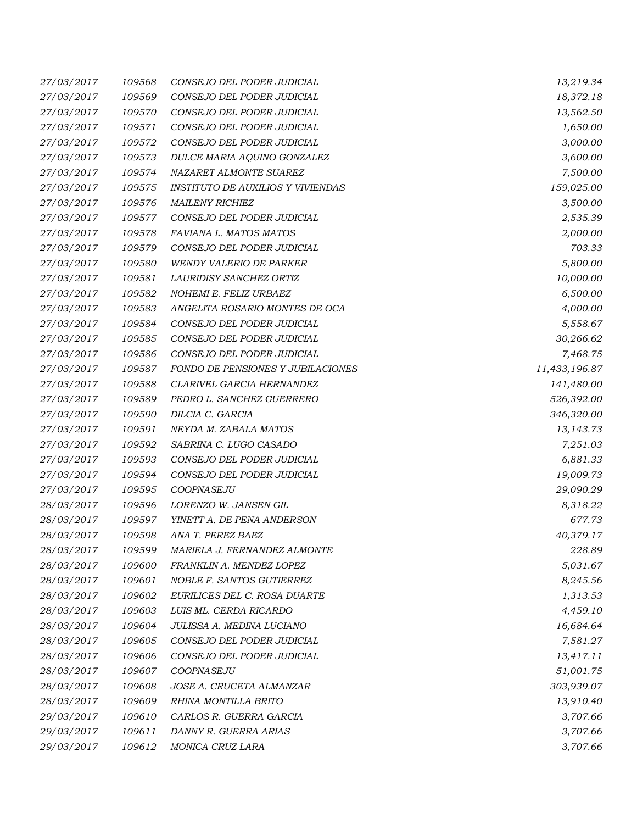| 27/03/2017 | 109568 | CONSEJO DEL PODER JUDICIAL        | 13,219.34     |
|------------|--------|-----------------------------------|---------------|
| 27/03/2017 | 109569 | CONSEJO DEL PODER JUDICIAL        | 18,372.18     |
| 27/03/2017 | 109570 | CONSEJO DEL PODER JUDICIAL        | 13,562.50     |
| 27/03/2017 | 109571 | CONSEJO DEL PODER JUDICIAL        | 1,650.00      |
| 27/03/2017 | 109572 | CONSEJO DEL PODER JUDICIAL        | 3,000.00      |
| 27/03/2017 | 109573 | DULCE MARIA AQUINO GONZALEZ       | 3,600.00      |
| 27/03/2017 | 109574 | NAZARET ALMONTE SUAREZ            | 7,500.00      |
| 27/03/2017 | 109575 | INSTITUTO DE AUXILIOS Y VIVIENDAS | 159,025.00    |
| 27/03/2017 | 109576 | <b>MAILENY RICHIEZ</b>            | 3,500.00      |
| 27/03/2017 | 109577 | CONSEJO DEL PODER JUDICIAL        | 2,535.39      |
| 27/03/2017 | 109578 | FAVIANA L. MATOS MATOS            | 2,000.00      |
| 27/03/2017 | 109579 | CONSEJO DEL PODER JUDICIAL        | 703.33        |
| 27/03/2017 | 109580 | WENDY VALERIO DE PARKER           | 5,800.00      |
| 27/03/2017 | 109581 | LAURIDISY SANCHEZ ORTIZ           | 10,000.00     |
| 27/03/2017 | 109582 | NOHEMI E. FELIZ URBAEZ            | 6,500.00      |
| 27/03/2017 | 109583 | ANGELITA ROSARIO MONTES DE OCA    | 4,000.00      |
| 27/03/2017 | 109584 | CONSEJO DEL PODER JUDICIAL        | 5,558.67      |
| 27/03/2017 | 109585 | CONSEJO DEL PODER JUDICIAL        | 30,266.62     |
| 27/03/2017 | 109586 | CONSEJO DEL PODER JUDICIAL        | 7,468.75      |
| 27/03/2017 | 109587 | FONDO DE PENSIONES Y JUBILACIONES | 11,433,196.87 |
| 27/03/2017 | 109588 | CLARIVEL GARCIA HERNANDEZ         | 141,480.00    |
| 27/03/2017 | 109589 | PEDRO L. SANCHEZ GUERRERO         | 526,392.00    |
| 27/03/2017 | 109590 | DILCIA C. GARCIA                  | 346,320.00    |
| 27/03/2017 | 109591 | NEYDA M. ZABALA MATOS             | 13,143.73     |
| 27/03/2017 | 109592 | SABRINA C. LUGO CASADO            | 7,251.03      |
| 27/03/2017 | 109593 | CONSEJO DEL PODER JUDICIAL        | 6,881.33      |
| 27/03/2017 | 109594 | CONSEJO DEL PODER JUDICIAL        | 19,009.73     |
| 27/03/2017 | 109595 | COOPNASEJU                        | 29,090.29     |
| 28/03/2017 | 109596 | LORENZO W. JANSEN GIL             | 8,318.22      |
| 28/03/2017 | 109597 | YINETT A. DE PENA ANDERSON        | 677.73        |
| 28/03/2017 | 109598 | ANA T. PEREZ BAEZ                 | 40,379.17     |
| 28/03/2017 | 109599 | MARIELA J. FERNANDEZ ALMONTE      | 228.89        |
| 28/03/2017 | 109600 | FRANKLIN A. MENDEZ LOPEZ          | 5,031.67      |
| 28/03/2017 | 109601 | NOBLE F. SANTOS GUTIERREZ         | 8,245.56      |
| 28/03/2017 | 109602 | EURILICES DEL C. ROSA DUARTE      | 1,313.53      |
| 28/03/2017 | 109603 | LUIS ML. CERDA RICARDO            | 4,459.10      |
| 28/03/2017 | 109604 | JULISSA A. MEDINA LUCIANO         | 16,684.64     |
| 28/03/2017 | 109605 | CONSEJO DEL PODER JUDICIAL        | 7,581.27      |
| 28/03/2017 | 109606 | CONSEJO DEL PODER JUDICIAL        | 13,417.11     |
| 28/03/2017 | 109607 | COOPNASEJU                        | 51,001.75     |
| 28/03/2017 | 109608 | JOSE A. CRUCETA ALMANZAR          | 303,939.07    |
| 28/03/2017 | 109609 | RHINA MONTILLA BRITO              | 13,910.40     |
| 29/03/2017 | 109610 | CARLOS R. GUERRA GARCIA           | 3,707.66      |
| 29/03/2017 | 109611 | DANNY R. GUERRA ARIAS             | 3,707.66      |
| 29/03/2017 | 109612 | MONICA CRUZ LARA                  | 3,707.66      |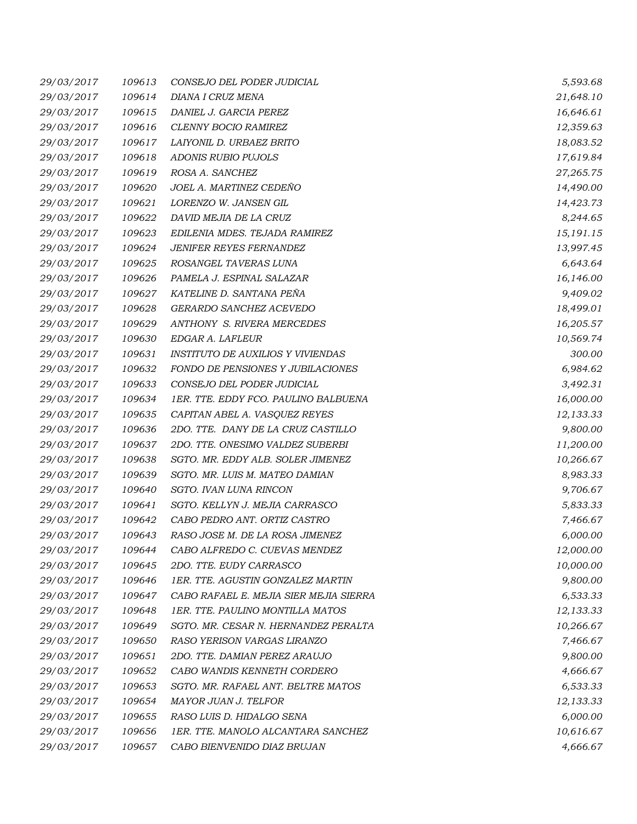| 29/03/2017 | 109613 | CONSEJO DEL PODER JUDICIAL               | 5,593.68  |
|------------|--------|------------------------------------------|-----------|
| 29/03/2017 | 109614 | DIANA I CRUZ MENA                        | 21,648.10 |
| 29/03/2017 | 109615 | DANIEL J. GARCIA PEREZ                   | 16,646.61 |
| 29/03/2017 | 109616 | CLENNY BOCIO RAMIREZ                     | 12,359.63 |
| 29/03/2017 | 109617 | LAIYONIL D. URBAEZ BRITO                 | 18,083.52 |
| 29/03/2017 | 109618 | ADONIS RUBIO PUJOLS                      | 17,619.84 |
| 29/03/2017 | 109619 | ROSA A. SANCHEZ                          | 27,265.75 |
| 29/03/2017 | 109620 | JOEL A. MARTINEZ CEDEÑO                  | 14,490.00 |
| 29/03/2017 | 109621 | LORENZO W. JANSEN GIL                    | 14,423.73 |
| 29/03/2017 | 109622 | DAVID MEJIA DE LA CRUZ                   | 8,244.65  |
| 29/03/2017 | 109623 | EDILENIA MDES. TEJADA RAMIREZ            | 15,191.15 |
| 29/03/2017 | 109624 | JENIFER REYES FERNANDEZ                  | 13,997.45 |
| 29/03/2017 | 109625 | ROSANGEL TAVERAS LUNA                    | 6,643.64  |
| 29/03/2017 | 109626 | PAMELA J. ESPINAL SALAZAR                | 16,146.00 |
| 29/03/2017 | 109627 | KATELINE D. SANTANA PEÑA                 | 9,409.02  |
| 29/03/2017 | 109628 | GERARDO SANCHEZ ACEVEDO                  | 18,499.01 |
| 29/03/2017 | 109629 | ANTHONY S. RIVERA MERCEDES               | 16,205.57 |
| 29/03/2017 | 109630 | EDGAR A. LAFLEUR                         | 10,569.74 |
| 29/03/2017 | 109631 | <b>INSTITUTO DE AUXILIOS Y VIVIENDAS</b> | 300.00    |
| 29/03/2017 | 109632 | FONDO DE PENSIONES Y JUBILACIONES        | 6,984.62  |
| 29/03/2017 | 109633 | CONSEJO DEL PODER JUDICIAL               | 3,492.31  |
| 29/03/2017 | 109634 | 1ER. TTE. EDDY FCO. PAULINO BALBUENA     | 16,000.00 |
| 29/03/2017 | 109635 | CAPITAN ABEL A. VASQUEZ REYES            | 12,133.33 |
| 29/03/2017 | 109636 | 2DO. TTE. DANY DE LA CRUZ CASTILLO       | 9,800.00  |
| 29/03/2017 | 109637 | 2DO. TTE. ONESIMO VALDEZ SUBERBI         | 11,200.00 |
| 29/03/2017 | 109638 | SGTO. MR. EDDY ALB. SOLER JIMENEZ        | 10,266.67 |
| 29/03/2017 | 109639 | SGTO. MR. LUIS M. MATEO DAMIAN           | 8,983.33  |
| 29/03/2017 | 109640 | SGTO. IVAN LUNA RINCON                   | 9,706.67  |
| 29/03/2017 | 109641 | SGTO. KELLYN J. MEJIA CARRASCO           | 5,833.33  |
| 29/03/2017 | 109642 | CABO PEDRO ANT. ORTIZ CASTRO             | 7,466.67  |
| 29/03/2017 | 109643 | RASO JOSE M. DE LA ROSA JIMENEZ          | 6,000.00  |
| 29/03/2017 | 109644 | CABO ALFREDO C. CUEVAS MENDEZ            | 12,000.00 |
| 29/03/2017 | 109645 | 2DO. TTE. EUDY CARRASCO                  | 10,000.00 |
| 29/03/2017 | 109646 | 1ER. TTE. AGUSTIN GONZALEZ MARTIN        | 9,800.00  |
| 29/03/2017 | 109647 | CABO RAFAEL E. MEJIA SIER MEJIA SIERRA   | 6,533.33  |
| 29/03/2017 | 109648 | 1ER. TTE. PAULINO MONTILLA MATOS         | 12,133.33 |
| 29/03/2017 | 109649 | SGTO. MR. CESAR N. HERNANDEZ PERALTA     | 10,266.67 |
| 29/03/2017 | 109650 | RASO YERISON VARGAS LIRANZO              | 7,466.67  |
| 29/03/2017 | 109651 | 2DO. TTE. DAMIAN PEREZ ARAUJO            | 9,800.00  |
| 29/03/2017 | 109652 | CABO WANDIS KENNETH CORDERO              | 4,666.67  |
| 29/03/2017 | 109653 | SGTO. MR. RAFAEL ANT. BELTRE MATOS       | 6,533.33  |
| 29/03/2017 | 109654 | MAYOR JUAN J. TELFOR                     | 12,133.33 |
| 29/03/2017 | 109655 | RASO LUIS D. HIDALGO SENA                | 6,000.00  |
| 29/03/2017 | 109656 | 1ER. TTE. MANOLO ALCANTARA SANCHEZ       | 10,616.67 |
| 29/03/2017 | 109657 | CABO BIENVENIDO DIAZ BRUJAN              | 4,666.67  |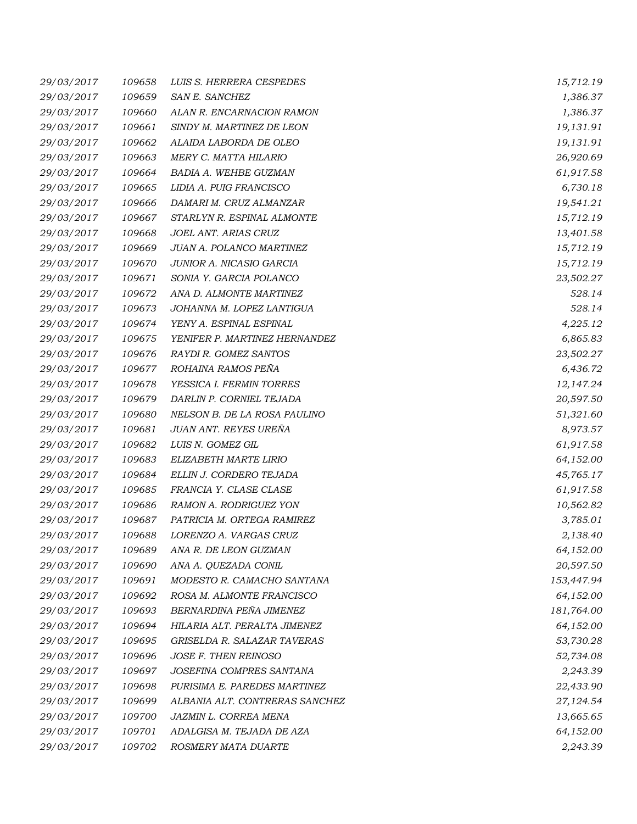| 29/03/2017 | 109658 | LUIS S. HERRERA CESPEDES       | 15,712.19  |
|------------|--------|--------------------------------|------------|
| 29/03/2017 | 109659 | SAN E. SANCHEZ                 | 1,386.37   |
| 29/03/2017 | 109660 | ALAN R. ENCARNACION RAMON      | 1,386.37   |
| 29/03/2017 | 109661 | SINDY M. MARTINEZ DE LEON      | 19,131.91  |
| 29/03/2017 | 109662 | ALAIDA LABORDA DE OLEO         | 19,131.91  |
| 29/03/2017 | 109663 | MERY C. MATTA HILARIO          | 26,920.69  |
| 29/03/2017 | 109664 | BADIA A. WEHBE GUZMAN          | 61,917.58  |
| 29/03/2017 | 109665 | LIDIA A. PUIG FRANCISCO        | 6,730.18   |
| 29/03/2017 | 109666 | DAMARI M. CRUZ ALMANZAR        | 19,541.21  |
| 29/03/2017 | 109667 | STARLYN R. ESPINAL ALMONTE     | 15,712.19  |
| 29/03/2017 | 109668 | JOEL ANT. ARIAS CRUZ           | 13,401.58  |
| 29/03/2017 | 109669 | JUAN A. POLANCO MARTINEZ       | 15,712.19  |
| 29/03/2017 | 109670 | JUNIOR A. NICASIO GARCIA       | 15,712.19  |
| 29/03/2017 | 109671 | SONIA Y. GARCIA POLANCO        | 23,502.27  |
| 29/03/2017 | 109672 | ANA D. ALMONTE MARTINEZ        | 528.14     |
| 29/03/2017 | 109673 | JOHANNA M. LOPEZ LANTIGUA      | 528.14     |
| 29/03/2017 | 109674 | YENY A. ESPINAL ESPINAL        | 4,225.12   |
| 29/03/2017 | 109675 | YENIFER P. MARTINEZ HERNANDEZ  | 6,865.83   |
| 29/03/2017 | 109676 | RAYDI R. GOMEZ SANTOS          | 23,502.27  |
| 29/03/2017 | 109677 | ROHAINA RAMOS PEÑA             | 6,436.72   |
| 29/03/2017 | 109678 | YESSICA I. FERMIN TORRES       | 12,147.24  |
| 29/03/2017 | 109679 | DARLIN P. CORNIEL TEJADA       | 20,597.50  |
| 29/03/2017 | 109680 | NELSON B. DE LA ROSA PAULINO   | 51,321.60  |
| 29/03/2017 | 109681 | JUAN ANT. REYES UREÑA          | 8,973.57   |
| 29/03/2017 | 109682 | LUIS N. GOMEZ GIL              | 61,917.58  |
| 29/03/2017 | 109683 | ELIZABETH MARTE LIRIO          | 64,152.00  |
| 29/03/2017 | 109684 | ELLIN J. CORDERO TEJADA        | 45,765.17  |
| 29/03/2017 | 109685 | FRANCIA Y. CLASE CLASE         | 61,917.58  |
| 29/03/2017 | 109686 | RAMON A. RODRIGUEZ YON         | 10,562.82  |
| 29/03/2017 | 109687 | PATRICIA M. ORTEGA RAMIREZ     | 3,785.01   |
| 29/03/2017 | 109688 | LORENZO A. VARGAS CRUZ         | 2,138.40   |
| 29/03/2017 | 109689 | ANA R. DE LEON GUZMAN          | 64,152.00  |
| 29/03/2017 | 109690 | ANA A. QUEZADA CONIL           | 20,597.50  |
| 29/03/2017 | 109691 | MODESTO R. CAMACHO SANTANA     | 153,447.94 |
| 29/03/2017 | 109692 | ROSA M. ALMONTE FRANCISCO      | 64,152.00  |
| 29/03/2017 | 109693 | BERNARDINA PEÑA JIMENEZ        | 181,764.00 |
| 29/03/2017 | 109694 | HILARIA ALT. PERALTA JIMENEZ   | 64,152.00  |
| 29/03/2017 | 109695 | GRISELDA R. SALAZAR TAVERAS    | 53,730.28  |
| 29/03/2017 | 109696 | JOSE F. THEN REINOSO           | 52,734.08  |
| 29/03/2017 | 109697 | JOSEFINA COMPRES SANTANA       | 2,243.39   |
| 29/03/2017 | 109698 | PURISIMA E. PAREDES MARTINEZ   | 22,433.90  |
| 29/03/2017 | 109699 | ALBANIA ALT. CONTRERAS SANCHEZ | 27,124.54  |
| 29/03/2017 | 109700 | JAZMIN L. CORREA MENA          | 13,665.65  |
| 29/03/2017 | 109701 | ADALGISA M. TEJADA DE AZA      | 64,152.00  |
| 29/03/2017 | 109702 | ROSMERY MATA DUARTE            | 2,243.39   |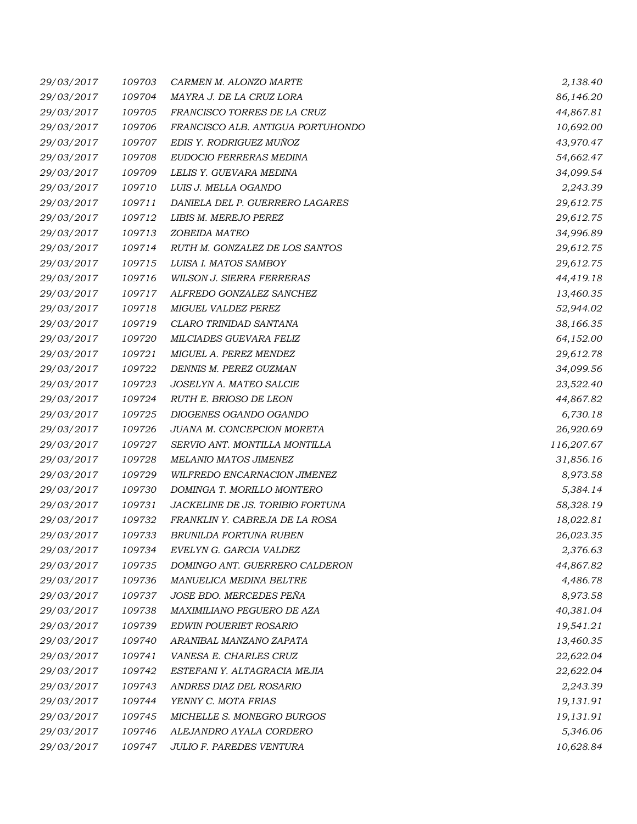| 29/03/2017 | 109703 | CARMEN M. ALONZO MARTE            | 2,138.40   |
|------------|--------|-----------------------------------|------------|
| 29/03/2017 | 109704 | MAYRA J. DE LA CRUZ LORA          | 86,146.20  |
| 29/03/2017 | 109705 | FRANCISCO TORRES DE LA CRUZ       | 44,867.81  |
| 29/03/2017 | 109706 | FRANCISCO ALB. ANTIGUA PORTUHONDO | 10,692.00  |
| 29/03/2017 | 109707 | EDIS Y. RODRIGUEZ MUÑOZ           | 43,970.47  |
| 29/03/2017 | 109708 | EUDOCIO FERRERAS MEDINA           | 54,662.47  |
| 29/03/2017 | 109709 | LELIS Y. GUEVARA MEDINA           | 34,099.54  |
| 29/03/2017 | 109710 | LUIS J. MELLA OGANDO              | 2,243.39   |
| 29/03/2017 | 109711 | DANIELA DEL P. GUERRERO LAGARES   | 29,612.75  |
| 29/03/2017 | 109712 | LIBIS M. MEREJO PEREZ             | 29,612.75  |
| 29/03/2017 | 109713 | ZOBEIDA MATEO                     | 34,996.89  |
| 29/03/2017 | 109714 | RUTH M. GONZALEZ DE LOS SANTOS    | 29,612.75  |
| 29/03/2017 | 109715 | LUISA I. MATOS SAMBOY             | 29,612.75  |
| 29/03/2017 | 109716 | WILSON J. SIERRA FERRERAS         | 44,419.18  |
| 29/03/2017 | 109717 | ALFREDO GONZALEZ SANCHEZ          | 13,460.35  |
| 29/03/2017 | 109718 | MIGUEL VALDEZ PEREZ               | 52,944.02  |
| 29/03/2017 | 109719 | CLARO TRINIDAD SANTANA            | 38,166.35  |
| 29/03/2017 | 109720 | MILCIADES GUEVARA FELIZ           | 64,152.00  |
| 29/03/2017 | 109721 | MIGUEL A. PEREZ MENDEZ            | 29,612.78  |
| 29/03/2017 | 109722 | DENNIS M. PEREZ GUZMAN            | 34,099.56  |
| 29/03/2017 | 109723 | JOSELYN A. MATEO SALCIE           | 23,522.40  |
| 29/03/2017 | 109724 | RUTH E. BRIOSO DE LEON            | 44,867.82  |
| 29/03/2017 | 109725 | DIOGENES OGANDO OGANDO            | 6,730.18   |
| 29/03/2017 | 109726 | JUANA M. CONCEPCION MORETA        | 26,920.69  |
| 29/03/2017 | 109727 | SERVIO ANT. MONTILLA MONTILLA     | 116,207.67 |
| 29/03/2017 | 109728 | MELANIO MATOS JIMENEZ             | 31,856.16  |
| 29/03/2017 | 109729 | WILFREDO ENCARNACION JIMENEZ      | 8,973.58   |
| 29/03/2017 | 109730 | DOMINGA T. MORILLO MONTERO        | 5,384.14   |
| 29/03/2017 | 109731 | JACKELINE DE JS. TORIBIO FORTUNA  | 58,328.19  |
| 29/03/2017 | 109732 | FRANKLIN Y. CABREJA DE LA ROSA    | 18,022.81  |
| 29/03/2017 | 109733 | BRUNILDA FORTUNA RUBEN            | 26,023.35  |
| 29/03/2017 | 109734 | EVELYN G. GARCIA VALDEZ           | 2,376.63   |
| 29/03/2017 | 109735 | DOMINGO ANT. GUERRERO CALDERON    | 44,867.82  |
| 29/03/2017 | 109736 | MANUELICA MEDINA BELTRE           | 4,486.78   |
| 29/03/2017 | 109737 | JOSE BDO. MERCEDES PEÑA           | 8,973.58   |
| 29/03/2017 | 109738 | MAXIMILIANO PEGUERO DE AZA        | 40,381.04  |
| 29/03/2017 | 109739 | <b>EDWIN POUERIET ROSARIO</b>     | 19,541.21  |
| 29/03/2017 | 109740 | ARANIBAL MANZANO ZAPATA           | 13,460.35  |
| 29/03/2017 | 109741 | VANESA E. CHARLES CRUZ            | 22,622.04  |
| 29/03/2017 | 109742 | ESTEFANI Y. ALTAGRACIA MEJIA      | 22,622.04  |
| 29/03/2017 | 109743 | ANDRES DIAZ DEL ROSARIO           | 2,243.39   |
| 29/03/2017 | 109744 | YENNY C. MOTA FRIAS               | 19,131.91  |
| 29/03/2017 | 109745 | MICHELLE S. MONEGRO BURGOS        | 19,131.91  |
| 29/03/2017 | 109746 | ALEJANDRO AYALA CORDERO           | 5,346.06   |
| 29/03/2017 | 109747 | JULIO F. PAREDES VENTURA          | 10,628.84  |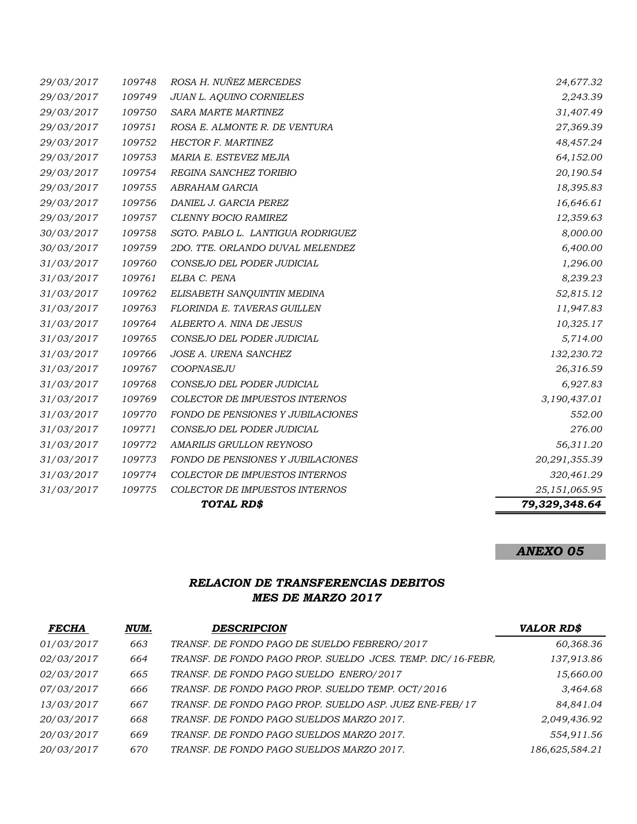|            |        | TOTAL RD\$                               | 79,329,348.64 |
|------------|--------|------------------------------------------|---------------|
| 31/03/2017 | 109775 | COLECTOR DE IMPUESTOS INTERNOS           | 25,151,065.95 |
| 31/03/2017 | 109774 | COLECTOR DE IMPUESTOS INTERNOS           | 320,461.29    |
| 31/03/2017 | 109773 | <b>FONDO DE PENSIONES Y JUBILACIONES</b> | 20,291,355.39 |
| 31/03/2017 | 109772 | AMARILIS GRULLON REYNOSO                 | 56,311.20     |
| 31/03/2017 | 109771 | CONSEJO DEL PODER JUDICIAL               | 276.00        |
| 31/03/2017 | 109770 | <b>FONDO DE PENSIONES Y JUBILACIONES</b> | 552.00        |
| 31/03/2017 | 109769 | <b>COLECTOR DE IMPUESTOS INTERNOS</b>    | 3,190,437.01  |
| 31/03/2017 | 109768 | CONSEJO DEL PODER JUDICIAL               | 6,927.83      |
| 31/03/2017 | 109767 | COOPNASEJU                               | 26,316.59     |
| 31/03/2017 | 109766 | JOSE A. URENA SANCHEZ                    | 132,230.72    |
| 31/03/2017 | 109765 | CONSEJO DEL PODER JUDICIAL               | 5,714.00      |
| 31/03/2017 | 109764 | ALBERTO A. NINA DE JESUS                 | 10,325.17     |
| 31/03/2017 | 109763 | FLORINDA E. TAVERAS GUILLEN              | 11,947.83     |
| 31/03/2017 | 109762 | ELISABETH SANQUINTIN MEDINA              | 52,815.12     |
| 31/03/2017 | 109761 | ELBA C. PENA                             | 8,239.23      |
| 31/03/2017 | 109760 | CONSEJO DEL PODER JUDICIAL               | 1,296.00      |
| 30/03/2017 | 109759 | 2DO. TTE. ORLANDO DUVAL MELENDEZ         | 6,400.00      |
| 30/03/2017 | 109758 | SGTO. PABLO L. LANTIGUA RODRIGUEZ        | 8,000.00      |
| 29/03/2017 | 109757 | <b>CLENNY BOCIO RAMIREZ</b>              | 12,359.63     |
| 29/03/2017 | 109756 | DANIEL J. GARCIA PEREZ                   | 16,646.61     |
| 29/03/2017 | 109755 | ABRAHAM GARCIA                           | 18,395.83     |
| 29/03/2017 | 109754 | REGINA SANCHEZ TORIBIO                   | 20,190.54     |
| 29/03/2017 | 109753 | MARIA E. ESTEVEZ MEJIA                   | 64,152.00     |
| 29/03/2017 | 109752 | <b>HECTOR F. MARTINEZ</b>                | 48,457.24     |
| 29/03/2017 | 109751 | ROSA E. ALMONTE R. DE VENTURA            | 27,369.39     |
| 29/03/2017 | 109750 | <b>SARA MARTE MARTINEZ</b>               | 31,407.49     |
| 29/03/2017 | 109749 | <b>JUAN L. AQUINO CORNIELES</b>          | 2,243.39      |
| 29/03/2017 | 109748 | ROSA H. NUÑEZ MERCEDES                   | 24,677.32     |

# *ANEXO 05*

# *RELACION DE TRANSFERENCIAS DEBITOS MES DE MARZO 2017*

| <b>FECHA</b> | NUM. | <b>DESCRIPCION</b>                                          | <b>VALOR RD\$</b> |
|--------------|------|-------------------------------------------------------------|-------------------|
| 01/03/2017   | 663  | TRANSF. DE FONDO PAGO DE SUELDO FEBRERO/2017                | 60,368.36         |
| 02/03/2017   | 664  | TRANSF. DE FONDO PAGO PROP. SUELDO JCES. TEMP. DIC/16-FEBR, | 137,913.86        |
| 02/03/2017   | 665  | TRANSF. DE FONDO PAGO SUELDO ENERO/2017                     | 15,660.00         |
| 07/03/2017   | 666  | TRANSF. DE FONDO PAGO PROP. SUELDO TEMP. OCT/2016           | 3,464.68          |
| 13/03/2017   | 667  | TRANSF. DE FONDO PAGO PROP. SUELDO ASP. JUEZ ENE-FEB/17     | 84,841.04         |
| 20/03/2017   | 668  | TRANSF. DE FONDO PAGO SUELDOS MARZO 2017.                   | 2,049,436.92      |
| 20/03/2017   | 669  | TRANSF. DE FONDO PAGO SUELDOS MARZO 2017.                   | 554,911.56        |
| 20/03/2017   | 670  | TRANSF. DE FONDO PAGO SUELDOS MARZO 2017.                   | 186,625,584.21    |